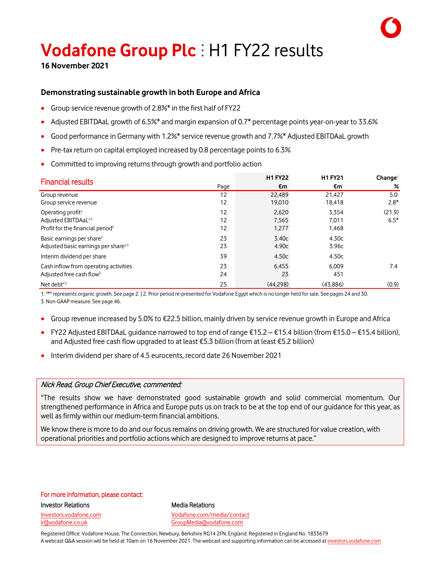# **Vodafone Group Plc** ⫶ H1 FY22 results **<sup>16</sup> November <sup>2021</sup>**

### **Demonstrating sustainable growth in both Europe and Africa**

- Group service revenue growth of 2.8%\* in the first half of FY22
- Adjusted EBITDAaL growth of 6.5%\* and margin expansion of 0.7\* percentage points year-on-year to 33.6%
- Good performance in Germany with 1.2%\* service revenue growth and 7.7%\* Adjusted EBITDAaL growth
- Pre-tax return on capital employed increased by 0.8 percentage points to 6.3%
- Committed to improving returns through growth and portfolio action

| <b>Financial results</b>                                                                                          |                | <b>H1 FY22</b>          | <b>H1 FY21</b>          | Change <sup>1</sup> |
|-------------------------------------------------------------------------------------------------------------------|----------------|-------------------------|-------------------------|---------------------|
|                                                                                                                   | Page           | €m                      | €m                      | %                   |
| Group revenue<br>Group service revenue                                                                            | 12<br>12       | 22,489<br>19,010        | 21.427<br>18,418        | 5.0<br>$2.8*$       |
| Operating profit <sup>2</sup><br>Adjusted EBITDAaL <sup>2,3</sup><br>Profit for the financial period <sup>2</sup> | 12<br>12<br>12 | 2,620<br>7.565<br>1,277 | 3,354<br>7.011<br>1,468 | (21.9)<br>$6.5*$    |
| Basic earnings per share <sup>2</sup><br>Adjusted basic earnings per share <sup>2,3</sup>                         | 23<br>23       | 3.40c<br>4.90c          | 4.30c<br>3.96c          |                     |
| Interim dividend per share<br>Cash inflow from operating activities<br>Adjusted free cash flow <sup>3</sup>       | 39<br>23<br>24 | 4.50c<br>6,455<br>23    | 4.50c<br>6.009<br>451   | 7.4                 |
| Net debt $2,3$                                                                                                    | 25             | (44.298)                | (43.886)                | (0.9)               |

1. "\*" represents organic growth. See page 2. ǀ 2. Prior period re-presented for Vodafone Egypt which is no longer held for sale. See pages 24 and 30.

3. Non-GAAP measure. See page 46.

- Group revenue increased by 5.0% to €22.5 billion, mainly driven by service revenue growth in Europe and Africa
- FY22 Adjusted EBITDAaL guidance narrowed to top end of range €15.2 €15.4 billion (from €15.0 €15.4 billion), and Adjusted free cash flow upgraded to at least €5.3 billion (from at least €5.2 billion)
- Interim dividend pershare of 4.5 eurocents, record date 26 November 2021

### Nick Read, Group Chief Executive, commented:

"The results show we have demonstrated good sustainable growth and solid commercial momentum. Our strengthened performance in Africa and Europe puts us on track to be at the top end of our guidance for this year, as well as firmly within our medium-term financial ambitions.

We know there is more to do and our focus remains on driving growth. We are structured for value creation, with operational priorities and portfolio actions which are designed to improve returns at pace."

### For more information, please contact:

Investor Relations **Media Relations** Media Relations Investors.vodafone.com Vodafone.com/media/contact ir@vodafone.co.uk GroupMedia@vodafone.com

Registered Office: Vodafone House, The Connection, Newbury, Berkshire RG14 2FN, England. Registered in England No. 1833679 A webcast Q&A session will be held at 10am on 16 November 2021. The webcast and supporting information can be accessed at investors.vodafone.com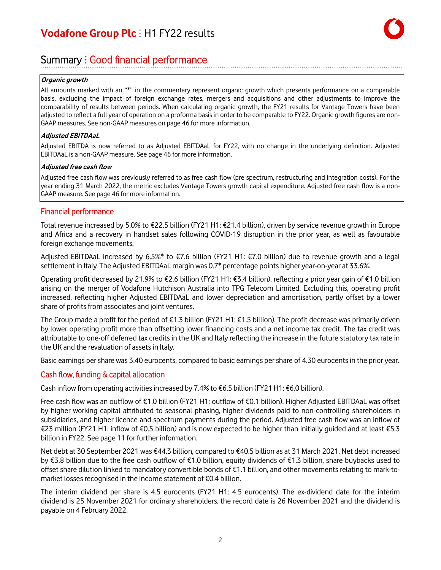### Summary : Good financial performance

#### **Organic growth**

All amounts marked with an "\*" in the commentary represent organic growth which presents performance on a comparable basis, excluding the impact of foreign exchange rates, mergers and acquisitions and other adjustments to improve the comparability of results between periods. When calculating organic growth, the FY21 results for Vantage Towers have been adjusted to reflect a full year of operation on a proforma basisin order to be comparable to FY22. Organic growth figures are non-GAAP measures. See non-GAAP measures on page 46 for more information.

#### **Adjusted EBITDAaL**

Adjusted EBITDA is now referred to as Adjusted EBITDAaL for FY22, with no change in the underlying definition. Adjusted EBITDAaL is a non-GAAP measure. See page 46 for more information.

#### **Adjusted free cash flow**

Adjusted free cash flow was previously referred to as free cash flow (pre spectrum, restructuring and integration costs). For the year ending 31 March 2022, the metric excludes Vantage Towers growth capital expenditure. Adjusted free cash flow is a non-GAAP measure. See page 46 for more information.

#### Financial performance

Total revenue increased by 5.0% to €22.5 billion (FY21 H1: €21.4 billion), driven by service revenue growth in Europe and Africa and a recovery in handset sales following COVID-19 disruption in the prior year, as well as favourable foreign exchange movements.

Adjusted EBITDAaL increased by 6.5%\* to €7.6 billion (FY21 H1: €7.0 billion) due to revenue growth and a legal settlement in Italy. The Adjusted EBITDAaL margin was 0.7\* percentage points higher year-on-year at 33.6%.

Operating profit decreased by 21.9% to €2.6 billion (FY21 H1: €3.4 billion), reflecting a prior year gain of €1.0 billion arising on the merger of Vodafone Hutchison Australia into TPG Telecom Limited. Excluding this, operating profit increased, reflecting higher Adjusted EBITDAaL and lower depreciation and amortisation, partly offset by a lower share of profits from associates and joint ventures.

The Group made a profit for the period of €1.3 billion (FY21 H1: €1.5 billion). The profit decrease was primarily driven by lower operating profit more than offsetting lower financing costs and a net income tax credit. The tax credit was attributable to one-off deferred tax credits in the UK and Italy reflecting the increase in the future statutory tax rate in the UK and the revaluation of assets in Italy.

Basic earnings pershare was 3.40 eurocents, compared to basic earnings pershare of 4.30 eurocentsin the prior year.

### Cash flow, funding & capital allocation

Cash inflow from operating activities increased by 7.4% to €6.5 billion (FY21 H1: €6.0 billion).

Free cash flow was an outflow of €1.0 billion (FY21 H1: outflow of €0.1 billion). Higher Adjusted EBITDAaL was offset by higher working capital attributed to seasonal phasing, higher dividends paid to non-controlling shareholders in subsidiaries, and higher licence and spectrum payments during the period. Adjusted free cash flow was an inflow of €23 million (FY21 H1: inflow of €0.5 billion) and is now expected to be higher than initially guided and at least €5.3 billion in FY22. See page 11 for further information.

Net debt at 30 September 2021 was €44.3 billion, compared to €40.5 billion as at 31 March 2021. Net debt increased by €3.8 billion due to the free cash outflow of €1.0 billion, equity dividends of €1.3 billion, share buybacks used to offset share dilution linked to mandatory convertible bonds of €1.1 billion, and other movements relating to mark-tomarket losses recognised in the income statement of  $E$ 0.4 billion.

The interim dividend per share is 4.5 eurocents (FY21 H1: 4.5 eurocents). The ex-dividend date for the interim dividend is 25 November 2021 for ordinary shareholders, the record date is 26 November 2021 and the dividend is payable on 4 February 2022.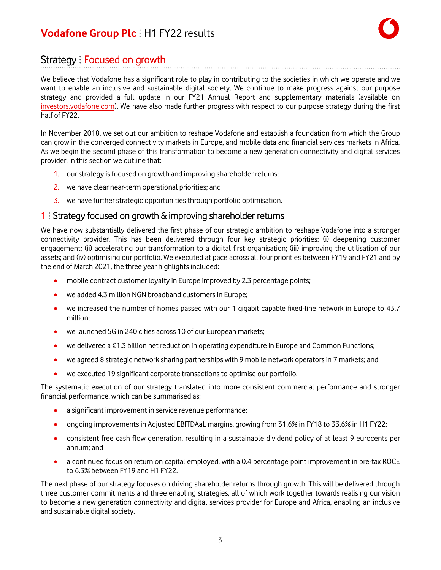### Strategy : Focused on growth

We believe that Vodafone has a significant role to play in contributing to the societies in which we operate and we want to enable an inclusive and sustainable digital society. We continue to make progress against our purpose strategy and provided a full update in our FY21 Annual Report and supplementary materials (available on [investors.vodafone.com\)](https://investors.vodafone.com/reports-information/results-reports-presentations?tab=fy21). We have also made further progress with respect to our purpose strategy during the first half of FY22.

In November 2018, we set out our ambition to reshape Vodafone and establish a foundation from which the Group can grow in the converged connectivity markets in Europe, and mobile data and financial services markets in Africa. As we begin the second phase of this transformation to become a new generation connectivity and digital services provider, in this section we outline that:

- 1. our strategy is focused on growth and improving shareholder returns;
- 2. we have clear near-term operational priorities; and
- 3. we have further strategic opportunities through portfolio optimisation.

### 1  $\pm$  Strategy focused on growth  $\&$  improving shareholder returns

We have now substantially delivered the first phase of our strategic ambition to reshape Vodafone into a stronger connectivity provider. This has been delivered through four key strategic priorities: (i) deepening customer engagement; (ii) accelerating our transformation to a digital first organisation; (iii) improving the utilisation of our assets; and (iv) optimising our portfolio. We executed at pace across all four priorities between FY19 and FY21 and by the end of March 2021, the three year highlights included:

- mobile contract customer loyalty in Europe improved by 2.3 percentage points;
- we added 4.3 million NGN broadband customers in Europe;
- we increased the number of homes passed with our 1 gigabit capable fixed-line network in Europe to 43.7 million;
- we launched 5G in 240 cities across 10 of our European markets;
- we delivered a €1.3 billion net reduction in operating expenditure in Europe and Common Functions;
- we agreed 8 strategic network sharing partnerships with 9 mobile network operators in 7 markets; and
- we executed 19 significant corporate transactions to optimise our portfolio.

The systematic execution of our strategy translated into more consistent commercial performance and stronger financial performance, which can be summarised as:

- a significant improvement in service revenue performance;
- ongoing improvements in Adjusted EBITDAaL margins, growing from 31.6% in FY18 to 33.6% in H1 FY22;
- consistent free cash flow generation, resulting in a sustainable dividend policy of at least 9 eurocents per annum; and
- a continued focus on return on capital employed, with a 0.4 percentage point improvement in pre-tax ROCE to 6.3% between FY19 and H1 FY22.

The next phase of our strategy focuses on driving shareholder returns through growth. This will be delivered through three customer commitments and three enabling strategies, all of which work together towards realising our vision to become a new generation connectivity and digital services provider for Europe and Africa, enabling an inclusive and sustainable digital society.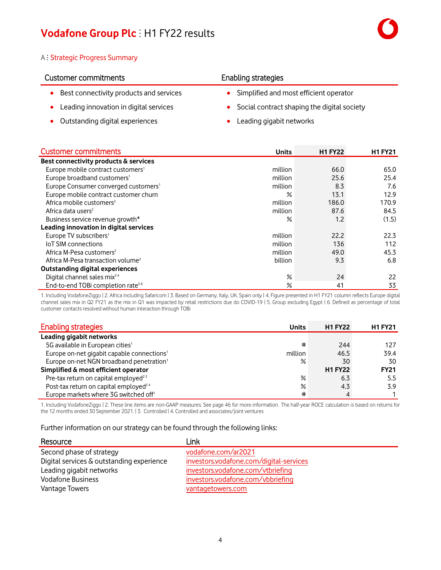#### A : Strategic Progress Summary

### Customer commitments **Enabling strategies**

- Best connectivity products and services Simplified and most efficient operator
- 
- Outstanding digital experiences Leading gigabit networks

- 
- Leading innovation in digital services Social contract shaping the digital society
	-

| <b>Customer commitments</b>                      | <b>Units</b> | <b>H1 FY22</b> | <b>H1 FY21</b> |
|--------------------------------------------------|--------------|----------------|----------------|
| Best connectivity products & services            |              |                |                |
| Europe mobile contract customers <sup>1</sup>    | million      | 66.0           | 65.0           |
| Europe broadband customers <sup>1</sup>          | million      | 25.6           | 25.4           |
| Europe Consumer converged customers <sup>1</sup> | million      | 8.3            | 7.6            |
| Europe mobile contract customer churn            | ℅            | 13.1           | 12.9           |
| Africa mobile customers <sup>2</sup>             | million      | 186.0          | 170.9          |
| Africa data users <sup>2</sup>                   | million      | 87.6           | 84.5           |
| Business service revenue growth*                 | ℅            | 1.2            | (1.5)          |
| Leading innovation in digital services           |              |                |                |
| Europe TV subscribers <sup>1</sup>               | million      | 22.2           | 22.3           |
| <b>IoT SIM connections</b>                       | million      | 136            | 112            |
| Africa M-Pesa customers <sup>2</sup>             | million      | 49.0           | 45.3           |
| Africa M-Pesa transaction volume <sup>2</sup>    | billion      | 9.3            | 6.8            |
| Outstanding digital experiences                  |              |                |                |
| Digital channel sales mix <sup>34</sup>          | $\%$         | 24             | 22             |
| End-to-end TOBi completion rate <sup>56</sup>    | ℅            | 41             | 33             |

1. Including VodafoneZiggo | 2. Africa including Safaricom | 3. Based on Germany, Italy, UK, Spain only | 4. Figure presented in H1 FY21 column reflects Europe digital channel sales mix in Q2 FY21 as the mix in Q1 was impacted by retail restrictions due do COVID-19 | 5. Group excluding Egypt | 6. Defined as percentage of total customer contacts resolved without human interaction through TOBi

| <b>Enabling strategies</b>                             | <b>Units</b> | <b>H1 FY22</b> | <b>H1 FY21</b> |
|--------------------------------------------------------|--------------|----------------|----------------|
| Leading gigabit networks                               |              |                |                |
| 5G available in European cities <sup>1</sup>           | #            | 244            | 127            |
| Europe on-net gigabit capable connections <sup>1</sup> | million      | 46.5           | 39.4           |
| Europe on-net NGN broadband penetration <sup>1</sup>   | $\%$         | 30             | 30             |
| Simplified & most efficient operator                   |              | <b>H1 FY22</b> | <b>FY21</b>    |
| Pre-tax return on capital employed <sup>23</sup>       | $\%$         | 6.3            | 5.5            |
| Post-tax return on capital employed <sup>24</sup>      | $\%$         | 4.3            | 3.9            |
| Europe markets where 3G switched off <sup>1</sup>      | #            |                |                |

1. Including VodafoneZiggo | 2. These line items are non-GAAP measures. See page 46 for more information. The half-year ROCE calculation is based on returns for the 12 months ended 30 September 2021. | 3. Controlled | 4. Controlled and associates/joint ventures

Further information on our strategy can be found through the following links:

| Resource                                  | Link                                    |
|-------------------------------------------|-----------------------------------------|
| Second phase of strategy                  | vodafone.com/ar2021                     |
| Digital services & outstanding experience | investors.vodafone.com/digital-services |
| Leading gigabit networks                  | investors.vodafone.com/vtbriefing       |
| <b>Vodafone Business</b>                  | investors.vodafone.com/vbbriefing       |
| Vantage Towers                            | vantagetowers.com                       |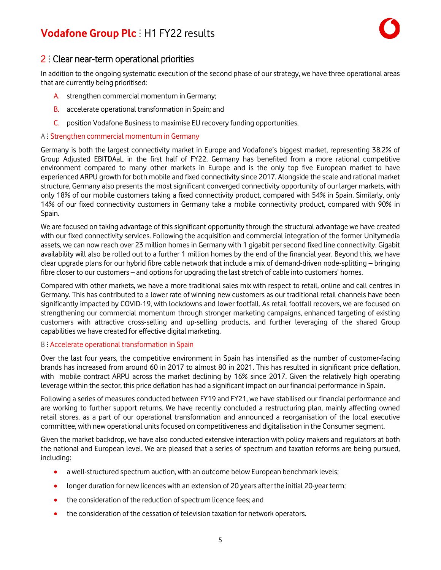### 2 : Clear near-term operational priorities

In addition to the ongoing systematic execution of the second phase of our strategy, we have three operational areas that are currently being prioritised:

- A. strengthen commercial momentum in Germany;
- B. accelerate operational transformation in Spain; and
- C. position Vodafone Businessto maximise EU recovery funding opportunities.

### A : Strengthen commercial momentum in Germany

Germany is both the largest connectivity market in Europe and Vodafone's biggest market, representing 38.2% of Group Adjusted EBITDAaL in the first half of FY22. Germany has benefited from a more rational competitive environment compared to many other markets in Europe and is the only top five European market to have experienced ARPU growth for both mobile and fixed connectivity since 2017. Alongside the scale and rational market structure, Germany also presents the most significant converged connectivity opportunity of our larger markets, with only 18% of our mobile customers taking a fixed connectivity product, compared with 54% in Spain. Similarly, only 14% of our fixed connectivity customers in Germany take a mobile connectivity product, compared with 90% in Spain.

We are focused on taking advantage of this significant opportunity through the structural advantage we have created with our fixed connectivity services. Following the acquisition and commercial integration of the former Unitymedia assets, we can now reach over 23 million homes in Germany with 1 gigabit per second fixed line connectivity. Gigabit availability will also be rolled out to a further 1 million homes by the end of the financial year. Beyond this, we have clear upgrade plans for our hybrid fibre cable network that include a mix of demand-driven node-splitting – bringing fibre closer to our customers – and options for upgrading the last stretch of cable into customers' homes.

Compared with other markets, we have a more traditional sales mix with respect to retail, online and call centres in Germany. This has contributed to a lower rate of winning new customers as our traditional retail channels have been significantly impacted by COVID-19, with lockdowns and lower footfall. As retail footfall recovers, we are focused on strengthening our commercial momentum through stronger marketing campaigns, enhanced targeting of existing customers with attractive cross-selling and up-selling products, and further leveraging of the shared Group capabilities we have created for effective digital marketing.

#### B : Accelerate operational transformation in Spain

Over the last four years, the competitive environment in Spain has intensified as the number of customer-facing brands has increased from around 60 in 2017 to almost 80 in 2021. This has resulted in significant price deflation, with mobile contract ARPU across the market declining by 16% since 2017. Given the relatively high operating leverage within the sector, this price deflation has had a significant impact on our financial performance in Spain.

Following a series of measures conducted between FY19 and FY21, we have stabilised our financial performance and are working to further support returns. We have recently concluded a restructuring plan, mainly affecting owned retail stores, as a part of our operational transformation and announced a reorganisation of the local executive committee, with new operational unitsfocused on competitiveness and digitalisation in the Consumer segment.

Given the market backdrop, we have also conducted extensive interaction with policy makers and regulators at both the national and European level. We are pleased that a series of spectrum and taxation reforms are being pursued, including:

- a well-structured spectrum auction, with an outcome below European benchmark levels;
- longer duration for new licences with an extension of 20 years after the initial 20-year term;
- the consideration of the reduction of spectrum licence fees; and
- the consideration of the cessation of television taxation for network operators.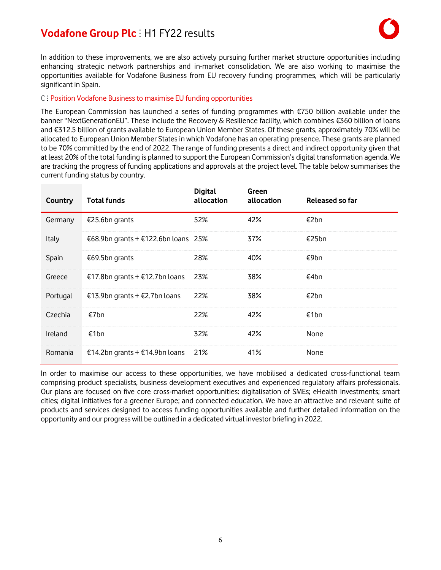

In addition to these improvements, we are also actively pursuing further market structure opportunities including enhancing strategic network partnerships and in-market consolidation. We are also working to maximise the opportunities available for Vodafone Business from EU recovery funding programmes, which will be particularly significant in Spain.

### C ⫶ Position Vodafone Business to maximise EU funding opportunities

The European Commission has launched a series of funding programmes with €750 billion available under the banner "NextGenerationEU". These include the Recovery & Resilience facility, which combines €360 billion of loans and €312.5 billion of grants available to European Union Member States. Of these grants, approximately 70% will be allocated to European Union Member States in which Vodafone has an operating presence. These grants are planned to be 70% committed by the end of 2022. The range of funding presents a direct and indirect opportunity given that at least 20% of the total funding is planned to support the European Commission's digital transformation agenda. We are tracking the progress of funding applications and approvals at the project level. The table below summarises the current funding status by country.

| Country  | <b>Total funds</b>                  | <b>Digital</b><br>allocation | Green<br>allocation | Released so far |
|----------|-------------------------------------|------------------------------|---------------------|-----------------|
| Germany  | €25.6bn grants                      | 52%                          | 42%                 | €2bn            |
| Italy    | €68.9bn grants + €122.6bn loans 25% |                              | 37%                 | €25bn           |
| Spain    | €69.5bn grants                      | 28%                          | 40%                 | €9bn            |
| Greece   | €17.8bn grants + €12.7bn loans      | 23%                          | 38%                 | €4bn            |
| Portugal | €13.9bn grants + €2.7bn loans       | 22%                          | 38%                 | €2bn            |
| Czechia  | €7bn                                | 22%                          | 42%                 | €1bn            |
| Ireland  | €1bn                                | 32%                          | 42%                 | None            |
| Romania  | €14.2bn grants + €14.9bn loans      | 21%                          | 41%                 | None            |

In order to maximise our access to these opportunities, we have mobilised a dedicated cross-functional team comprising product specialists, business development executives and experienced regulatory affairs professionals. Our plans are focused on five core cross-market opportunities: digitalisation of SMEs; eHealth investments; smart cities; digital initiatives for a greener Europe; and connected education. We have an attractive and relevant suite of products and services designed to access funding opportunities available and further detailed information on the opportunity and our progress will be outlined in a dedicated virtual investor briefing in 2022.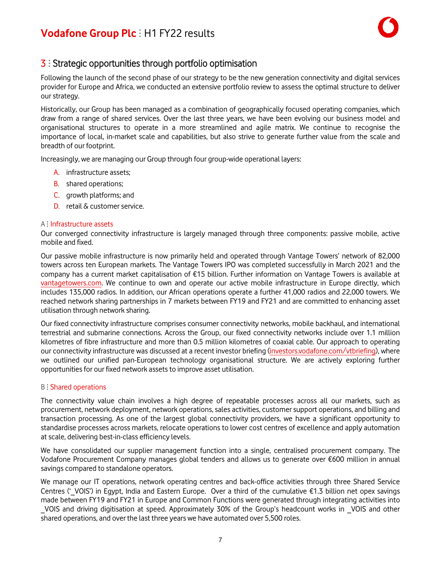### **3** : Strategic opportunities through portfolio optimisation

Following the launch of the second phase of our strategy to be the new generation connectivity and digital services provider for Europe and Africa, we conducted an extensive portfolio review to assess the optimal structure to deliver our strategy.

Historically, our Group has been managed as a combination of geographically focused operating companies, which draw from a range of shared services. Over the last three years, we have been evolving our business model and organisational structures to operate in a more streamlined and agile matrix. We continue to recognise the importance of local, in-market scale and capabilities, but also strive to generate further value from the scale and breadth of our footprint.

Increasingly, we are managing our Group through four group-wide operational layers:

- A. infrastructure assets;
- B. shared operations;
- C. growth platforms; and
- D. retail & customer service.

#### A ⫶ Infrastructure assets

Our converged connectivity infrastructure is largely managed through three components: passive mobile, active mobile and fixed.

Our passive mobile infrastructure is now primarily held and operated through Vantage Towers' network of 82,000 towers across ten European markets. The Vantage Towers IPO was completed successfully in March 2021 and the company has a current market capitalisation of €15 billion. Further information on Vantage Towers is available at [vantagetowers.com.](https://www.vantagetowers.com/) We continue to own and operate our active mobile infrastructure in Europe directly, which includes 135,000 radios. In addition, our African operations operate a further 41,000 radios and 22,000 towers. We reached network sharing partnerships in 7 markets between FY19 and FY21 and are committed to enhancing asset utilisation through network sharing.

Our fixed connectivity infrastructure comprises consumer connectivity networks, mobile backhaul, and international terrestrial and submarine connections. Across the Group, our fixed connectivity networks include over 1.1 million kilometres of fibre infrastructure and more than 0.5 million kilometres of coaxial cable. Our approach to operating our connectivity infrastructure was discussed at a recent investor briefing ([investors.vodafone.com/vtbriefing](http://investors.vodafone.com/vtbriefing)), where we outlined our unified pan-European technology organisational structure. We are actively exploring further opportunities for our fixed network assets to improve asset utilisation.

#### B : Shared operations

The connectivity value chain involves a high degree of repeatable processes across all our markets, such as procurement, network deployment, network operations,sales activities, customersupport operations, and billing and transaction processing. As one of the largest global connectivity providers, we have a significant opportunity to standardise processes across markets, relocate operations to lower cost centres of excellence and apply automation at scale, delivering best-in-class efficiency levels.

We have consolidated our supplier management function into a single, centralised procurement company. The Vodafone Procurement Company manages global tenders and allows us to generate over €600 million in annual savings compared to standalone operators.

We manage our IT operations, network operating centres and back-office activities through three Shared Service Centres ('VOIS') in Egypt, India and Eastern Europe. Over a third of the cumulative €1.3 billion net opex savings made between FY19 and FY21 in Europe and Common Functions were generated through integrating activities into VOIS and driving digitisation at speed. Approximately 30% of the Group's headcount works in VOIS and other shared operations, and over the last three years we have automated over 5,500 roles.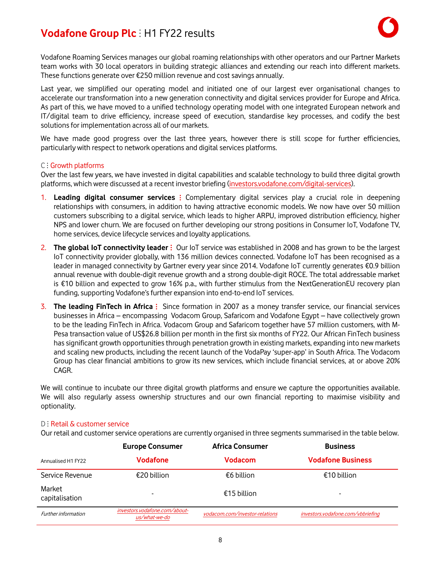

Vodafone Roaming Services manages our global roaming relationships with other operators and our Partner Markets team works with 30 local operators in building strategic alliances and extending our reach into different markets. These functions generate over €250 million revenue and cost savings annually.

Last year, we simplified our operating model and initiated one of our largest ever organisational changes to accelerate our transformation into a new generation connectivity and digital services provider for Europe and Africa. As part of this, we have moved to a unified technology operating model with one integrated European network and IT/digital team to drive efficiency, increase speed of execution, standardise key processes, and codify the best solutions for implementation across all of our markets.

We have made good progress over the last three years, however there is still scope for further efficiencies, particularly with respect to network operations and digital services platforms.

#### C : Growth platforms

Over the last few years, we have invested in digital capabilities and scalable technology to build three digital growth platforms, which were discussed at a recent investor briefing ([investors.vodafone.com/digital](http://www.investors.vodafone.com/digital-services)-services).

- 1. **Leading digital consumer services** ⫶ Complementary digital services play a crucial role in deepening relationships with consumers, in addition to having attractive economic models. We now have over 50 million customers subscribing to a digital service, which leads to higher ARPU, improved distribution efficiency, higher NPS and lower churn. We are focused on further developing our strong positions in Consumer IoT, Vodafone TV, home services, device lifecycle services and loyalty applications.
- 2. **The global IoT connectivity leader** ⫶ Our IoT service was established in 2008 and has grown to be the largest IoT connectivity provider globally, with 136 million devices connected. Vodafone IoT has been recognised as a leader in managed connectivity by Gartner every year since 2014. Vodafone IoT currently generates €0.9 billion annual revenue with double-digit revenue growth and a strong double-digit ROCE. The total addressable market is €10 billion and expected to grow 16% p.a., with further stimulus from the NextGenerationEU recovery plan funding, supporting Vodafone's further expansion into end-to-end IoT services.
- 3. **The leading FinTech in Africa** ⫶ Since formation in 2007 as a money transfer service, our financial services businesses in Africa – encompassing Vodacom Group, Safaricom and Vodafone Egypt – have collectively grown to be the leading FinTech in Africa. Vodacom Group and Safaricom together have 57 million customers, with M-Pesa transaction value of US\$26.8 billion per month in the first six months of FY22. Our African FinTech business has significant growth opportunities through penetration growth in existing markets, expanding into new markets and scaling new products, including the recent launch of the VodaPay 'super-app' in South Africa. The Vodacom Group has clear financial ambitions to grow its new services, which include financial services, at or above 20% CAGR.

We will continue to incubate our three digital growth platforms and ensure we capture the opportunities available. We will also regularly assess ownership structures and our own financial reporting to maximise visibility and optionality.

#### D : Retail & customer service

Our retail and customer service operations are currently organised in three segments summarised in the table below.

|                          | <b>Europe Consumer</b>                         | <b>Africa Consumer</b>         | <b>Business</b>                   |
|--------------------------|------------------------------------------------|--------------------------------|-----------------------------------|
| Annualised H1 FY22       | Vodafone                                       | Vodacom                        | <b>Vodafone Business</b>          |
| Service Revenue          | €20 billion                                    | €6 billion                     | €10 billion                       |
| Market<br>capitalisation | $\overline{\phantom{0}}$                       | €15 billion                    | $\overline{\phantom{0}}$          |
| Further information      | investors.vodafone.com/about-<br>us/what-we-do | vodacom.com/investor-relations | investors.vodafone.com/vbbriefing |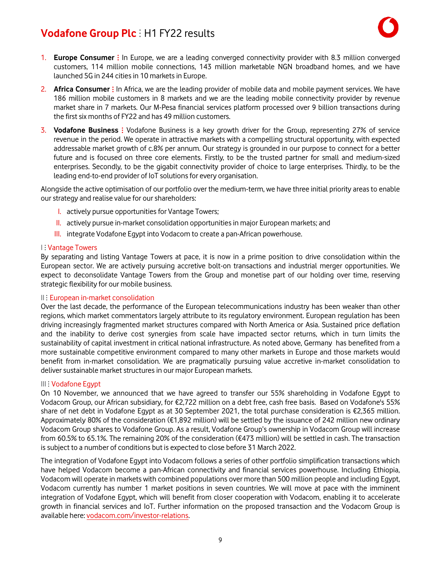

- 1. **Europe Consumer** ⫶ In Europe, we are a leading converged connectivity provider with 8.3 million converged customers, 114 million mobile connections, 143 million marketable NGN broadband homes, and we have launched 5G in 244 cities in 10 markets in Europe.
- 2. **Africa Consumer**: In Africa, we are the leading provider of mobile data and mobile payment services. We have 186 million mobile customers in 8 markets and we are the leading mobile connectivity provider by revenue market share in 7 markets. Our M-Pesa financial services platform processed over 9 billion transactions during the first six months of FY22 and has 49 million customers.
- 3. Vodafone Business : Vodafone Business is a key growth driver for the Group, representing 27% of service revenue in the period. We operate in attractive markets with a compelling structural opportunity, with expected addressable market growth of c.8% per annum. Our strategy is grounded in our purpose to connect for a better future and is focused on three core elements. Firstly, to be the trusted partner for small and medium-sized enterprises. Secondly, to be the gigabit connectivity provider of choice to large enterprises. Thirdly, to be the leading end-to-end provider of IoT solutions for every organisation.

Alongside the active optimisation of our portfolio over the medium-term, we have three initial priority areasto enable our strategy and realise value for our shareholders:

- I. actively pursue opportunities for Vantage Towers;
- II. actively pursue in-market consolidation opportunities in major European markets; and
- III. integrate Vodafone Egypt into Vodacom to create a pan-African powerhouse.

#### I: Vantage Towers

By separating and listing Vantage Towers at pace, it is now in a prime position to drive consolidation within the European sector. We are actively pursuing accretive bolt-on transactions and industrial merger opportunities. We expect to deconsolidate Vantage Towers from the Group and monetise part of our holding over time, reserving strategic flexibility for our mobile business.

#### II: European in-market consolidation

Over the last decade, the performance of the European telecommunications industry has been weaker than other regions, which market commentators largely attribute to its regulatory environment. European regulation has been driving increasingly fragmented market structures compared with North America or Asia. Sustained price deflation and the inability to derive cost synergies from scale have impacted sector returns, which in turn limits the sustainability of capital investment in critical national infrastructure. As noted above, Germany has benefited from a more sustainable competitive environment compared to many other markets in Europe and those markets would benefit from in-market consolidation. We are pragmatically pursuing value accretive in-market consolidation to deliver sustainable market structures in our major European markets.

#### III ⫶ Vodafone Egypt

On 10 November, we announced that we have agreed to transfer our 55% shareholding in Vodafone Egypt to Vodacom Group, our African subsidiary, for €2,722 million on a debt free, cash free basis. Based on Vodafone's 55% share of net debt in Vodafone Egypt as at 30 September 2021, the total purchase consideration is €2,365 million. Approximately 80% of the consideration (€1,892 million) will be settled by the issuance of 242 million new ordinary Vodacom Group shares to Vodafone Group. As a result, Vodafone Group's ownership in Vodacom Group will increase from 60.5% to 65.1%. The remaining 20% of the consideration (€473 million) will be settled in cash. The transaction is subject to a number of conditions but is expected to close before 31 March 2022.

The integration of Vodafone Egypt into Vodacom follows a series of other portfolio simplification transactions which have helped Vodacom become a pan-African connectivity and financial services powerhouse. Including Ethiopia, Vodacom will operate in markets with combined populations over more than 500 million people and including Egypt, Vodacom currently has number 1 market positions in seven countries. We will move at pace with the imminent integration of Vodafone Egypt, which will benefit from closer cooperation with Vodacom, enabling it to accelerate growth in financial services and IoT. Further information on the proposed transaction and the Vodacom Group is available here: [vodacom.com/investor-relations.](https://www.vodacom.com/investor-relations.php)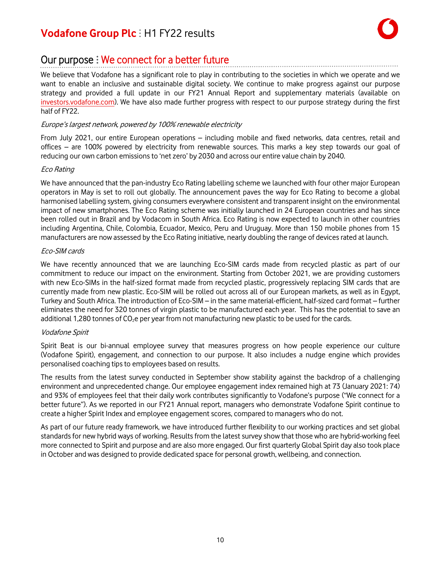### Our purpose : We connect for a better future

We believe that Vodafone has a significant role to play in contributing to the societies in which we operate and we want to enable an inclusive and sustainable digital society. We continue to make progress against our purpose strategy and provided a full update in our FY21 Annual Report and supplementary materials (available on [investors.vodafone.com\)](https://investors.vodafone.com/reports-information/results-reports-presentations?tab=fy21). We have also made further progress with respect to our purpose strategy during the first half of FY22.

### Europe's largest network, powered by 100% renewable electricity

From July 2021, our entire European operations – including mobile and fixed networks, data centres, retail and offices – are 100% powered by electricity from renewable sources. This marks a key step towards our goal of reducing our own carbon emissions to 'net zero' by 2030 and across our entire value chain by 2040.

### Eco Rating

We have announced that the pan-industry Eco Rating labelling scheme we launched with four other major European operators in May is set to roll out globally. The announcement paves the way for Eco Rating to become a global harmonised labelling system, giving consumers everywhere consistent and transparent insight on the environmental impact of new smartphones. The Eco Rating scheme was initially launched in 24 European countries and has since been rolled out in Brazil and by Vodacom in South Africa. Eco Rating is now expected to launch in other countries including Argentina, Chile, Colombia, Ecuador, Mexico, Peru and Uruguay. More than 150 mobile phones from 15 manufacturers are now assessed by the Eco Rating initiative, nearly doubling the range of devices rated at launch.

### Eco-SIM cards

We have recently announced that we are launching Eco-SIM cards made from recycled plastic as part of our commitment to reduce our impact on the environment. Starting from October 2021, we are providing customers with new Eco-SIMs in the half-sized format made from recycled plastic, progressively replacing SIM cards that are currently made from new plastic. Eco-SIM will be rolled out across all of our European markets, as well as in Egypt, Turkey and South Africa. The introduction of Eco-SIM – in the same material-efficient, half-sized card format – further eliminates the need for 320 tonnes of virgin plastic to be manufactured each year. This has the potential to save an additional 1,280 tonnes of  $CO<sub>2</sub>e$  per year from not manufacturing new plastic to be used for the cards.

### Vodafone Spirit

Spirit Beat is our bi-annual employee survey that measures progress on how people experience our culture (Vodafone Spirit), engagement, and connection to our purpose. It also includes a nudge engine which provides personalised coaching tips to employees based on results.

The results from the latest survey conducted in September show stability against the backdrop of a challenging environment and unprecedented change. Our employee engagement index remained high at 73 (January 2021: 74) and 93% of employees feel that their daily work contributes significantly to Vodafone's purpose ("We connect for a better future"). As we reported in our FY21 Annual report, managers who demonstrate Vodafone Spirit continue to create a higher Spirit Index and employee engagement scores, compared to managers who do not.

As part of our future ready framework, we have introduced further flexibility to our working practices and set global standards for new hybrid ways of working. Results from the latest survey show that those who are hybrid-working feel more connected to Spirit and purpose and are also more engaged. Our first quarterly Global Spirit day also took place in October and was designed to provide dedicated space for personal growth, wellbeing, and connection.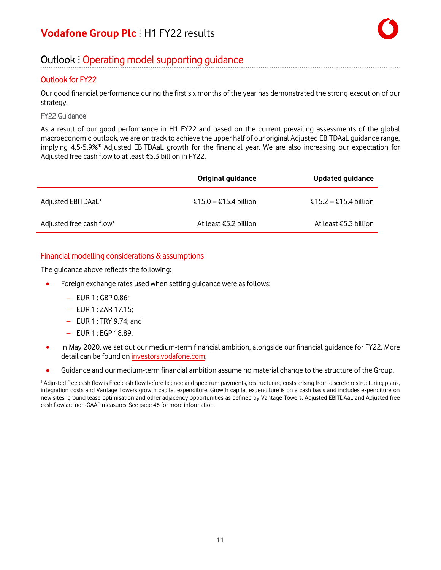### Outlook : Operating model supporting guidance

### Outlook for FY22

Our good financial performance during the first six months of the year has demonstrated the strong execution of our strategy.

### FY22 Guidance

As a result of our good performance in H1 FY22 and based on the current prevailing assessments of the global macroeconomic outlook, we are on track to achieve the upper half of our original Adjusted EBITDAaL guidance range, implying 4.5-5.9%\* Adjusted EBITDAaL growth for the financial year. We are also increasing our expectation for Adjusted free cash flow to at least €5.3 billion in FY22.

|                                      | <b>Original guidance</b> | <b>Updated guidance</b> |
|--------------------------------------|--------------------------|-------------------------|
| Adjusted EBITDAaL <sup>1</sup>       | €15.0 – €15.4 billion    | $€15.2 - €15.4$ billion |
| Adjusted free cash flow <sup>1</sup> | At least €5.2 billion    | At least €5.3 billion   |

### Financial modelling considerations & assumptions

The guidance above reflects the following:

- Foreign exchange rates used when setting guidance were as follows:
	- − EUR 1 : GBP 0.86;
	- − EUR 1 : ZAR 17.15;
	- − EUR 1 : TRY 9.74; and
	- − EUR 1 : EGP 18.89.
- In May 2020, we set out our medium-term financial ambition, alongside our financial guidance for FY22. More detail can be found on [investors.vodafone.com;](https://investors.vodafone.com/)
- Guidance and our medium-term financial ambition assume no material change to the structure of the Group.

<sup>1</sup> Adjusted free cash flow is Free cash flow before licence and spectrum payments, restructuring costs arising from discrete restructuring plans, integration costs and Vantage Towers growth capital expenditure. Growth capital expenditure is on a cash basis and includes expenditure on new sites, ground lease optimisation and other adjacency opportunities as defined by Vantage Towers. Adjusted EBITDAaL and Adjusted free cash flow are non-GAAP measures. See page 46 for more information.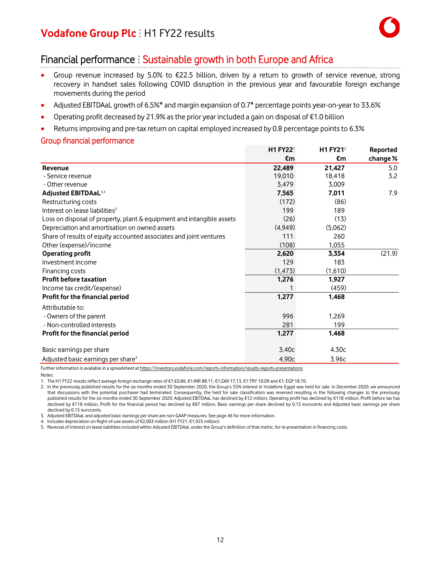### Financial performance : Sustainable growth in both Europe and Africa

- Group revenue increased by 5.0% to €22.5 billion, driven by a return to growth of service revenue, strong recovery in handset sales following COVID disruption in the previous year and favourable foreign exchange movements during the period
- Adjusted EBITDAaL growth of 6.5%\* and margin expansion of 0.7\* percentage points year-on-year to 33.6%
- Operating profit decreased by 21.9% asthe prior year included a gain on disposal of €1.0 billion
- Returns improving and pre-tax return on capital employed increased by 0.8 percentage points to 6.3%

### Group financial performance

|                                                                       | <b>H1 FY221</b> | H1 $FY21^2$ | Reported |
|-----------------------------------------------------------------------|-----------------|-------------|----------|
|                                                                       | €m              | €m          | change % |
| Revenue                                                               | 22,489          | 21,427      | 5.0      |
| - Service revenue                                                     | 19,010          | 18,418      | 3.2      |
| - Other revenue                                                       | 3,479           | 3,009       |          |
| Adjusted EBITDAaL <sup>3,4</sup>                                      | 7,565           | 7,011       | 7.9      |
| Restructuring costs                                                   | (172)           | (86)        |          |
| Interest on lease liabilities <sup>5</sup>                            | 199             | 189         |          |
| Loss on disposal of property, plant & equipment and intangible assets | (26)            | (13)        |          |
| Depreciation and amortisation on owned assets                         | (4,949)         | (5,062)     |          |
| Share of results of equity accounted associates and joint ventures    | 111             | 260         |          |
| Other (expense)/income                                                | (108)           | 1,055       |          |
| <b>Operating profit</b>                                               | 2,620           | 3,354       | (21.9)   |
| Investment income                                                     | 129             | 183         |          |
| Financing costs                                                       | (1, 473)        | (1,610)     |          |
| <b>Profit before taxation</b>                                         | 1,276           | 1,927       |          |
| Income tax credit/(expense)                                           |                 | (459)       |          |
| Profit for the financial period                                       | 1,277           | 1,468       |          |
| Attributable to:                                                      |                 |             |          |
| - Owners of the parent                                                | 996             | 1,269       |          |
| - Non-controlled interests                                            | 281             | 199         |          |
| Profit for the financial period                                       | 1,277           | 1,468       |          |
| Basic earnings per share                                              | 3.40c           | 4.30c       |          |
| Adjusted basic earnings per share <sup>3</sup>                        | 4.90c           | 3.96c       |          |

Further information is available in a spreadsheet at https://investors.vodafone.com/reports-information/results-reports-presentations

Notes:

1. The H1 FY22 results reflect average foreign exchange rates of €1:£0.86, €1:INR 88.11, €1:ZAR 17.13, €1:TRY 10.09 and €1: EGP 18.70.

2. In the previously published results for the six months ended 30 September 2020, the Group's 55% interest in Vodafone Egypt was held for sale. In December 2020, we announced that discussions with the potential purchaser had terminated. Consequently, the held for sale classification was reversed resulting in the following changes to the previously published results for the six months ended 30 September 2020: Adjusted EBITDAaL has declined by €12 million, Operating profit has declined by €118 million, Profit before tax has declined by €118 million, Profit for the financial period has declined by €87 million, Basic earnings per share declined by 0.15 eurocents and Adjusted basic earnings per share declined by 0.15 eurocents.

3. Adjusted EBITDAaL and adjusted basic earnings pershare are non-GAAP measures. See page 46 for more information.

4. Includes depreciation on Right-of-use assets of €2,003 million (H1 FY21: €1,925 million).

5. Reversal of interest on lease liabilities included within Adjusted EBITDAaL under the Group's definition of that metric, for re-presentation in financing costs.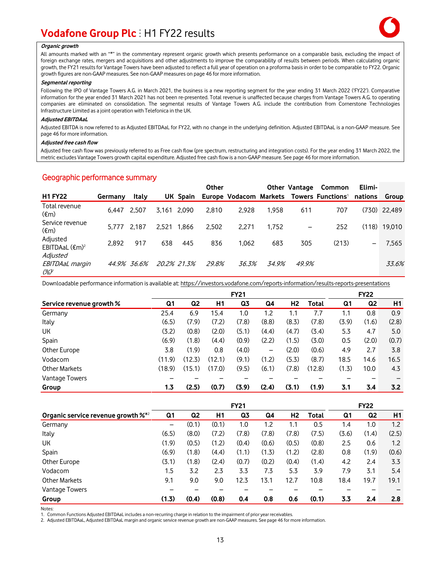#### **Organic growth**

All amounts marked with an "\*" in the commentary represent organic growth which presents performance on a comparable basis, excluding the impact of foreign exchange rates, mergers and acquisitions and other adjustments to improve the comparability of results between periods. When calculating organic growth, the FY21 resultsfor Vantage Towers have been adjusted to reflect a full year of operation on a proforma basisin order to be comparable to FY22. Organic growth figures are non-GAAP measures. See non-GAAP measures on page 46 for more information.

#### **Segmental reporting**

Following the IPO of Vantage Towers A.G. in March 2021, the business is a new reporting segment for the year ending 31 March 2022 ('FY22'). Comparative information for the year ended 31 March 2021 has not been re-presented. Total revenue is unaffected because charges from Vantage Towers A.G. to operating companies are eliminated on consolidation. The segmental results of Vantage Towers A.G. include the contribution from Cornerstone Technologies Infrastructure Limited as a joint operation with Telefonica in the UK.

#### **Adjusted EBITDAaL**

Adjusted EBITDA is now referred to as Adjusted EBITDAaL for FY22, with no change in the underlying definition. Adjusted EBITDAaL is a non-GAAP measure. See page 46 for more information.

#### **Adjusted free cash flow**

Adjusted free cash flow was previously referred to as Free cash flow (pre spectrum, restructuring and integration costs). For the year ending 31 March 2022, the metric excludes Vantage Towers growth capital expenditure. Adjusted free cash flow is a non-GAAP measure. See page 46 for more information.

### Geographic performance summary

|                                       |         |             |             |       | <b>Other</b> |       |       | Other Vantage            | Common                                                        | Elimi-          |              |
|---------------------------------------|---------|-------------|-------------|-------|--------------|-------|-------|--------------------------|---------------------------------------------------------------|-----------------|--------------|
| <b>H1 FY22</b>                        | Germany | Italy       |             |       |              |       |       |                          | UK Spain Europe Vodacom Markets Towers Functions <sup>1</sup> | nations         | Group        |
| Total revenue<br>$(\epsilon m)$       | 6.447   | 2.507       | 3.161 2.090 |       | 2,810        | 2.928 | 1.958 | 611                      | 707                                                           |                 | (730) 22.489 |
| Service revenue<br>$(\epsilon m)$     | 5.777   | 2.187       | 2,521       | 1.866 | 2,502        | 2.271 | 1,752 | $\overline{\phantom{m}}$ | 252                                                           | (118)           | 19,010       |
| Adjusted<br>EBITDAaL $(\epsilon m)^2$ | 2.892   | 917         | 638         | 445   | 836          | 1.062 | 683   | 305                      | (213)                                                         | $\qquad \qquad$ | 7,565        |
| Adjusted<br>EBITDAaL margin<br>(%)    |         | 44.9% 36.6% | 20.2% 21.3% |       | 29.8%        | 36.3% | 34.9% | 49.9%                    |                                                               |                 | 33.6%        |

Downloadable performance information is available at: https://investors.vodafone.com/reports-information/results-reports-presentations

|                          |        |                |        | <b>FY21</b> |                 |                |        |       | <b>FY22</b>    |       |
|--------------------------|--------|----------------|--------|-------------|-----------------|----------------|--------|-------|----------------|-------|
| Service revenue growth % | Q1     | Q <sub>2</sub> | H1     | Q3          | Q4              | H <sub>2</sub> | Total  | Q1    | Q <sub>2</sub> | H1    |
| Germany                  | 25.4   | 6.9            | 15.4   | 1.0         | 1.2             | 1.1            | 7.7    | 1.1   | 0.8            | 0.9   |
| Italy                    | (6.5)  | (7.9)          | (7.2)  | (7.8)       | (8.8)           | (8.3)          | (7.8)  | (3.9) | (1.6)          | (2.8) |
| UК                       | (3.2)  | (0.8)          | (2.0)  | (5.1)       | (4.4)           | (4.7)          | (3.4)  | 5.3   | 4.7            | 5.0   |
| Spain                    | (6.9)  | (1.8)          | (4.4)  | (0.9)       | (2.2)           | (1.5)          | (3.0)  | 0.5   | (2.0)          | (0.7) |
| Other Europe             | 3.8    | (1.9)          | 0.8    | (4.0)       | $\qquad \qquad$ | (2.0)          | (0.6)  | 4.9   | 2.7            | 3.8   |
| Vodacom                  | (11.9) | (12.3)         | (12.1) | (9.1)       | (1.2)           | (5.3)          | (8.7)  | 18.5  | 14.6           | 16.5  |
| <b>Other Markets</b>     | (18.9) | (15.1)         | (17.0) | (9.5)       | (6.1)           | (7.8)          | (12.8) | (1.3) | 10.0           | 4.3   |
| Vantage Towers           |        |                |        |             |                 |                |        |       |                |       |
| Group                    | 1.3    | (2.5)          | (0.7)  | (3.9)       | (2.4)           | (3.1)          | (1.9)  | 3.1   | 3.4            | 3.2   |

|                                                   |       |                |       | <b>FY21</b> |       |       |       |       | <b>FY22</b>    |       |
|---------------------------------------------------|-------|----------------|-------|-------------|-------|-------|-------|-------|----------------|-------|
| Organic service revenue growth $\mathcal{X}^{*2}$ | Q1    | Q <sub>2</sub> | H1    | Q3          | Q4    | H2    | Total | Q1    | Q <sub>2</sub> | H1    |
| Germany                                           | -     | (0.1)          | (0.1) | 1.0         | 1.2   | 1.1   | 0.5   | 1.4   | 1.0            | 1.2   |
| Italy                                             | (6.5) | (8.0)          | (7.2) | (7.8)       | (7.8) | (7.8) | (7.5) | (3.6) | (1.4)          | (2.5) |
| <b>UK</b>                                         | (1.9) | (0.5)          | (1.2) | (0.4)       | (0.6) | (0.5) | (0.8) | 2.5   | 0.6            | 1.2   |
| Spain                                             | (6.9) | (1.8)          | (4.4) | (1.1)       | (1.3) | (1.2) | (2.8) | 0.8   | (1.9)          | (0.6) |
| Other Europe                                      | (3.1) | (1.8)          | (2.4) | (0.7)       | (0.2) | (0.4) | (1.4) | 4.2   | 2.4            | 3.3   |
| Vodacom                                           | 1.5   | 3.2            | 2.3   | 3.3         | 7.3   | 5.3   | 3.9   | 7.9   | 3.1            | 5.4   |
| <b>Other Markets</b>                              | 9.1   | 9.0            | 9.0   | 12.3        | 13.1  | 12.7  | 10.8  | 18.4  | 19.7           | 19.1  |
| Vantage Towers                                    |       |                |       |             |       |       |       |       |                |       |
| Group                                             | (1.3) | (0.4)          | (0.8) | 0.4         | 0.8   | 0.6   | (0.1) | 3.3   | 2.4            | 2.8   |

Notes:

1. Common Functions Adjusted EBITDAaL includes a non-recurring charge in relation to the impairment of prior year receivables.

2. Adjusted EBITDAaL, Adjusted EBITDAaL margin and organic service revenue growth are non-GAAP measures. See page 46 for more information.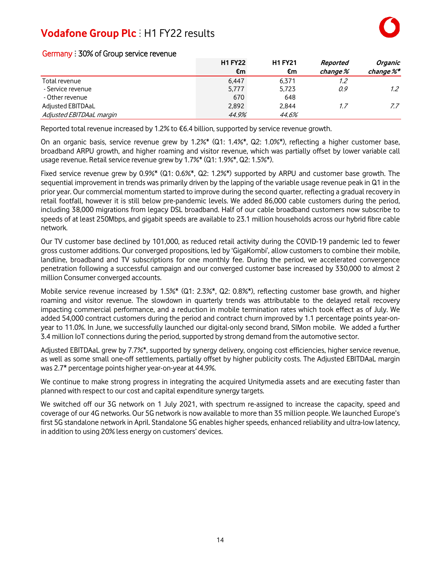|                          | <b>H1 FY22</b> | <b>H1 FY21</b> | Reported | Organic       |
|--------------------------|----------------|----------------|----------|---------------|
|                          | €m             | €m             | change % | change %*     |
| Total revenue            | 6.447          | 6.371          | 1.2      |               |
| - Service revenue        | 5,777          | 5,723          | 0.9      | $1.2^{\circ}$ |
| - Other revenue          | 670            | 648            |          |               |
| Adjusted EBITDAaL        | 2.892          | 2.844          | 1.7      | 7.7           |
| Adjusted EBITDAaL margin | 44.9%          | 44.6%          |          |               |

### Germany : 30% of Group service revenue

Reported total revenue increased by 1.2% to €6.4 billion, supported by service revenue growth.

On an organic basis, service revenue grew by 1.2%\* (Q1: 1.4%\*, Q2: 1.0%\*), reflecting a higher customer base, broadband ARPU growth, and higher roaming and visitor revenue, which was partially offset by lower variable call usage revenue. Retail service revenue grew by 1.7%\* (Q1: 1.9%\*, Q2: 1.5%\*).

Fixed service revenue grew by 0.9%\* (Q1: 0.6%\*, Q2: 1.2%\*) supported by ARPU and customer base growth. The sequential improvement in trends was primarily driven by the lapping of the variable usage revenue peak in Q1 in the prior year. Our commercial momentum started to improve during the second quarter, reflecting a gradual recovery in retail footfall, however it is still below pre-pandemic levels. We added 86,000 cable customers during the period, including 38,000 migrations from legacy DSL broadband. Half of our cable broadband customers now subscribe to speeds of at least 250Mbps, and gigabit speeds are available to 23.1 million households across our hybrid fibre cable network.

Our TV customer base declined by 101,000, as reduced retail activity during the COVID-19 pandemic led to fewer gross customer additions. Our converged propositions, led by 'GigaKombi', allow customers to combine their mobile, landline, broadband and TV subscriptions for one monthly fee. During the period, we accelerated convergence penetration following a successful campaign and our converged customer base increased by 330,000 to almost 2 million Consumer converged accounts.

Mobile service revenue increased by 1.5%\* (Q1: 2.3%\*, Q2: 0.8%\*), reflecting customer base growth, and higher roaming and visitor revenue. The slowdown in quarterly trends was attributable to the delayed retail recovery impacting commercial performance, and a reduction in mobile termination rates which took effect as of July. We added 54,000 contract customers during the period and contract churn improved by 1.1 percentage points year-onyear to 11.0%. In June, we successfully launched our digital-only second brand, SIMon mobile. We added a further 3.4 million IoT connections during the period, supported by strong demand from the automotive sector.

Adjusted EBITDAaL grew by 7.7%\*, supported by synergy delivery, ongoing cost efficiencies, higher service revenue, as well as some small one-off settlements, partially offset by higher publicity costs. The Adjusted EBITDAaL margin was 2.7\* percentage points higher year-on-year at 44.9%.

We continue to make strong progress in integrating the acquired Unitymedia assets and are executing faster than planned with respect to our cost and capital expenditure synergy targets.

We switched off our 3G network on 1 July 2021, with spectrum re-assigned to increase the capacity, speed and coverage of our 4G networks. Our 5G network is now available to more than 35 million people. We launched Europe's first 5G standalone network in April. Standalone 5G enables higher speeds, enhanced reliability and ultra-low latency, in addition to using 20% less energy on customers' devices.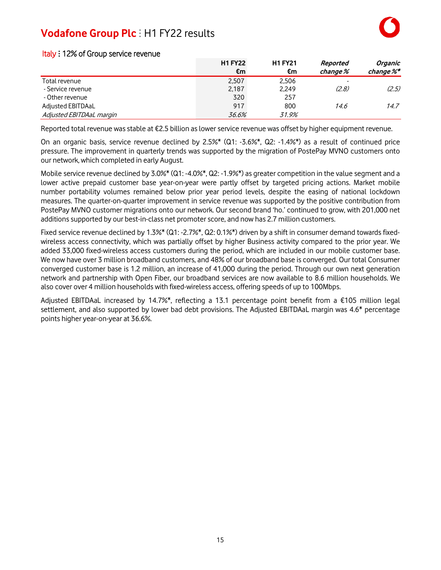|                          | <b>H1 FY22</b> | <b>H1 FY21</b> | Reported | Organic   |
|--------------------------|----------------|----------------|----------|-----------|
|                          | €m             | €m             | change % | change %* |
| Total revenue            | 2.507          | 2,506          |          |           |
| - Service revenue        | 2,187          | 2,249          | (2,8)    | (2.5)     |
| - Other revenue          | 320            | 257            |          |           |
| Adjusted EBITDAaL        | 917            | 800            | 14.6     | 14.7      |
| Adjusted EBITDAaL margin | 36.6%          | 31.9%          |          |           |

### Italy : 12% of Group service revenue

Reported total revenue was stable at €2.5 billion as lower service revenue was offset by higher equipment revenue.

On an organic basis, service revenue declined by 2.5%\* (Q1: -3.6%\*, Q2: -1.4%\*) as a result of continued price pressure. The improvement in quarterly trends was supported by the migration of PostePay MVNO customers onto our network, which completed in early August.

Mobile service revenue declined by 3.0%\* (Q1: -4.0%\*, Q2: -1.9%\*) as greater competition in the value segment and a lower active prepaid customer base year-on-year were partly offset by targeted pricing actions. Market mobile number portability volumes remained below prior year period levels, despite the easing of national lockdown measures. The quarter-on-quarter improvement in service revenue was supported by the positive contribution from PostePay MVNO customer migrations onto our network. Our second brand 'ho.' continued to grow, with 201,000 net additions supported by our best-in-class net promoter score, and now has 2.7 million customers.

Fixed service revenue declined by 1.3%\* (Q1: -2.7%\*, Q2: 0.1%\*) driven by a shift in consumer demand towards fixedwireless access connectivity, which was partially offset by higher Business activity compared to the prior year. We added 33,000 fixed-wireless access customers during the period, which are included in our mobile customer base. We now have over 3 million broadband customers, and 48% of our broadband base is converged. Our total Consumer converged customer base is 1.2 million, an increase of 41,000 during the period. Through our own next generation network and partnership with Open Fiber, our broadband services are now available to 8.6 million households. We also cover over 4 million households with fixed-wireless access, offering speeds of up to 100Mbps.

Adjusted EBITDAaL increased by 14.7%\*, reflecting a 13.1 percentage point benefit from a €105 million legal settlement, and also supported by lower bad debt provisions. The Adjusted EBITDAaL margin was 4.6\* percentage points higher year-on-year at 36.6%.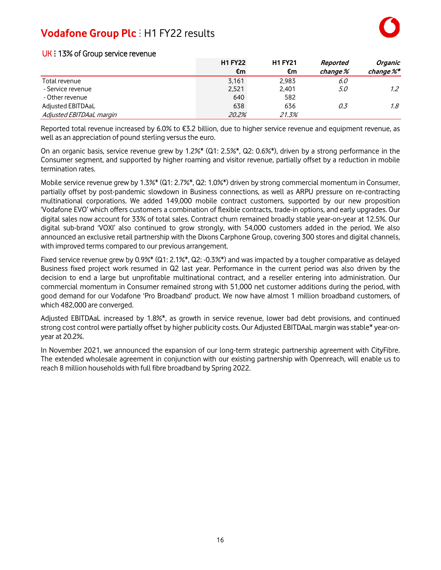|                          | <b>H1 FY22</b> | <b>H1 FY21</b> | Reported | Organic       |
|--------------------------|----------------|----------------|----------|---------------|
|                          | €m             | €m             | change % | change %*     |
| Total revenue            | 3.161          | 2.983          | 6.0      |               |
| - Service revenue        | 2,521          | 2,401          | 5.0      | $1.2^{\circ}$ |
| - Other revenue          | 640            | 582            |          |               |
| Adjusted EBITDAaL        | 638            | 636            | 0.3      | $1.8^{\circ}$ |
| Adjusted EBITDAaL margin | 20.2%          | 21.3%          |          |               |

### UK: 13% of Group service revenue

Reported total revenue increased by 6.0% to €3.2 billion, due to higher service revenue and equipment revenue, as well as an appreciation of pound sterling versus the euro.

On an organic basis, service revenue grew by 1.2%\* (Q1: 2.5%\*, Q2: 0.6%\*), driven by a strong performance in the Consumer segment, and supported by higher roaming and visitor revenue, partially offset by a reduction in mobile termination rates.

Mobile service revenue grew by 1.3%\* (Q1: 2.7%\*, Q2: 1.0%\*) driven by strong commercial momentum in Consumer, partially offset by post-pandemic slowdown in Business connections, as well as ARPU pressure on re-contracting multinational corporations. We added 149,000 mobile contract customers, supported by our new proposition 'Vodafone EVO' which offers customers a combination of flexible contracts, trade-in options, and early upgrades. Our digital sales now account for 33% of total sales. Contract churn remained broadly stable year-on-year at 12.5%. Our digital sub-brand 'VOXI' also continued to grow strongly, with 54,000 customers added in the period. We also announced an exclusive retail partnership with the Dixons Carphone Group, covering 300 stores and digital channels, with improved terms compared to our previous arrangement.

Fixed service revenue grew by 0.9%\* (Q1: 2.1%\*, Q2: -0.3%\*) and was impacted by a tougher comparative as delayed Business fixed project work resumed in Q2 last year. Performance in the current period was also driven by the decision to end a large but unprofitable multinational contract, and a reseller entering into administration. Our commercial momentum in Consumer remained strong with 51,000 net customer additions during the period, with good demand for our Vodafone 'Pro Broadband' product. We now have almost 1 million broadband customers, of which 482,000 are converged.

Adjusted EBITDAaL increased by 1.8%\*, as growth in service revenue, lower bad debt provisions, and continued strong cost control were partially offset by higher publicity costs. Our Adjusted EBITDAaL margin was stable\* year-onyear at 20.2%.

In November 2021, we announced the expansion of our long-term strategic partnership agreement with CityFibre. The extended wholesale agreement in conjunction with our existing partnership with Openreach, will enable us to reach 8 million households with full fibre broadband by Spring 2022.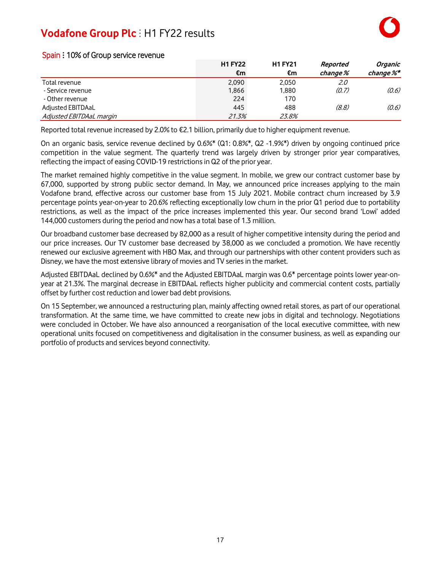|                          | <b>H1 FY22</b> | <b>H1 FY21</b> | Reported | <b>Organic</b> |
|--------------------------|----------------|----------------|----------|----------------|
|                          | €m             | €m             | change % | change %*      |
| Total revenue            | 2.090          | 2.050          | 2.0      |                |
| - Service revenue        | 1.866          | 1.880          | (0.7)    | (0.6)          |
| - Other revenue          | 224            | 170            |          |                |
| Adjusted EBITDAaL        | 445            | 488            | (8,8)    | (0.6)          |
| Adjusted EBITDAaL margin | 21.3%          | 23.8%          |          |                |

### Spain : 10% of Group service revenue

Reported total revenue increased by 2.0% to €2.1 billion, primarily due to higher equipment revenue.

On an organic basis, service revenue declined by 0.6%\* (Q1: 0.8%\*, Q2 -1.9%\*) driven by ongoing continued price competition in the value segment. The quarterly trend was largely driven by stronger prior year comparatives, reflecting the impact of easing COVID-19 restrictionsin Q2 of the prior year.

The market remained highly competitive in the value segment. In mobile, we grew our contract customer base by 67,000, supported by strong public sector demand. In May, we announced price increases applying to the main Vodafone brand, effective across our customer base from 15 July 2021. Mobile contract churn increased by 3.9 percentage points year-on-year to 20.6% reflecting exceptionally low churn in the prior Q1 period due to portability restrictions, as well as the impact of the price increases implemented this year. Our second brand 'Lowi' added 144,000 customers during the period and now has a total base of 1.3 million.

Our broadband customer base decreased by 82,000 as a result of higher competitive intensity during the period and our price increases. Our TV customer base decreased by 38,000 as we concluded a promotion. We have recently renewed our exclusive agreement with HBO Max, and through our partnerships with other content providers such as Disney, we have the most extensive library of movies and TV series in the market.

Adjusted EBITDAaL declined by 0.6%\* and the Adjusted EBITDAaL margin was 0.6\* percentage points lower year-onyear at 21.3%. The marginal decrease in EBITDAaL reflects higher publicity and commercial content costs, partially offset by further cost reduction and lower bad debt provisions.

On 15 September, we announced a restructuring plan, mainly affecting owned retail stores, as part of our operational transformation. At the same time, we have committed to create new jobs in digital and technology. Negotiations were concluded in October. We have also announced a reorganisation of the local executive committee, with new operational units focused on competitiveness and digitalisation in the consumer business, as well as expanding our portfolio of products and services beyond connectivity.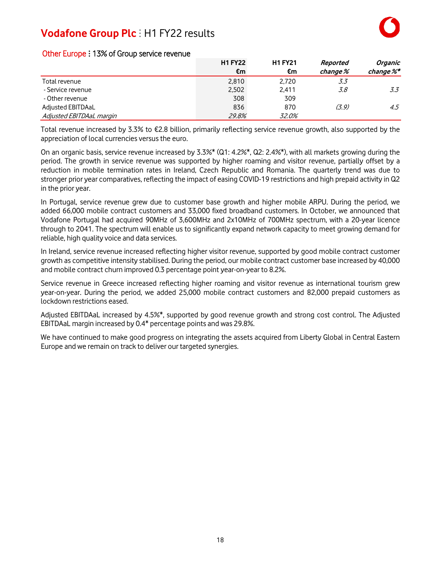|                          | <b>H1 FY22</b> | <b>H1 FY21</b> | Reported | <b>Organic</b> |
|--------------------------|----------------|----------------|----------|----------------|
|                          | €m             | €m             | change % | change %*      |
| Total revenue            | 2.810          | 2.720          | 3.3      |                |
| - Service revenue        | 2,502          | 2.411          | 3.8      | 3.3            |
| - Other revenue          | 308            | 309            |          |                |
| Adjusted EBITDAaL        | 836            | 870            | (3, 9)   | 4.5            |
| Adjusted EBITDAaL margin | 29.8%          | 32.0%          |          |                |

### Other Europe : 13% of Group service revenue

Total revenue increased by 3.3% to €2.8 billion, primarily reflecting service revenue growth, also supported by the appreciation of local currencies versus the euro.

On an organic basis, service revenue increased by 3.3%\* (Q1: 4.2%\*, Q2: 2.4%\*), with all markets growing during the period. The growth in service revenue was supported by higher roaming and visitor revenue, partially offset by a reduction in mobile termination rates in Ireland, Czech Republic and Romania. The quarterly trend was due to stronger prior year comparatives, reflecting the impact of easing COVID-19 restrictions and high prepaid activity in Q2 in the prior year.

In Portugal, service revenue grew due to customer base growth and higher mobile ARPU. During the period, we added 66,000 mobile contract customers and 33,000 fixed broadband customers. In October, we announced that Vodafone Portugal had acquired 90MHz of 3,600MHz and 2x10MHz of 700MHz spectrum, with a 20-year licence through to 2041. The spectrum will enable us to significantly expand network capacity to meet growing demand for reliable, high quality voice and data services.

In Ireland, service revenue increased reflecting higher visitor revenue, supported by good mobile contract customer growth as competitive intensity stabilised. During the period, our mobile contract customer base increased by 40,000 and mobile contract churn improved 0.3 percentage point year-on-year to 8.2%.

Service revenue in Greece increased reflecting higher roaming and visitor revenue as international tourism grew year-on-year. During the period, we added 25,000 mobile contract customers and 82,000 prepaid customers as lockdown restrictions eased.

Adjusted EBITDAaL increased by 4.5%\*, supported by good revenue growth and strong cost control. The Adjusted EBITDAaL margin increased by 0.4\* percentage points and was 29.8%.

We have continued to make good progress on integrating the assets acquired from Liberty Global in Central Eastern Europe and we remain on track to deliver our targeted synergies.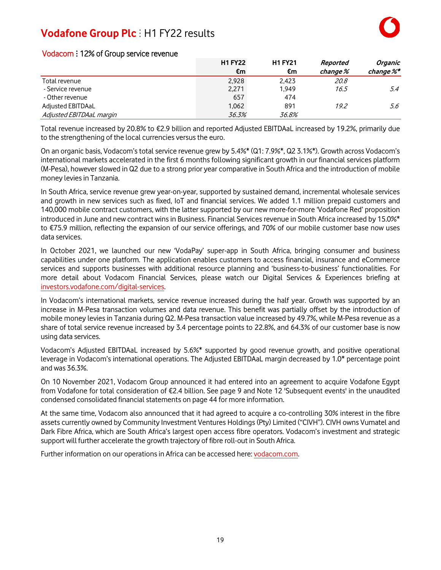|                          | <b>H1 FY22</b> | <b>H1 FY21</b> | Reported | Organic   |
|--------------------------|----------------|----------------|----------|-----------|
|                          | €m             | €m             | change % | change %* |
| Total revenue            | 2.928          | 2.423          | 20.8     |           |
| - Service revenue        | 2,271          | 1.949          | 16.5     | 5.4       |
| - Other revenue          | 657            | 474            |          |           |
| Adjusted EBITDAaL        | 1.062          | 891            | 19.2     | 5.6       |
| Adjusted EBITDAaL margin | 36.3%          | 36.8%          |          |           |

### Vodacom : 12% of Group service revenue

Total revenue increased by 20.8% to €2.9 billion and reported Adjusted EBITDAaL increased by 19.2%, primarily due to the strengthening of the local currencies versus the euro.

On an organic basis, Vodacom's total service revenue grew by 5.4%\* (Q1: 7.9%\*, Q2 3.1%\*). Growth across Vodacom's international markets accelerated in the first 6 months following significant growth in our financial services platform (M-Pesa), however slowed in Q2 due to a strong prior year comparative in South Africa and the introduction of mobile money levies in Tanzania.

In South Africa, service revenue grew year-on-year, supported by sustained demand, incremental wholesale services and growth in new services such as fixed, IoT and financial services. We added 1.1 million prepaid customers and 140,000 mobile contract customers, with the latter supported by our new more-for-more 'Vodafone Red' proposition introduced in June and new contract wins in Business. Financial Services revenue in South Africa increased by 15.0%\* to €75.9 million, reflecting the expansion of our service offerings, and 70% of our mobile customer base now uses data services.

In October 2021, we launched our new 'VodaPay' super-app in South Africa, bringing consumer and business capabilities under one platform. The application enables customers to access financial, insurance and eCommerce services and supports businesses with additional resource planning and 'business-to-business' functionalities. For more detail about Vodacom Financial Services, please watch our Digital Services & Experiences briefing at [investors.vodafone.com/digital-services.](http://www.investors.vodafone.com/digital-services)

In Vodacom's international markets, service revenue increased during the half year. Growth was supported by an increase in M-Pesa transaction volumes and data revenue. This benefit was partially offset by the introduction of mobile money levies in Tanzania during Q2. M-Pesa transaction value increased by 49.7%, while M-Pesa revenue as a share of total service revenue increased by 3.4 percentage points to 22.8%, and 64.3% of our customer base is now using data services.

Vodacom's Adjusted EBITDAaL increased by 5.6%\* supported by good revenue growth, and positive operational leverage in Vodacom's international operations. The Adjusted EBITDAaL margin decreased by 1.0\* percentage point and was 36.3%.

On 10 November 2021, Vodacom Group announced it had entered into an agreement to acquire Vodafone Egypt from Vodafone for total consideration of €2.4 billion. See page 9 and Note 12 'Subsequent events' in the unaudited condensed consolidated financial statements on page 44 for more information.

At the same time, Vodacom also announced that it had agreed to acquire a co-controlling 30% interest in the fibre assets currently owned by Community Investment Ventures Holdings (Pty) Limited ("CIVH"). CIVH owns Vumatel and Dark Fibre Africa, which are South Africa's largest open access fibre operators. Vodacom's investment and strategic support will further accelerate the growth trajectory of fibre roll-out in South Africa.

Further information on our operationsin Africa can be accessed here: [vodacom.com.](https://vodacom.com/)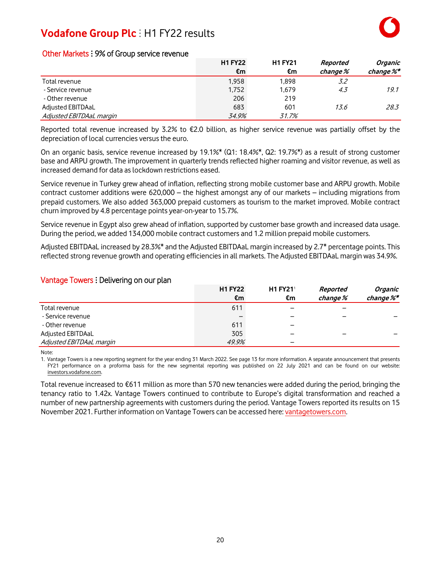|                          | <b>H1 FY22</b> | <b>H1 FY21</b> | Reported | Organic   |
|--------------------------|----------------|----------------|----------|-----------|
|                          | €m             | €m             | change % | change %* |
| Total revenue            | 1.958          | 1.898          | 3.2      |           |
| - Service revenue        | 1,752          | 1,679          | 4.3      | 19.1      |
| - Other revenue          | 206            | 219            |          |           |
| Adjusted EBITDAaL        | 683            | 601            | 13.6     | 28.3      |
| Adjusted EBITDAaL margin | 34.9%          | 31.7%          |          |           |

### Other Markets : 9% of Group service revenue

Reported total revenue increased by 3.2% to €2.0 billion, as higher service revenue was partially offset by the depreciation of local currencies versus the euro.

On an organic basis, service revenue increased by 19.1%\* (Q1: 18.4%\*, Q2: 19.7%\*) as a result of strong customer base and ARPU growth. The improvement in quarterly trends reflected higher roaming and visitor revenue, as well as increased demand for data as lockdown restrictions eased.

Service revenue in Turkey grew ahead of inflation, reflecting strong mobile customer base and ARPU growth. Mobile contract customer additions were 620,000 – the highest amongst any of our markets – including migrations from prepaid customers. We also added 363,000 prepaid customers as tourism to the market improved. Mobile contract churn improved by 4.8 percentage points year-on-year to 15.7%.

Service revenue in Egypt also grew ahead of inflation, supported by customer base growth and increased data usage. During the period, we added 134,000 mobile contract customers and 1.2 million prepaid mobile customers.

Adjusted EBITDAaL increased by 28.3%\* and the Adjusted EBITDAaL margin increased by 2.7\* percentage points. This reflected strong revenue growth and operating efficiencies in all markets. The Adjusted EBITDAaL margin was 34.9%.

#### Vantage Towers : Delivering on our plan

|                          | <b>H1 FY22</b> | <b>H1 FY21<sup>1</sup></b> | Reported | Organic                |
|--------------------------|----------------|----------------------------|----------|------------------------|
|                          | €m             | €m                         | change % | change $\mathscr{C}^*$ |
| Total revenue            | 611            | $\overline{\phantom{0}}$   |          |                        |
| - Service revenue        |                | -                          |          |                        |
| - Other revenue          | 611            | -                          |          |                        |
| Adjusted EBITDAaL        | 305            | $\overline{\phantom{0}}$   |          |                        |
| Adjusted EBITDAaL margin | 49.9%          | $\overline{\phantom{0}}$   |          |                        |

Note:

1. Vantage Towers is a new reporting segment for the year ending 31 March 2022. See page 13 for more information. A separate announcement that presents FY21 performance on a proforma basis for the new segmental reporting was published on 22 July 2021 and can be found on our website: [investors.vodafone.com.](https://investors.vodafone.com/)

Total revenue increased to €611 million as more than 570 new tenancies were added during the period, bringing the tenancy ratio to 1.42x. Vantage Towers continued to contribute to Europe's digital transformation and reached a number of new partnership agreements with customers during the period. Vantage Towers reported its results on 15 November 2021. Further information on Vantage Towers can be accessed here: [vantagetowers.com.](https://www.vantagetowers.com/)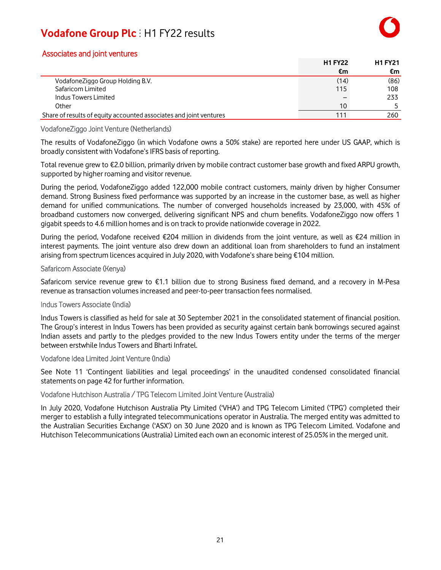### Associates and joint ventures

|                                                                    | <b>H1 FY22</b>  | <b>H1 FY21</b> |
|--------------------------------------------------------------------|-----------------|----------------|
|                                                                    | €m              | €m             |
| VodafoneZiggo Group Holding B.V.                                   | (14)            | (86)           |
| Safaricom Limited                                                  | 115             | 108            |
| Indus Towers Limited                                               |                 | 233            |
| Other                                                              | 10 <sup>°</sup> |                |
| Share of results of equity accounted associates and joint ventures | 111             | 260            |

### VodafoneZiggo Joint Venture (Netherlands)

The results of VodafoneZiggo (in which Vodafone owns a 50% stake) are reported here under US GAAP, which is broadly consistent with Vodafone's IFRS basis of reporting.

Total revenue grew to €2.0 billion, primarily driven by mobile contract customer base growth and fixed ARPU growth, supported by higher roaming and visitor revenue.

During the period, VodafoneZiggo added 122,000 mobile contract customers, mainly driven by higher Consumer demand. Strong Business fixed performance was supported by an increase in the customer base, as well as higher demand for unified communications. The number of converged households increased by 23,000, with 45% of broadband customers now converged, delivering significant NPS and churn benefits. VodafoneZiggo now offers 1 gigabit speeds to 4.6 million homes and is on track to provide nationwide coverage in 2022.

During the period, Vodafone received €204 million in dividends from the joint venture, as well as €24 million in interest payments. The joint venture also drew down an additional loan from shareholders to fund an instalment arising from spectrum licences acquired in July 2020, with Vodafone's share being €104 million.

#### Safaricom Associate (Kenya)

Safaricom service revenue grew to €1.1 billion due to strong Business fixed demand, and a recovery in M-Pesa revenue as transaction volumes increased and peer-to-peer transaction fees normalised.

#### Indus Towers Associate (India)

Indus Towers is classified as held for sale at 30 September 2021 in the consolidated statement of financial position. The Group's interest in Indus Towers has been provided as security against certain bank borrowings secured against Indian assets and partly to the pledges provided to the new Indus Towers entity under the terms of the merger between erstwhile Indus Towers and Bharti Infratel.

Vodafone Idea Limited Joint Venture (India)

See Note 11 'Contingent liabilities and legal proceedings' in the unaudited condensed consolidated financial statements on page 42 for further information.

#### Vodafone Hutchison Australia / TPG Telecom Limited Joint Venture (Australia)

In July 2020, Vodafone Hutchison Australia Pty Limited ('VHA') and TPG Telecom Limited ('TPG') completed their merger to establish a fully integrated telecommunications operator in Australia. The merged entity was admitted to the Australian Securities Exchange ('ASX') on 30 June 2020 and is known as TPG Telecom Limited. Vodafone and Hutchison Telecommunications (Australia) Limited each own an economic interest of 25.05% in the merged unit.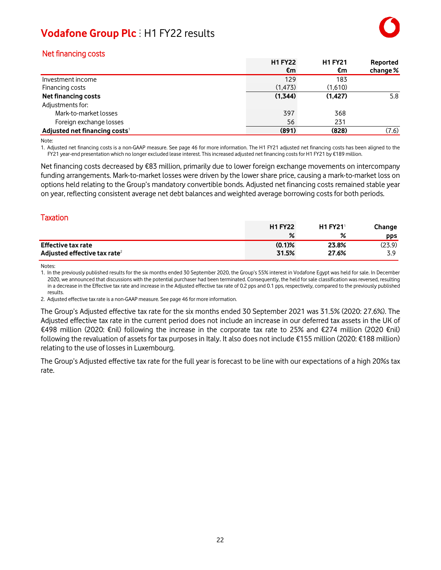### Net financing costs

|                                           | <b>H1 FY22</b> | <b>H1 FY21</b> | Reported |
|-------------------------------------------|----------------|----------------|----------|
|                                           | €m             | €m             | change % |
| Investment income                         | 129            | 183            |          |
| Financing costs                           | (1, 473)       | (1,610)        |          |
| <b>Net financing costs</b>                | (1,344)        | (1.427)        | 5.8      |
| Adjustments for:                          |                |                |          |
| Mark-to-market losses                     | 397            | 368            |          |
| Foreign exchange losses                   | 56             | 231            |          |
| Adjusted net financing costs <sup>1</sup> | (891)          | (828)          | (7.6)    |

Note:

1. Adjusted net financing costs is a non-GAAP measure. See page 46 for more information. The H1 FY21 adjusted net financing costs has been aligned to the FY21 year-end presentation which no longer excluded lease interest. This increased adjusted net financing costs for H1 FY21 by €189 million.

Net financing costs decreased by €83 million, primarily due to lower foreign exchange movements on intercompany funding arrangements. Mark-to-market losses were driven by the lower share price, causing a mark-to-market loss on options held relating to the Group's mandatory convertible bonds. Adjusted net financing costs remained stable year on year, reflecting consistent average net debt balances and weighted average borrowing costsfor both periods.

### **Taxation**

|                                          | <b>H1 FY22</b> | <b>H1 FY21</b> | Change |
|------------------------------------------|----------------|----------------|--------|
|                                          | %              |                | pps    |
| <b>Effective tax rate</b>                | $(0.1)$ %      | 23.8%          | (23.9) |
| Adjusted effective tax rate <sup>2</sup> | 31.5%          | 27.6%          | ى ج    |

Notes:

1. In the previously published results for the six months ended 30 September 2020, the Group's 55% interest in Vodafone Egypt was held for sale. In December 2020, we announced that discussions with the potential purchaser had been terminated. Consequently, the held for sale classification was reversed, resulting in a decrease in the Effective tax rate and increase in the Adjusted effective tax rate of 0.2 pps and 0.1 pps, respectively, compared to the previously published results.

2. Adjusted effective taxrate is a non-GAAP measure. See page 46 for more information.

The Group's Adjusted effective tax rate for the six months ended 30 September 2021 was 31.5% (2020: 27.6%). The Adjusted effective tax rate in the current period does not include an increase in our deferred tax assets in the UK of €498 million (2020: €nil) following the increase in the corporate tax rate to 25% and €274 million (2020 €nil) following the revaluation of assets for tax purposesin Italy. It also does not include €155 million (2020: €188 million) relating to the use of losses in Luxembourg.

The Group's Adjusted effective tax rate for the full year is forecast to be line with our expectations of a high 20%s tax rate.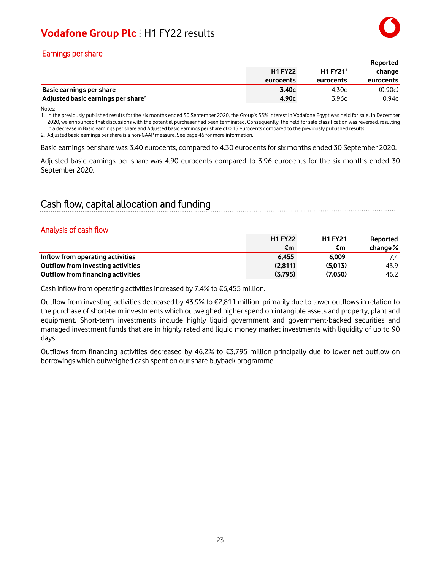### Earnings per share

|                                                |                |                            | Reported  |
|------------------------------------------------|----------------|----------------------------|-----------|
|                                                | <b>H1 FY22</b> | <b>H1 FY21<sup>1</sup></b> | change    |
|                                                | eurocents      | eurocents                  | eurocents |
| Basic earnings per share                       | 3.40c          | 4.30c                      | (0.90c)   |
| Adjusted basic earnings per share <sup>2</sup> | 4.90c          | 3.96c                      | 0.94c     |

Notes:

1. In the previously published results for the six months ended 30 September 2020, the Group's 55% interest in Vodafone Egypt was held for sale. In December 2020, we announced that discussions with the potential purchaser had been terminated. Consequently, the held for sale classification was reversed, resulting in a decrease in Basic earnings per share and Adjusted basic earnings per share of 0.15 eurocents compared to the previously published results.

2. Adjusted basic earnings per share is a non-GAAP measure. See page 46 for more information.

Basic earnings pershare was 3.40 eurocents, compared to 4.30 eurocentsfor six months ended 30 September 2020.

Adjusted basic earnings per share was 4.90 eurocents compared to 3.96 eurocents for the six months ended 30 September 2020.

### Cash flow, capital allocation and funding

### Analysis of cash flow

|                                   | <b>H1 FY22</b> | <b>H1 FY21</b> | Reported   |
|-----------------------------------|----------------|----------------|------------|
|                                   | €m             | €m             | change $%$ |
| Inflow from operating activities  | 6.455          | 6.009          | 7.4        |
| Outflow from investing activities | (2.811)        | (5.013)        | 43.9       |
| Outflow from financing activities | (3.795)        | (7.050)        | 46.2       |

Cash inflow from operating activities increased by 7.4% to  $\epsilon$ 6,455 million.

Outflow from investing activities decreased by 43.9% to €2,811 million, primarily due to lower outflows in relation to the purchase of short-term investments which outweighed higher spend on intangible assets and property, plant and equipment. Short-term investments include highly liquid government and government-backed securities and managed investment funds that are in highly rated and liquid money market investments with liquidity of up to 90 days.

Outflows from financing activities decreased by 46.2% to €3,795 million principally due to lower net outflow on borrowings which outweighed cash spent on ourshare buyback programme.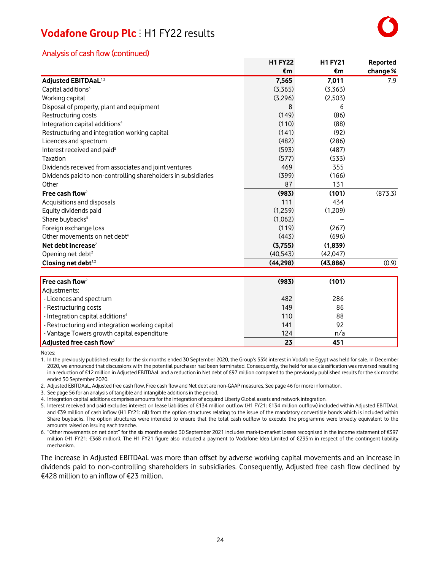### Analysis of cash flow (continued)

|                                                                | <b>H1 FY22</b> | <b>H1 FY21</b> | Reported |
|----------------------------------------------------------------|----------------|----------------|----------|
|                                                                | €m             | €m             | change % |
| Adjusted EBITDAaL <sup>1,2</sup>                               | 7,565          | 7,011          | 7.9      |
| Capital additions <sup>3</sup>                                 | (3,365)        | (3,363)        |          |
| Working capital                                                | (3,296)        | (2,503)        |          |
| Disposal of property, plant and equipment                      | 8              | 6              |          |
| Restructuring costs                                            | (149)          | (86)           |          |
| Integration capital additions <sup>4</sup>                     | (110)          | (88)           |          |
| Restructuring and integration working capital                  | (141)          | (92)           |          |
| Licences and spectrum                                          | (482)          | (286)          |          |
| Interest received and paid <sup>5</sup>                        | (593)          | (487)          |          |
| Taxation                                                       | (577)          | (533)          |          |
| Dividends received from associates and joint ventures          | 469            | 355            |          |
| Dividends paid to non-controlling shareholders in subsidiaries | (399)          | (166)          |          |
| Other                                                          | 87             | 131            |          |
| Free cash flow <sup>2</sup>                                    | (983)          | (101)          | (873.3)  |
| Acquisitions and disposals                                     | 111            | 434            |          |
| Equity dividends paid                                          | (1,259)        | (1,209)        |          |
| Share buybacks <sup>5</sup>                                    | (1,062)        |                |          |
| Foreign exchange loss                                          | (119)          | (267)          |          |
| Other movements on net debt <sup>6</sup>                       | (443)          | (696)          |          |
| Net debt increase <sup>2</sup>                                 | (3,755)        | (1, 839)       |          |
| Opening net debt <sup>2</sup>                                  | (40, 543)      | (42,047)       |          |
| Closing net debt <sup>1,2</sup>                                | (44, 298)      | (43, 886)      | (0.9)    |
|                                                                |                |                |          |
| Free cash flow <sup>2</sup>                                    | (983)          | (101)          |          |
| Adjustments:                                                   |                |                |          |
| - Licences and spectrum                                        | 482            | 286            |          |
| - Restructuring costs                                          | 149            | 86             |          |
| - Integration capital additions <sup>4</sup>                   | 110            | 88             |          |
| - Restructuring and integration working capital                | 141            | 92             |          |
| - Vantage Towers growth capital expenditure                    | 124            | n/a            |          |
| Adjusted free cash flow <sup>2</sup>                           | 23             | 451            |          |

Notes:

1. In the previously published results for the six months ended 30 September 2020, the Group's 55% interest in Vodafone Egypt was held for sale. In December 2020, we announced that discussions with the potential purchaser had been terminated. Consequently, the held for sale classification was reversed resulting in a reduction of €12 million in Adjusted EBITDAaL and a reduction in Net debt of €97 million compared to the previously published resultsfor the six months ended 30 September 2020.

2. Adjusted EBITDAaL, Adjusted free cash flow, Free cash flow and Net debt are non-GAAP measures. See page 46 for more information.

3. See page 56 for an analysis of tangible and intangible additionsin the period.

4. Integration capital additions comprises amounts for the integration of acquired Liberty Global assets and network integration.

5. Interest received and paid excludes interest on lease liabilities of €134 million outflow (H1 FY21: €134 million outflow) included within Adjusted EBITDAaL and €39 million of cash inflow (H1 FY21: nil) from the option structures relating to the issue of the mandatory convertible bonds which is included within Share buybacks. The option structures were intended to ensure that the total cash outflow to execute the programme were broadly equivalent to the amounts raised on issuing each tranche.

6. "Other movements on net debt" for the six months ended 30 September 2021 includes mark-to-market losses recognised in the income statement of €397 million (H1 FY21: €368 million). The H1 FY21 figure also included a payment to Vodafone Idea Limited of €235m in respect of the contingent liability mechanism.

The increase in Adjusted EBITDAaL was more than offset by adverse working capital movements and an increase in dividends paid to non-controlling shareholders in subsidiaries. Consequently, Adjusted free cash flow declined by €428 million to an inflow of €23 million.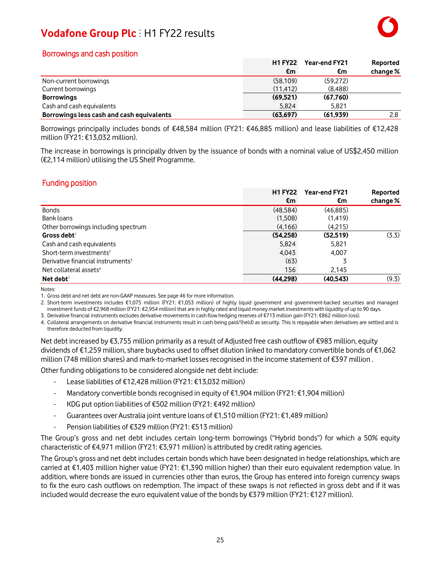### Borrowings and cash position

|                                           | <b>H1 FY22</b> | <b>Year-end FY21</b> | Reported   |
|-------------------------------------------|----------------|----------------------|------------|
|                                           | €m             | €m                   | change $%$ |
| Non-current borrowings                    | (58, 109)      | (59.272)             |            |
| Current borrowings                        | (11.412)       | (8,488)              |            |
| <b>Borrowings</b>                         | (69, 521)      | (67,760)             |            |
| Cash and cash equivalents                 | 5.824          | 5.821                |            |
| Borrowings less cash and cash equivalents | (63, 697)      | (61.939)             | 2.8        |

Borrowings principally includes bonds of €48,584 million (FY21: €46,885 million) and lease liabilities of €12,428 million (FY21: €13,032 million).

The increase in borrowings is principally driven by the issuance of bonds with a nominal value of US\$2,450 million (€2,114 million) utilising the US Shelf Programme.

### Funding position

|                                               | <b>H1 FY22</b> | <b>Year-end FY21</b> | Reported   |
|-----------------------------------------------|----------------|----------------------|------------|
|                                               | €m             | €m                   | change $%$ |
| <b>Bonds</b>                                  | (48.584)       | (46.885)             |            |
| Bank loans                                    | (1.508)        | (1, 419)             |            |
| Other borrowings including spectrum           | (4, 166)       | (4,215)              |            |
| Gross debt $^1$                               | (54,258)       | (52.519)             | (3.3)      |
| Cash and cash equivalents                     | 5,824          | 5,821                |            |
| Short-term investments <sup>2</sup>           | 4,043          | 4.007                |            |
| Derivative financial instruments <sup>3</sup> | (63)           |                      |            |
| Net collateral assets <sup>4</sup>            | 156            | 2,145                |            |
| Net debt $^1$                                 | (44,298)       | (40.543)             | (9.3)      |

Notes:

1. Gross debt and net debt are non-GAAP measures. See page 46 for more information.

2. Short-term investments includes €1,075 million (FY21: €1,053 million) of highly liquid government and government-backed securities and managed investment funds of €2,968 million (FY21: €2,954 million) that are in highly rated and liquid money market investments with liquidity of up to 90 days. 3. Derivative financial instruments excludes derivative movementsin cash flow hedging reserves of €713 million gain (FY21: €862 million loss).

4. Collateral arrangements on derivative financial instruments result in cash being paid/(held) as security. This is repayable when derivatives are settled and is therefore deducted from liquidity.

Net debt increased by €3,755 million primarily as a result of Adjusted free cash outflow of €983 million, equity dividends of €1,259 million,share buybacks used to offset dilution linked to mandatory convertible bonds of €1,062 million (748 million shares) and mark-to-market losses recognised in the income statement of €397 million .

Other funding obligations to be considered alongside net debt include:

- Lease liabilities of €12,428 million (FY21: €13,032 million)
- Mandatory convertible bonds recognised in equity of €1,904 million (FY21: €1,904 million)
- KDG put option liabilities of €502 million (FY21: €492 million)
- Guarantees over Australia joint venture loans of €1,510 million (FY21: €1,489 million)
- Pension liabilities of €329 million (FY21: €513 million)

The Group's gross and net debt includes certain long-term borrowings ("Hybrid bonds") for which a 50% equity characteristic of €4,971 million (FY21: €3,971 million) is attributed by credit rating agencies.

The Group's gross and net debt includes certain bonds which have been designated in hedge relationships, which are carried at €1,403 million higher value (FY21: €1,390 million higher) than their euro equivalent redemption value. In addition, where bonds are issued in currencies other than euros, the Group has entered into foreign currency swaps to fix the euro cash outflows on redemption. The impact of these swaps is not reflected in gross debt and if it was included would decrease the euro equivalent value of the bonds by €379 million (FY21: €127 million).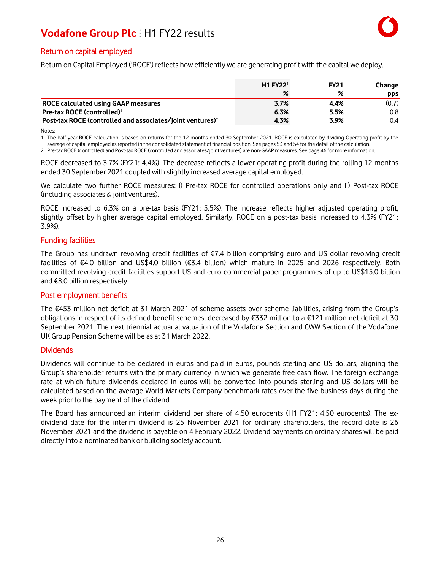### Return on capital employed

Return on Capital Employed ('ROCE') reflects how efficiently we are generating profit with the capital we deploy.

|                                                                       | <b>H1 FY22<sup>1</sup></b> | <b>FY21</b> | Change           |
|-----------------------------------------------------------------------|----------------------------|-------------|------------------|
|                                                                       | ℅                          | ℅           | <b>pps</b>       |
| ROCE calculated using GAAP measures                                   | 3.7%                       | 4.4%        | (0.7)            |
| Pre-tax ROCE (controlled) <sup>2</sup>                                | 6.3%                       | 5.5%        | 0.8 <sub>0</sub> |
| Post-tax ROCE (controlled and associates/joint ventures) <sup>2</sup> | 4.3%                       | 3.9%        | 0.4              |

Notes:

1. The half-year ROCE calculation is based on returns for the 12 months ended 30 September 2021. ROCE is calculated by dividing Operating profit by the average of capital employed asreported in the consolidated statement of financial position. See pages 53 and 54 for the detail of the calculation.

2. Pre-tax ROCE (controlled) and Post-tax ROCE (controlled and associates/joint ventures) are non-GAAP measures. See page 46 for more information.

ROCE decreased to 3.7% (FY21: 4.4%). The decrease reflects a lower operating profit during the rolling 12 months ended 30 September 2021 coupled with slightly increased average capital employed.

We calculate two further ROCE measures: i) Pre-tax ROCE for controlled operations only and ii) Post-tax ROCE (including associates & joint ventures).

ROCE increased to 6.3% on a pre-tax basis (FY21: 5.5%). The increase reflects higher adjusted operating profit, slightly offset by higher average capital employed. Similarly, ROCE on a post-tax basis increased to 4.3% (FY21: 3.9%).

### Funding facilities

The Group has undrawn revolving credit facilities of €7.4 billion comprising euro and US dollar revolving credit facilities of €4.0 billion and US\$4.0 billion (€3.4 billion) which mature in 2025 and 2026 respectively. Both committed revolving credit facilities support US and euro commercial paper programmes of up to US\$15.0 billion and €8.0 billion respectively.

#### Post employment benefits

The €453 million net deficit at 31 March 2021 of scheme assets over scheme liabilities, arising from the Group's obligations in respect of its defined benefit schemes, decreased by €332 million to a €121 million net deficit at 30 September 2021. The next triennial actuarial valuation of the Vodafone Section and CWW Section of the Vodafone UK Group Pension Scheme will be as at 31 March 2022.

#### **Dividends**

Dividends will continue to be declared in euros and paid in euros, pounds sterling and US dollars, aligning the Group's shareholder returns with the primary currency in which we generate free cash flow. The foreign exchange rate at which future dividends declared in euros will be converted into pounds sterling and US dollars will be calculated based on the average World Markets Company benchmark rates over the five business days during the week prior to the payment of the dividend.

The Board has announced an interim dividend per share of 4.50 eurocents (H1 FY21: 4.50 eurocents). The exdividend date for the interim dividend is 25 November 2021 for ordinary shareholders, the record date is 26 November 2021 and the dividend is payable on 4 February 2022. Dividend payments on ordinary shares will be paid directly into a nominated bank or building society account.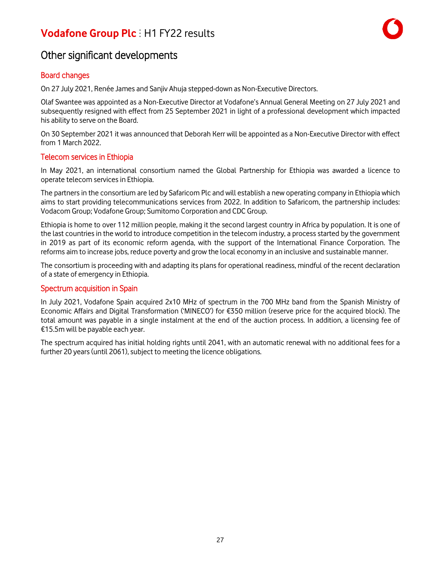### Other significant developments

### Board changes

On 27 July 2021, Renée James and Sanjiv Ahuja stepped-down as Non-Executive Directors.

Olaf Swantee was appointed as a Non-Executive Director at Vodafone's Annual General Meeting on 27 July 2021 and subsequently resigned with effect from 25 September 2021 in light of a professional development which impacted his ability to serve on the Board.

On 30 September 2021 it was announced that Deborah Kerr will be appointed as a Non-Executive Director with effect from 1 March 2022.

### Telecom services in Ethiopia

In May 2021, an international consortium named the Global Partnership for Ethiopia was awarded a licence to operate telecom services in Ethiopia.

The partners in the consortium are led by Safaricom Plc and will establish a new operating company in Ethiopia which aims to start providing telecommunications services from 2022. In addition to Safaricom, the partnership includes: Vodacom Group; Vodafone Group; Sumitomo Corporation and CDC Group.

Ethiopia is home to over 112 million people, making it the second largest country in Africa by population. It is one of the last countries in the world to introduce competition in the telecom industry, a process started by the government in 2019 as part of its economic reform agenda, with the support of the International Finance Corporation. The reforms aim to increase jobs, reduce poverty and grow the local economy in an inclusive and sustainable manner.

The consortium is proceeding with and adapting its plans for operational readiness, mindful of the recent declaration of a state of emergency in Ethiopia.

### Spectrum acquisition in Spain

In July 2021, Vodafone Spain acquired 2x10 MHz of spectrum in the 700 MHz band from the Spanish Ministry of Economic Affairs and Digital Transformation ('MINECO') for €350 million (reserve price for the acquired block). The total amount was payable in a single instalment at the end of the auction process. In addition, a licensing fee of €15.5m will be payable each year.

The spectrum acquired has initial holding rights until 2041, with an automatic renewal with no additional fees for a further 20 years (until 2061), subject to meeting the licence obligations.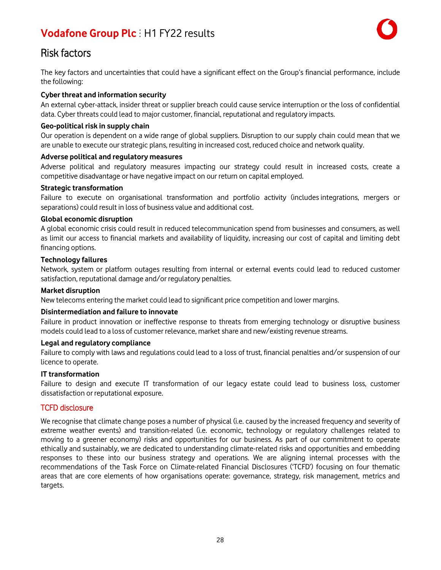

### Risk factors

The key factors and uncertainties that could have a significant effect on the Group's financial performance, include the following:

### **Cyber threat and information security**

An external cyber-attack, insider threat or supplier breach could cause service interruption or the loss of confidential data. Cyber threats could lead to major customer, financial, reputational and regulatory impacts.

#### **Geo-political risk in supply chain**

Our operation is dependent on a wide range of global suppliers. Disruption to our supply chain could mean that we are unable to execute our strategic plans, resulting in increased cost, reduced choice and network quality.

#### **Adverse political and regulatory measures**

Adverse political and regulatory measures impacting our strategy could result in increased costs, create a competitive disadvantage or have negative impact on our return on capital employed.

#### **Strategic transformation**

Failure to execute on organisational transformation and portfolio activity (includes integrations, mergers or separations) could result in loss of business value and additional cost.

### **Global economic disruption**

A global economic crisis could result in reduced telecommunication spend from businesses and consumers, as well as limit our access to financial markets and availability of liquidity, increasing our cost of capital and limiting debt financing options.

### **Technology failures**

Network, system or platform outages resulting from internal or external events could lead to reduced customer satisfaction, reputational damage and/or regulatory penalties.

#### **Market disruption**

New telecoms entering the market could lead to significant price competition and lower margins.

#### **Disintermediation and failure to innovate**

Failure in product innovation or ineffective response to threats from emerging technology or disruptive business models could lead to a loss of customer relevance, market share and new/existing revenue streams.

#### **Legal and regulatory compliance**

Failure to comply with laws and regulations could lead to a loss of trust, financial penalties and/or suspension of our licence to operate.

### **IT transformation**

Failure to design and execute IT transformation of our legacy estate could lead to business loss, customer dissatisfaction or reputational exposure.

### TCFD disclosure

We recognise that climate change poses a number of physical (i.e. caused by the increased frequency and severity of extreme weather events) and transition-related (i.e. economic, technology or regulatory challenges related to moving to a greener economy) risks and opportunities for our business. As part of our commitment to operate ethically and sustainably, we are dedicated to understanding climate-related risks and opportunities and embedding responses to these into our business strategy and operations. We are aligning internal processes with the recommendations of the Task Force on Climate-related Financial Disclosures ('TCFD') focusing on four thematic areas that are core elements of how organisations operate: governance, strategy, risk management, metrics and targets.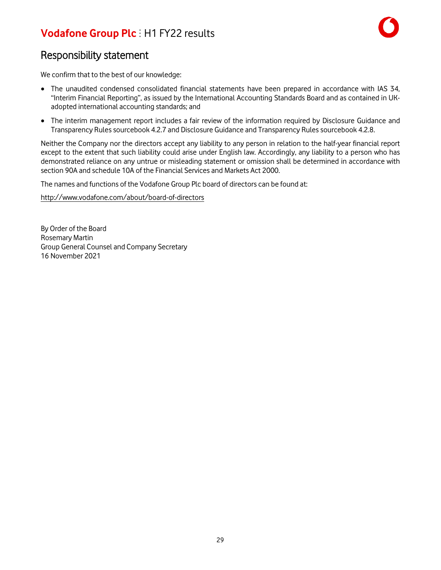

### Responsibility statement

We confirm that to the best of our knowledge:

- The unaudited condensed consolidated financial statements have been prepared in accordance with IAS 34, "Interim Financial Reporting", as issued by the International Accounting Standards Board and as contained in UKadopted international accounting standards; and
- The interim management report includes a fair review of the information required by Disclosure Guidance and Transparency Rulessourcebook 4.2.7 and Disclosure Guidance and Transparency Rules sourcebook 4.2.8.

Neither the Company nor the directors accept any liability to any person in relation to the half-year financial report except to the extent that such liability could arise under English law. Accordingly, any liability to a person who has demonstrated reliance on any untrue or misleading statement or omission shall be determined in accordance with section 90A and schedule 10A of the Financial Services and Markets Act 2000.

The names and functions of the Vodafone Group Plc board of directors can be found at:

<http://www.vodafone.com/about/board-of-directors>

By Order of the Board Rosemary Martin Group General Counsel and Company Secretary 16 November 2021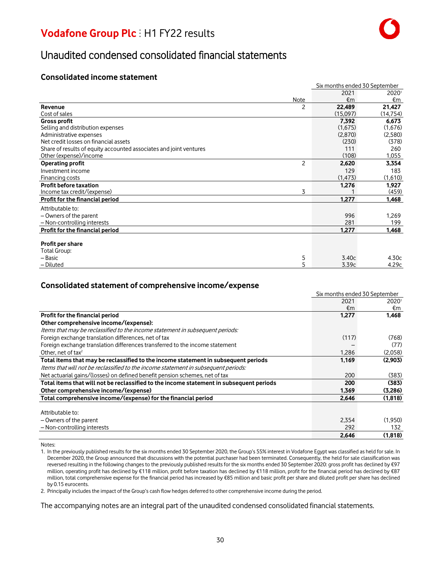### Unaudited condensed consolidated financial statements

### **Consolidated income statement**

|                                                                    |                | Six months ended 30 September |           |
|--------------------------------------------------------------------|----------------|-------------------------------|-----------|
|                                                                    |                | 2021                          | 20201     |
|                                                                    | Note           | €m                            | €m        |
| Revenue                                                            | 2              | 22,489                        | 21,427    |
| Cost of sales                                                      |                | (15,097)                      | (14, 754) |
| <b>Gross profit</b>                                                |                | 7.392                         | 6,673     |
| Selling and distribution expenses                                  |                | (1,675)                       | (1,676)   |
| Administrative expenses                                            |                | (2,870)                       | (2,580)   |
| Net credit losses on financial assets                              |                | (230)                         | (378)     |
| Share of results of equity accounted associates and joint ventures |                | 111                           | 260       |
| Other (expense)/income                                             |                | (108)                         | 1,055     |
| Operating profit                                                   | $\overline{c}$ | 2,620                         | 3,354     |
| Investment income                                                  |                | 129                           | 183       |
| Financing costs                                                    |                | (1, 473)                      | (1,610)   |
| <b>Profit before taxation</b>                                      |                | 1,276                         | 1,927     |
| Income tax credit/(expense)                                        | 3              |                               | (459)     |
| Profit for the financial period                                    |                | 1,277                         | 1,468     |
| Attributable to:                                                   |                |                               |           |
| - Owners of the parent                                             |                | 996                           | 1,269     |
| - Non-controlling interests                                        |                | 281                           | 199       |
| Profit for the financial period                                    |                | 1,277                         | 1,468     |
|                                                                    |                |                               |           |
| Profit per share                                                   |                |                               |           |
| Total Group:                                                       |                |                               |           |
| - Basic                                                            | 5              | 3.40c                         | 4.30c     |
| - Diluted                                                          | 5              | 3.39c                         | 4.29c     |

### **Consolidated statement of comprehensive income/expense**

|                                                                                         | Six months ended 30 September |         |  |
|-----------------------------------------------------------------------------------------|-------------------------------|---------|--|
|                                                                                         | 2021                          | 20201   |  |
|                                                                                         | €m                            | €m      |  |
| Profit for the financial period                                                         | 1,277                         | 1,468   |  |
| Other comprehensive income/(expense):                                                   |                               |         |  |
| Items that may be reclassified to the income statement in subsequent periods:           |                               |         |  |
| Foreign exchange translation differences, net of tax                                    | (117)                         | (768)   |  |
| Foreign exchange translation differences transferred to the income statement            |                               | (77)    |  |
| Other, net of tax <sup>2</sup>                                                          | 1,286                         | (2,058) |  |
| Total items that may be reclassified to the income statement in subsequent periods      | 1,169                         | (2,903) |  |
| Items that will not be reclassified to the income statement in subsequent periods:      |                               |         |  |
| Net actuarial gains/(losses) on defined benefit pension schemes, net of tax             | 200                           | (383)   |  |
| Total items that will not be reclassified to the income statement in subsequent periods | 200                           | (383)   |  |
| Other comprehensive income/(expense)                                                    | 1,369                         | (3,286) |  |
| Total comprehensive income/(expense) for the financial period                           | 2,646                         | (1,818) |  |
|                                                                                         |                               |         |  |
| Attributable to:                                                                        |                               |         |  |
| - Owners of the parent                                                                  | 2.354                         | (1.950) |  |
| - Non-controlling interests                                                             | 292                           | 132     |  |
|                                                                                         | 2,646                         | (1,818) |  |

Notes:

1. In the previously published resultsfor the six months ended 30 September 2020, the Group's 55% interest in Vodafone Egypt was classified as held for sale. In December 2020, the Group announced that discussions with the potential purchaser had been terminated. Consequently, the held for sale classification was reversed resulting in the following changes to the previously published results for the six months ended 30 September 2020: gross profit has declined by €97 million, operating profit has declined by €118 million, profit before taxation has declined by €118 million, profit for the financial period has declined by €87 million, total comprehensive expense for the financial period has increased by €85 million and basic profit per share and diluted profit per share has declined by 0.15 eurocents.

2. Principally includesthe impact of the Group's cash flow hedges deferred to other comprehensive income during the period.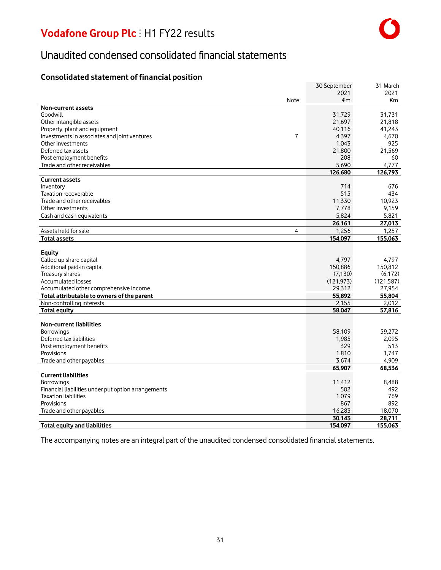### Unaudited condensed consolidated financial statements

### **Consolidated statement of financial position**

|                                                                | 30 September | 31 March   |
|----------------------------------------------------------------|--------------|------------|
|                                                                | 2021         | 2021       |
| Note                                                           | €m           | €m         |
| <b>Non-current assets</b>                                      |              |            |
| Goodwill                                                       | 31,729       | 31,731     |
| Other intangible assets                                        | 21,697       | 21,818     |
| Property, plant and equipment                                  | 40,116       | 41,243     |
| $\overline{7}$<br>Investments in associates and joint ventures | 4,397        | 4,670      |
| Other investments                                              | 1,043        | 925        |
| Deferred tax assets                                            | 21,800       | 21,569     |
| Post employment benefits                                       | 208          | 60         |
|                                                                | 5.690        |            |
| Trade and other receivables                                    |              | 4.777      |
| <b>Current assets</b>                                          | 126,680      | 126,793    |
|                                                                |              |            |
| Inventory                                                      | 714          | 676        |
| Taxation recoverable                                           | 515          | 434        |
| Trade and other receivables                                    | 11,330       | 10,923     |
| Other investments                                              | 7.778        | 9.159      |
| Cash and cash equivalents                                      | 5,824        | 5,821      |
|                                                                | 26.161       | 27.013     |
| Assets held for sale<br>$\overline{4}$                         | 1,256        | 1,257      |
| <b>Total assets</b>                                            | 154,097      | 155.063    |
|                                                                |              |            |
| <b>Equity</b>                                                  |              |            |
| Called up share capital                                        | 4,797        | 4.797      |
| Additional paid-in capital                                     | 150,886      | 150,812    |
| Treasury shares                                                | (7, 130)     | (6, 172)   |
| Accumulated losses                                             | (121, 973)   | (121, 587) |
| Accumulated other comprehensive income                         | 29,312       | 27,954     |
| Total attributable to owners of the parent                     | 55,892       | 55,804     |
| Non-controlling interests                                      | 2,155        | 2.012      |
| <b>Total equity</b>                                            | 58,047       | 57,816     |
|                                                                |              |            |
| <b>Non-current liabilities</b>                                 |              |            |
| <b>Borrowings</b>                                              | 58,109       | 59,272     |
| Deferred tax liabilities                                       | 1,985        | 2,095      |
| Post employment benefits                                       | 329          | 513        |
| Provisions                                                     | 1,810        | 1,747      |
| Trade and other payables                                       | 3,674        | 4,909      |
|                                                                | 65,907       | 68,536     |
| <b>Current liabilities</b>                                     |              |            |
| <b>Borrowings</b>                                              | 11.412       | 8.488      |
| Financial liabilities under put option arrangements            | 502          | 492        |
| <b>Taxation liabilities</b>                                    | 1,079        | 769        |
| Provisions                                                     | 867          | 892        |
| Trade and other payables                                       | 16,283       | 18,070     |
|                                                                | 30.143       | 28.711     |
| <b>Total equity and liabilities</b>                            | 154,097      | 155,063    |
|                                                                |              |            |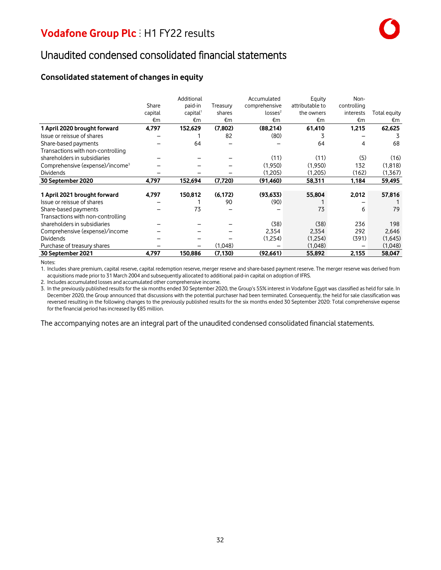### Unaudited condensed consolidated financial statements

### **Consolidated statement of changes in equity**

|                                             |         | Additional           |          | Accumulated         | Equity          | Non-        |              |
|---------------------------------------------|---------|----------------------|----------|---------------------|-----------------|-------------|--------------|
|                                             | Share   | paid-in              | Treasury | comprehensive       | attributable to | controlling |              |
|                                             | capital | capital <sup>1</sup> | shares   | losses <sup>2</sup> | the owners      | interests   | Total equity |
|                                             | €m      | €m                   | €m       | €m                  | €m              | €m          | €m           |
| 1 April 2020 brought forward                | 4,797   | 152,629              | (7,802)  | (88,214)            | 61,410          | 1,215       | 62,625       |
| Issue or reissue of shares                  |         |                      | 82       | (80)                | 3               |             |              |
| Share-based payments                        |         | 64                   |          |                     | 64              | 4           | 68           |
| Transactions with non-controlling           |         |                      |          |                     |                 |             |              |
| shareholders in subsidiaries                |         |                      |          | (11)                | (11)            | (5)         | (16)         |
| Comprehensive (expense)/income <sup>3</sup> |         |                      |          | (1,950)             | (1,950)         | 132         | (1,818)      |
| <b>Dividends</b>                            |         |                      |          | (1.205)             | (1,205)         | (162)       | (1,367)      |
| 30 September 2020                           | 4,797   | 152,694              | (7,720)  | (91, 460)           | 58,311          | 1,184       | 59,495       |
|                                             |         |                      |          |                     |                 |             |              |
| 1 April 2021 brought forward                | 4,797   | 150,812              | (6, 172) | (93, 633)           | 55,804          | 2,012       | 57,816       |
| Issue or reissue of shares                  |         |                      | 90       | (90)                |                 |             |              |
| Share-based payments                        |         | 73                   |          |                     | 73              | 6           | 79           |
| Transactions with non-controlling           |         |                      |          |                     |                 |             |              |
| shareholders in subsidiaries                |         |                      |          | (38)                | (38)            | 236         | 198          |
| Comprehensive (expense)/income              |         |                      |          | 2,354               | 2,354           | 292         | 2,646        |
| <b>Dividends</b>                            |         |                      |          | (1,254)             | (1,254)         | (391)       | (1,645)      |
| Purchase of treasury shares                 |         |                      | (1,048)  |                     | (1,048)         |             | (1,048)      |
| 30 September 2021                           | 4,797   | 150,886              | (7, 130) | (92,661)            | 55,892          | 2,155       | 58,047       |

Notes:

1. Includes share premium, capital reserve, capital redemption reserve, merger reserve and share-based payment reserve. The merger reserve was derived from acquisitions made prior to 31 March 2004 and subsequently allocated to additional paid-in capital on adoption of IFRS.

2. Includes accumulated losses and accumulated other comprehensive income.

3. In the previously published resultsfor the six months ended 30 September 2020, the Group's 55% interest in Vodafone Egypt was classified as held for sale. In December 2020, the Group announced that discussions with the potential purchaser had been terminated. Consequently, the held for sale classification was reversed resulting in the following changes to the previously published results for the six months ended 30 September 2020: Total comprehensive expense for the financial period hasincreased by €85 million.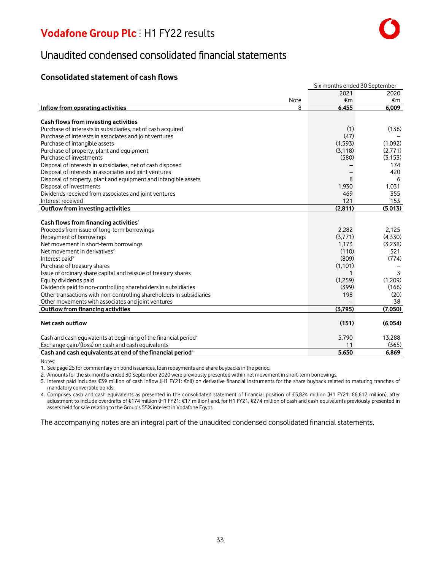### Unaudited condensed consolidated financial statements

### **Consolidated statement of cash flows**

|                                                                             | Six months ended 30 September |          |  |
|-----------------------------------------------------------------------------|-------------------------------|----------|--|
|                                                                             | 2021                          | 2020     |  |
| Note                                                                        | €m                            | €m       |  |
| Inflow from operating activities<br>8                                       | 6,455                         | 6.009    |  |
|                                                                             |                               |          |  |
| Cash flows from investing activities                                        |                               |          |  |
| Purchase of interests in subsidiaries, net of cash acquired                 | (1)                           | (136)    |  |
| Purchase of interests in associates and joint ventures                      | (47)                          |          |  |
| Purchase of intangible assets                                               | (1,593)                       | (1,092)  |  |
| Purchase of property, plant and equipment                                   | (3, 118)                      | (2,771)  |  |
| Purchase of investments                                                     | (580)                         | (3, 153) |  |
| Disposal of interests in subsidiaries, net of cash disposed                 |                               | 174      |  |
| Disposal of interests in associates and joint ventures                      |                               | 420      |  |
| Disposal of property, plant and equipment and intangible assets             | 8                             | -6       |  |
| Disposal of investments                                                     | 1,930                         | 1,031    |  |
| Dividends received from associates and joint ventures                       | 469                           | 355      |  |
| Interest received                                                           | 121                           | 153      |  |
| Outflow from investing activities                                           | (2,811)                       | (5,013)  |  |
|                                                                             |                               |          |  |
| Cash flows from financing activities <sup>1</sup>                           |                               |          |  |
| Proceeds from issue of long-term borrowings                                 | 2.282                         | 2.125    |  |
| Repayment of borrowings                                                     | (3,771)                       | (4,330)  |  |
| Net movement in short-term borrowings                                       | 1.173                         | (3,238)  |  |
| Net movement in derivatives <sup>2</sup>                                    | (110)                         | 521      |  |
| Interest paid <sup>3</sup>                                                  | (809)                         | (774)    |  |
| Purchase of treasury shares                                                 | (1,101)                       |          |  |
| Issue of ordinary share capital and reissue of treasury shares              | 1                             | 3        |  |
| Equity dividends paid                                                       | (1,259)                       | (1,209)  |  |
| Dividends paid to non-controlling shareholders in subsidiaries              | (399)                         | (166)    |  |
| Other transactions with non-controlling shareholders in subsidiaries        | 198                           | (20)     |  |
| Other movements with associates and joint ventures                          |                               | 38       |  |
| <b>Outflow from financing activities</b>                                    | (3.795)                       | (7,050)  |  |
|                                                                             |                               |          |  |
| Net cash outflow                                                            | (151)                         | (6,054)  |  |
|                                                                             |                               |          |  |
| Cash and cash equivalents at beginning of the financial period <sup>4</sup> | 5,790                         | 13,288   |  |
| Exchange gain/(loss) on cash and cash equivalents                           | 11                            | (365)    |  |
| Cash and cash equivalents at end of the financial period <sup>4</sup>       | 5.650                         | 6.869    |  |

Notes:

1. See page 25 for commentary on bond issuances, loan repayments and share buybacks in the period.

2. Amounts for the six months ended 30 September 2020 were previously presented within net movement in short-term borrowings.

3. Interest paid includes €39 million of cash inflow (H1 FY21: €nil) on derivative financial instruments for the share buyback related to maturing tranches of mandatory convertible bonds.

4. Comprises cash and cash equivalents as presented in the consolidated statement of financial position of €5,824 million (H1 FY21: €6,612 million), after adjustment to include overdrafts of €174 million (H1 FY21: €17 million) and, for H1 FY21, €274 million of cash and cash equivalents previously presented in assets held for sale relating to the Group's 55% interest in Vodafone Egypt.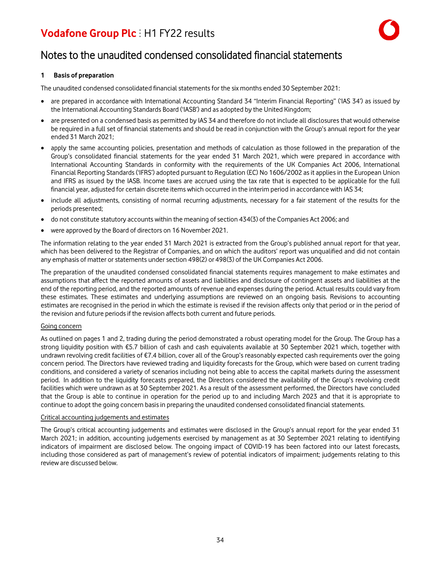

### Notes to the unaudited condensed consolidated financial statements

#### **1 Basis of preparation**

The unaudited condensed consolidated financial statementsfor the six months ended 30 September 2021:

- are prepared in accordance with International Accounting Standard 34 "Interim Financial Reporting" ('IAS 34') as issued by the International Accounting Standards Board ('IASB') and as adopted by the United Kingdom;
- are presented on a condensed basis as permitted by IAS 34 and therefore do not include all disclosures that would otherwise be required in a full set of financial statements and should be read in conjunction with the Group's annual report for the year ended 31 March 2021;
- apply the same accounting policies, presentation and methods of calculation as those followed in the preparation of the Group's consolidated financial statements for the year ended 31 March 2021, which were prepared in accordance with International Accounting Standards in conformity with the requirements of the UK Companies Act 2006, International Financial Reporting Standards('IFRS') adopted pursuant to Regulation (EC) No 1606/2002 asit appliesin the European Union and IFRS as issued by the IASB. Income taxes are accrued using the tax rate that is expected to be applicable for the full financial year, adjusted for certain discrete items which occurred in the interim period in accordance with IAS 34;
- include all adjustments, consisting of normal recurring adjustments, necessary for a fair statement of the results for the periods presented;
- do not constitute statutory accounts within the meaning of section 434(3) of the Companies Act 2006; and
- were approved by the Board of directors on 16 November 2021.

The information relating to the year ended 31 March 2021 is extracted from the Group's published annual report for that year, which has been delivered to the Registrar of Companies, and on which the auditors' report was unqualified and did not contain any emphasis of matter or statements under section 498(2) or 498(3) of the UK Companies Act 2006.

The preparation of the unaudited condensed consolidated financial statements requires management to make estimates and assumptions that affect the reported amounts of assets and liabilities and disclosure of contingent assets and liabilities at the end of the reporting period, and the reported amounts of revenue and expenses during the period. Actual results could vary from these estimates. These estimates and underlying assumptions are reviewed on an ongoing basis. Revisions to accounting estimates are recognised in the period in which the estimate is revised if the revision affects only that period or in the period of the revision and future periodsif the revision affects both current and future periods.

#### Going concern

As outlined on pages 1 and 2, trading during the period demonstrated a robust operating model for the Group. The Group has a strong liquidity position with €5.7 billion of cash and cash equivalents available at 30 September 2021 which, together with undrawn revolving credit facilities of €7.4 billion, cover all of the Group's reasonably expected cash requirements over the going concern period. The Directors have reviewed trading and liquidity forecasts for the Group, which were based on current trading conditions, and considered a variety of scenarios including not being able to access the capital markets during the assessment period. In addition to the liquidity forecasts prepared, the Directors considered the availability of the Group's revolving credit facilities which were undrawn as at 30 September 2021. As a result of the assessment performed, the Directors have concluded that the Group is able to continue in operation for the period up to and including March 2023 and that it is appropriate to continue to adopt the going concern basisin preparing the unaudited condensed consolidated financial statements.

#### Critical accounting judgements and estimates

The Group's critical accounting judgements and estimates were disclosed in the Group's annual report for the year ended 31 March 2021; in addition, accounting judgements exercised by management as at 30 September 2021 relating to identifying indicators of impairment are disclosed below. The ongoing impact of COVID-19 has been factored into our latest forecasts, including those considered as part of management's review of potential indicators of impairment; judgements relating to this review are discussed below.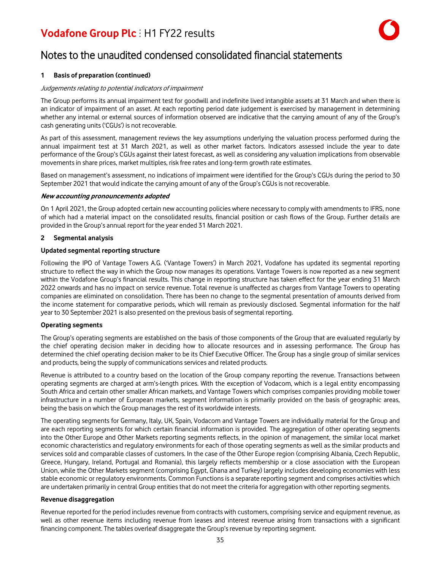

### Notes to the unaudited condensed consolidated financial statements

#### **1 Basis of preparation (continued)**

#### Judgements relating to potential indicators of impairment

The Group performs its annual impairment test for goodwill and indefinite lived intangible assets at 31 March and when there is an indicator of impairment of an asset. At each reporting period date judgement is exercised by management in determining whether any internal or external sources of information observed are indicative that the carrying amount of any of the Group's cash generating units('CGUs') is not recoverable.

As part of this assessment, management reviews the key assumptions underlying the valuation process performed during the annual impairment test at 31 March 2021, as well as other market factors. Indicators assessed include the year to date performance of the Group's CGUs against their latest forecast, as well as considering any valuation implications from observable movements in share prices, market multiples, risk free rates and long-term growth rate estimates.

Based on management's assessment, no indications of impairment were identified for the Group's CGUs during the period to 30 September 2021 that would indicate the carrying amount of any of the Group's CGUs is not recoverable.

#### **New accounting pronouncements adopted**

On 1 April 2021, the Group adopted certain new accounting policies where necessary to comply with amendments to IFRS, none of which had a material impact on the consolidated results, financial position or cash flows of the Group. Further details are provided in the Group's annual report for the year ended 31 March 2021.

#### **2 Segmental analysis**

#### **Updated segmental reporting structure**

Following the IPO of Vantage Towers A.G. ('Vantage Towers') in March 2021, Vodafone has updated its segmental reporting structure to reflect the way in which the Group now manages its operations. Vantage Towers is now reported as a new segment within the Vodafone Group's financial results. This change in reporting structure has taken effect for the year ending 31 March 2022 onwards and has no impact on service revenue. Total revenue is unaffected as charges from Vantage Towers to operating companies are eliminated on consolidation. There has been no change to the segmental presentation of amounts derived from the income statement for comparative periods, which will remain as previously disclosed. Segmental information for the half year to 30 September 2021 is also presented on the previous basis of segmental reporting.

#### **Operating segments**

The Group's operating segments are established on the basis of those components of the Group that are evaluated regularly by the chief operating decision maker in deciding how to allocate resources and in assessing performance. The Group has determined the chief operating decision maker to be its Chief Executive Officer. The Group has a single group of similar services and products, being the supply of communications services and related products.

Revenue is attributed to a country based on the location of the Group company reporting the revenue. Transactions between operating segments are charged at arm's-length prices. With the exception of Vodacom, which is a legal entity encompassing South Africa and certain other smaller African markets, and Vantage Towers which comprises companies providing mobile tower infrastructure in a number of European markets, segment information is primarily provided on the basis of geographic areas, being the basis on which the Group manages the rest of its worldwide interests.

The operating segments for Germany, Italy, UK, Spain, Vodacom and Vantage Towers are individually material for the Group and are each reporting segments for which certain financial information is provided. The aggregation of other operating segments into the Other Europe and Other Markets reporting segments reflects, in the opinion of management, the similar local market economic characteristics and regulatory environments for each of those operating segments as well as the similar products and services sold and comparable classes of customers. In the case of the Other Europe region (comprising Albania, Czech Republic, Greece, Hungary, Ireland, Portugal and Romania), this largely reflects membership or a close association with the European Union, while the Other Markets segment (comprising Egypt, Ghana and Turkey) largely includes developing economies with less stable economic or regulatory environments. Common Functionsis a separate reporting segment and comprises activities which are undertaken primarily in central Group entities that do not meet the criteria for aggregation with other reporting segments.

#### **Revenue disaggregation**

Revenue reported for the period includes revenue from contracts with customers, comprising service and equipment revenue, as well as other revenue items including revenue from leases and interest revenue arising from transactions with a significant financing component. The tables overleaf disaggregate the Group's revenue by reporting segment.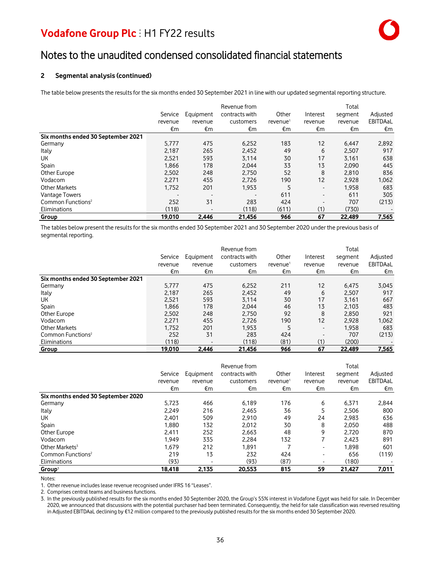### Notes to the unaudited condensed consolidated financial statements

#### **2 Segmental analysis (continued)**

The table below presents the results for the six months ended 30 September 2021 in line with our updated segmental reporting structure.

|                                    |         |                | Revenue from   |                      |          | Total   |          |
|------------------------------------|---------|----------------|----------------|----------------------|----------|---------|----------|
|                                    | Service | Equipment      | contracts with | Other                | Interest | segment | Adjusted |
|                                    | revenue | revenue        | customers      | revenue <sup>1</sup> | revenue  | revenue | EBITDAaL |
|                                    | €m      | €m             | €m             | €m                   | €m       | €m      | €m       |
| Six months ended 30 September 2021 |         |                |                |                      |          |         |          |
| Germany                            | 5,777   | 475            | 6,252          | 183                  | 12       | 6,447   | 2,892    |
| Italy                              | 2.187   | 265            | 2.452          | 49                   | 6        | 2,507   | 917      |
| UК                                 | 2,521   | 593            | 3,114          | 30                   | 17       | 3,161   | 638      |
| Spain                              | 1,866   | 178            | 2,044          | 33                   | 13       | 2,090   | 445      |
| Other Europe                       | 2,502   | 248            | 2.750          | 52                   | 8        | 2.810   | 836      |
| Vodacom                            | 2,271   | 455            | 2.726          | 190                  | 12       | 2.928   | 1,062    |
| <b>Other Markets</b>               | 1,752   | 201            | 1,953          | 5                    | ۰.       | 1,958   | 683      |
| Vantage Towers                     |         | $\blacksquare$ |                | 611                  |          | 611     | 305      |
| Common Functions <sup>2</sup>      | 252     | 31             | 283            | 424                  |          | 707     | (213)    |
| Eliminations                       | (118)   | $\blacksquare$ | (118)          | (611)                | (1)      | (730)   |          |
| Group                              | 19,010  | 2,446          | 21.456         | 966                  | 67       | 22,489  | 7,565    |

The tables below present the results for the six months ended 30 September 2021 and 30 September 2020 under the previous basis of segmental reporting.

|                                    |         |                | Revenue from   |                      |          | Total   |          |
|------------------------------------|---------|----------------|----------------|----------------------|----------|---------|----------|
|                                    | Service | Equipment      | contracts with | Other                | Interest | segment | Adjusted |
|                                    | revenue | revenue        | customers      | revenue <sup>1</sup> | revenue  | revenue | EBITDAaL |
|                                    | €m      | €m             | €m             | €m                   | €m       | €m      | €m       |
| Six months ended 30 September 2021 |         |                |                |                      |          |         |          |
| Germany                            | 5.777   | 475            | 6,252          | 211                  | 12       | 6.475   | 3,045    |
| Italy                              | 2.187   | 265            | 2.452          | 49                   | 6        | 2.507   | 917      |
| UK.                                | 2.521   | 593            | 3.114          | 30                   | 17       | 3.161   | 667      |
| Spain                              | 1,866   | 178            | 2.044          | 46                   | 13       | 2.103   | 483      |
| Other Europe                       | 2,502   | 248            | 2.750          | 92                   | 8        | 2,850   | 921      |
| Vodacom                            | 2,271   | 455            | 2,726          | 190                  | 12       | 2.928   | 1,062    |
| <b>Other Markets</b>               | 1,752   | 201            | 1.953          | 5                    | ٠        | 1.958   | 683      |
| Common Functions <sup>2</sup>      | 252     | 31             | 283            | 424                  |          | 707     | (213)    |
| Eliminations                       | (118)   | $\blacksquare$ | (118)          | (81)                 | (1)      | (200)   |          |
| Group                              | 19,010  | 2,446          | 21,456         | 966                  | 67       | 22,489  | 7,565    |

|                                    | Revenue from |                |                |                      |          | Total   |          |  |
|------------------------------------|--------------|----------------|----------------|----------------------|----------|---------|----------|--|
|                                    | Service      | Equipment      | contracts with | Other                | Interest | segment | Adjusted |  |
|                                    | revenue      | revenue        | customers      | revenue <sup>1</sup> | revenue  | revenue | EBITDAaL |  |
|                                    | €m           | €m             | €m             | €m                   | €m       | €m      | €m       |  |
| Six months ended 30 September 2020 |              |                |                |                      |          |         |          |  |
| Germany                            | 5,723        | 466            | 6.189          | 176                  | 6        | 6,371   | 2,844    |  |
| Italy                              | 2.249        | 216            | 2.465          | 36                   | 5        | 2.506   | 800      |  |
| UK.                                | 2.401        | 509            | 2.910          | 49                   | 24       | 2.983   | 636      |  |
| Spain                              | 1,880        | 132            | 2,012          | 30                   | 8        | 2,050   | 488      |  |
| Other Europe                       | 2.411        | 252            | 2.663          | 48                   | 9        | 2.720   | 870      |  |
| Vodacom                            | 1,949        | 335            | 2.284          | 132                  |          | 2.423   | 891      |  |
| Other Markets <sup>3</sup>         | 1.679        | 212            | 1.891          |                      | ۰        | 1.898   | 601      |  |
| Common Functions <sup>2</sup>      | 219          | 13             | 232            | 424                  | ۰        | 656     | (119)    |  |
| Eliminations                       | (93)         | $\blacksquare$ | (93)           | (87)                 |          | (180)   |          |  |
| Group <sup>3</sup>                 | 18,418       | 2,135          | 20.553         | 815                  | 59       | 21,427  | 7,011    |  |

Notes:

1. Other revenue includeslease revenue recognised under IFRS 16 "Leases".

2. Comprises central teams and business functions.

3. In the previously published results for the six months ended 30 September 2020, the Group's 55% interest in Vodafone Egypt was held for sale. In December 2020, we announced that discussions with the potential purchaser had been terminated. Consequently, the held for sale classification was reversed resulting in Adjusted EBITDAaL declining by €12 million compared to the previously published resultsfor the six months ended 30 September 2020.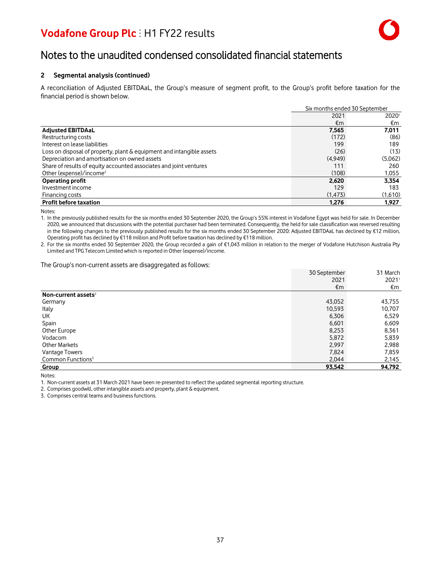

### Notes to the unaudited condensed consolidated financial statements

#### **2 Segmental analysis (continued)**

A reconciliation of Adjusted EBITDAaL, the Group's measure of segment profit, to the Group's profit before taxation for the financial period is shown below.

|                                                                       |          | Six months ended 30 September |  |
|-----------------------------------------------------------------------|----------|-------------------------------|--|
|                                                                       | 2021     | 20201                         |  |
|                                                                       | €m       | €m                            |  |
| <b>Adjusted EBITDAaL</b>                                              | 7.565    | 7,011                         |  |
| Restructuring costs                                                   | (172)    | (86)                          |  |
| Interest on lease liabilities                                         | 199      | 189                           |  |
| Loss on disposal of property, plant & equipment and intangible assets | (26)     | (13)                          |  |
| Depreciation and amortisation on owned assets                         | (4.949)  | (5,062)                       |  |
| Share of results of equity accounted associates and joint ventures    | 111      | 260                           |  |
| Other (expense)/income <sup>2</sup>                                   | (108)    | 1,055                         |  |
| <b>Operating profit</b>                                               | 2.620    | 3.354                         |  |
| Investment income                                                     | 129      | 183                           |  |
| Financing costs                                                       | (1, 473) | (1,610)                       |  |
| <b>Profit before taxation</b>                                         | 1.276    | 1.927                         |  |

Notes:

1. In the previously published results for the six months ended 30 September 2020, the Group's 55% interest in Vodafone Egypt was held for sale. In December 2020, we announced that discussions with the potential purchaser had been terminated. Consequently, the held for sale classification was reversed resulting in the following changes to the previously published results for the six months ended 30 September 2020: Adjusted EBITDAaL has declined by €12 million, Operating profit has declined by €118 million and Profit before taxation has declined by €118 million.

2. For the six months ended 30 September 2020, the Group recorded a gain of €1,043 million in relation to the merger of Vodafone Hutchison Australia Pty Limited and TPG Telecom Limited which is reported in Other (expense)/income.

The Group's non-current assets are disaggregated as follows:

|                                 | 30 September | 31 March |
|---------------------------------|--------------|----------|
|                                 | 2021         | 2021     |
|                                 | €m           | €m       |
| Non-current assets <sup>2</sup> |              |          |
| Germany                         | 43,052       | 43,755   |
| Italy                           | 10,593       | 10,707   |
| UK                              | 6,306        | 6,529    |
| Spain                           | 6,601        | 6,609    |
| Other Europe                    | 8,253        | 8,361    |
| Vodacom                         | 5,872        | 5,839    |
| <b>Other Markets</b>            | 2,997        | 2,988    |
| Vantage Towers                  | 7,824        | 7,859    |
| Common Functions <sup>3</sup>   | 2,044        | 2,145    |
| Group                           | 93,542       | 94,792   |

Notes:

1. Non-current assets at 31 March 2021 have been re-presented to reflect the updated segmental reporting structure.

2. Comprises goodwill, other intangible assets and property, plant & equipment.

3. Comprises central teams and businessfunctions.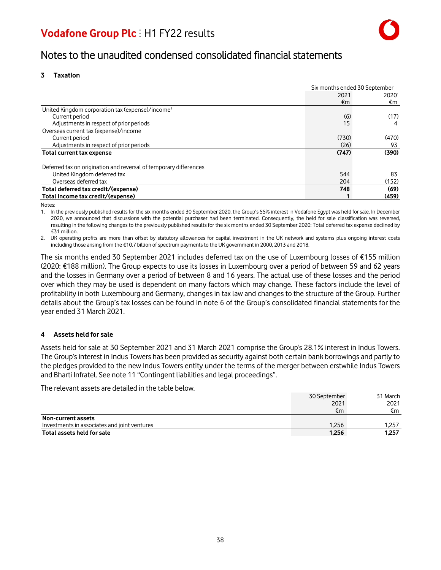### Notes to the unaudited condensed consolidated financial statements

#### **3 Taxation**

|                                                                   |       | Six months ended 30 September |  |
|-------------------------------------------------------------------|-------|-------------------------------|--|
|                                                                   | 2021  | 20201                         |  |
|                                                                   | €m    | €m                            |  |
| United Kingdom corporation tax (expense)/income <sup>2</sup>      |       |                               |  |
| Current period                                                    | (6)   | (17)                          |  |
| Adjustments in respect of prior periods                           | 15    | 4                             |  |
| Overseas current tax (expense)/income                             |       |                               |  |
| Current period                                                    | (730) | (470)                         |  |
| Adjustments in respect of prior periods                           | (26)  | 93                            |  |
| <b>Total current tax expense</b>                                  | (747) | (390)                         |  |
|                                                                   |       |                               |  |
| Deferred tax on origination and reversal of temporary differences |       |                               |  |
| United Kingdom deferred tax                                       | 544   | 83                            |  |
| Overseas deferred tax                                             | 204   | (152)                         |  |
| Total deferred tax credit/(expense)                               | 748   | (69)                          |  |
| Total income tax credit/(expense)                                 |       | (459)                         |  |

Notes:

1. In the previously published resultsfor the six months ended 30 September 2020, the Group's 55% interest in Vodafone Egypt was held for sale. In December 2020, we announced that discussions with the potential purchaser had been terminated. Consequently, the held for sale classification was reversed, resulting in the following changes to the previously published results for the six months ended 30 September 2020: Total deferred tax expense declined by €31 million.

2. UK operating profits are more than offset by statutory allowances for capital investment in the UK network and systems plus ongoing interest costs including those arising from the €10.7 billion of spectrum paymentsto the UK government in 2000, 2013 and 2018.

The six months ended 30 September 2021 includes deferred tax on the use of Luxembourg losses of €155 million (2020: €188 million). The Group expects to use its losses in Luxembourg over a period of between 59 and 62 years and the losses in Germany over a period of between 8 and 16 years. The actual use of these losses and the period over which they may be used is dependent on many factors which may change. These factors include the level of profitability in both Luxembourg and Germany, changesin tax law and changes to the structure of the Group. Further details about the Group's tax losses can be found in note 6 of the Group's consolidated financial statements for the year ended 31 March 2021.

#### **4 Assets held for sale**

Assets held for sale at 30 September 2021 and 31 March 2021 comprise the Group's 28.1% interest in Indus Towers. The Group's interest in Indus Towers has been provided as security against both certain bank borrowings and partly to the pledges provided to the new Indus Towers entity under the terms of the merger between erstwhile Indus Towers and Bharti Infratel. See note 11 "Contingent liabilities and legal proceedings".

The relevant assets are detailed in the table below.

|                                              | 30 September | 31 March |
|----------------------------------------------|--------------|----------|
|                                              | 2021         | 2021     |
|                                              | €m           | €m       |
| Non-current assets                           |              |          |
| Investments in associates and joint ventures | 1.256        | 1.257    |
| Total assets held for sale                   | 1.256        | 1.257    |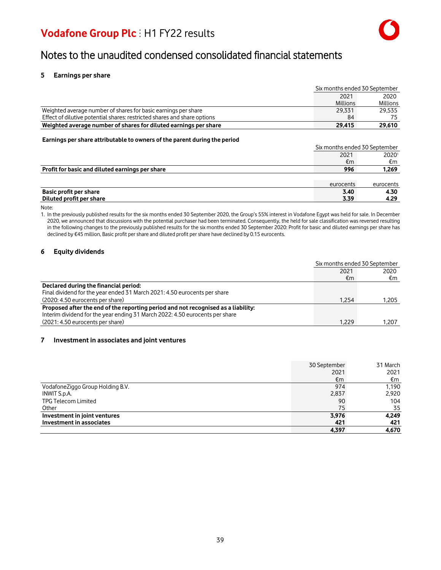### Notes to the unaudited condensed consolidated financial statements

#### **5 Earnings per share**

|                                                                          | Six months ended 30 September |                 |
|--------------------------------------------------------------------------|-------------------------------|-----------------|
|                                                                          | 2021<br>2020                  |                 |
|                                                                          | <b>Millions</b>               | <b>Millions</b> |
| Weighted average number of shares for basic earnings per share           | 29.331                        | 29.535          |
| Effect of dilutive potential shares: restricted shares and share options | 84                            |                 |
| Weighted average number of shares for diluted earnings per share         | 29.415                        | 29,610          |

#### **Earnings per share attributable to owners of the parent during the period**

|                                                 |           | Six months ended 30 September |  |
|-------------------------------------------------|-----------|-------------------------------|--|
|                                                 | 2021      | 20201                         |  |
|                                                 | €m        | €m                            |  |
| Profit for basic and diluted earnings per share | 996       | 1,269                         |  |
|                                                 |           |                               |  |
|                                                 | eurocents | eurocents                     |  |
| Basic profit per share                          | 3.40      | 4.30                          |  |
| Diluted profit per share                        | 3.39      | 4.29                          |  |

Note:

1. In the previously published results for the six months ended 30 September 2020, the Group's 55% interest in Vodafone Egypt was held for sale. In December 2020, we announced that discussions with the potential purchaser had been terminated. Consequently, the held for sale classification was reversed resulting in the following changes to the previously published results for the six months ended 30 September 2020: Profit for basic and diluted earnings per share has declined by €45 million, Basic profit pershare and diluted profit per share have declined by 0.15 eurocents.

#### **6 Equity dividends**

|                                                                                   | Six months ended 30 September |       |
|-----------------------------------------------------------------------------------|-------------------------------|-------|
|                                                                                   | 2020<br>2021                  |       |
|                                                                                   | €m                            | €m    |
| Declared during the financial period:                                             |                               |       |
| Final dividend for the year ended 31 March 2021: 4.50 eurocents per share         |                               |       |
| (2020: 4.50 eurocents per share)                                                  | 1.254                         | 1.205 |
| Proposed after the end of the reporting period and not recognised as a liability: |                               |       |
| Interim dividend for the year ending 31 March 2022: 4.50 eurocents per share      |                               |       |
| (2021: 4.50 eurocents per share)                                                  | 1.229                         | 1.207 |

#### **7 Investment in associates and joint ventures**

|                                  | 30 September<br>2021 | 31 March<br>2021 |
|----------------------------------|----------------------|------------------|
|                                  | €m                   | €m               |
| VodafoneZiggo Group Holding B.V. | 974                  | 1,190            |
| INWIT S.p.A.                     | 2,837                | 2,920            |
| <b>TPG Telecom Limited</b>       | 90                   | 104              |
| Other                            | 75                   | 35               |
| Investment in joint ventures     | 3,976                | 4,249            |
| Investment in associates         | 421                  | 421              |
|                                  | 4.397                | 4,670            |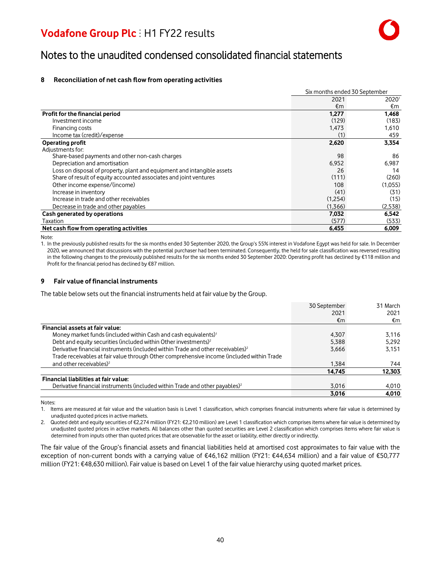### Notes to the unaudited condensed consolidated financial statements

#### **8 Reconciliation of net cash flow from operating activities**

|                                                                         |         | Six months ended 30 September |  |
|-------------------------------------------------------------------------|---------|-------------------------------|--|
|                                                                         | 2021    | 20201                         |  |
|                                                                         | €m      | €m                            |  |
| Profit for the financial period                                         | 1,277   | 1,468                         |  |
| Investment income                                                       | (129)   | (183)                         |  |
| Financing costs                                                         | 1,473   | 1,610                         |  |
| Income tax (credit)/expense                                             | (1)     | 459                           |  |
| <b>Operating profit</b>                                                 | 2,620   | 3,354                         |  |
| Adjustments for:                                                        |         |                               |  |
| Share-based payments and other non-cash charges                         | 98      | 86                            |  |
| Depreciation and amortisation                                           | 6,952   | 6,987                         |  |
| Loss on disposal of property, plant and equipment and intangible assets | 26      | 14                            |  |
| Share of result of equity accounted associates and joint ventures       | (111)   | (260)                         |  |
| Other income expense/(income)                                           | 108     | (1,055)                       |  |
| Increase in inventory                                                   | (41)    | (31)                          |  |
| Increase in trade and other receivables                                 | (1,254) | (15)                          |  |
| Decrease in trade and other payables                                    | (1,366) | (2,538)                       |  |
| Cash generated by operations                                            | 7,032   | 6,542                         |  |
| Taxation                                                                | (577)   | (533)                         |  |
| Net cash flow from operating activities                                 | 6.455   | 6.009                         |  |

Note:

1. In the previously published results for the six months ended 30 September 2020, the Group's 55% interest in Vodafone Egypt was held for sale. In December 2020, we announced that discussions with the potential purchaser had been terminated. Consequently, the held for sale classification was reversed resulting in the following changes to the previously published results for the six months ended 30 September 2020: Operating profit has declined by €118 million and Profit for the financial period has declined by €87 million.

#### **9 Fair value of financial instruments**

The table below sets out the financial instruments held at fair value by the Group.

|                                                                                             | 30 September | 31 March |
|---------------------------------------------------------------------------------------------|--------------|----------|
|                                                                                             | 2021         | 2021     |
|                                                                                             | €m           | €m       |
| Financial assets at fair value:                                                             |              |          |
| Money market funds (included within Cash and cash equivalents) <sup>1</sup>                 | 4,307        | 3.116    |
| Debt and equity securities (included within Other investments) <sup>2</sup>                 | 5,388        | 5.292    |
| Derivative financial instruments (included within Trade and other receivables) <sup>2</sup> | 3,666        | 3.151    |
| Trade receivables at fair value through Other comprehensive income (included within Trade   |              |          |
| and other receivables) <sup>2</sup>                                                         | 1.384        | 744      |
|                                                                                             | 14,745       | 12,303   |
| Financial liabilities at fair value:                                                        |              |          |
| Derivative financial instruments (included within Trade and other payables) <sup>2</sup>    | 3,016        | 4,010    |
|                                                                                             | 3,016        | 4,010    |

Notes:

1. Items are measured at fair value and the valuation basis is Level 1 classification, which comprises financial instruments where fair value is determined by unadjusted quoted prices in active markets.

2. Quoted debt and equity securities of €2,274 million (FY21: €2,210 million) are Level 1 classification which comprises items where fair value is determined by unadjusted quoted prices in active markets. All balances other than quoted securities are Level 2 classification which comprises items where fair value is determined from inputs other than quoted pricesthat are observable for the asset or liability, either directly or indirectly.

The fair value of the Group's financial assets and financial liabilities held at amortised cost approximates to fair value with the exception of non-current bonds with a carrying value of €46,162 million (FY21: €44,634 million) and a fair value of €50,777 million (FY21: €48,630 million). Fair value is based on Level 1 of the fair value hierarchy using quoted market prices.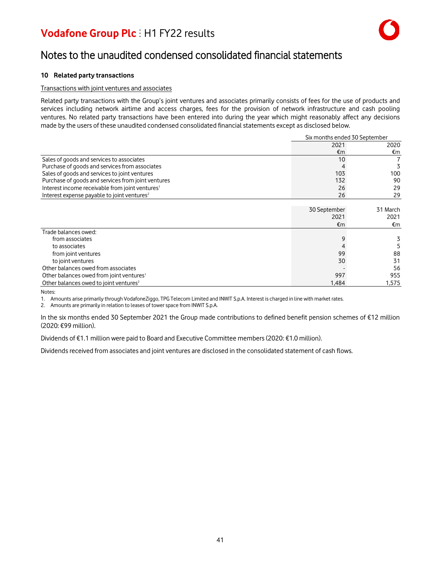

### Notes to the unaudited condensed consolidated financial statements

#### **10 Related party transactions**

#### Transactions with joint ventures and associates

Related party transactions with the Group's joint ventures and associates primarily consists of fees for the use of products and services including network airtime and access charges, fees for the provision of network infrastructure and cash pooling ventures. No related party transactions have been entered into during the year which might reasonably affect any decisions made by the users of these unaudited condensed consolidated financial statements except as disclosed below.

|                                                             | Six months ended 30 September |          |
|-------------------------------------------------------------|-------------------------------|----------|
|                                                             | 2021                          | 2020     |
|                                                             | €m                            | €m       |
| Sales of goods and services to associates                   | 10                            | 7        |
| Purchase of goods and services from associates              |                               | 3        |
| Sales of goods and services to joint ventures               | 103                           | 100      |
| Purchase of goods and services from joint ventures          | 132                           | 90       |
| Interest income receivable from joint ventures <sup>1</sup> | 26                            | 29       |
| Interest expense payable to joint ventures <sup>2</sup>     | 26                            | 29       |
|                                                             |                               |          |
|                                                             | 30 September                  | 31 March |
|                                                             | 2021                          | 2021     |
|                                                             | €m                            | €m       |
| Trade balances owed:                                        |                               |          |
| from associates                                             | 9                             | 3        |
| to associates                                               |                               |          |
| from joint ventures                                         | 99                            | 88       |
| to joint ventures                                           | 30                            | 31       |
| Other balances owed from associates                         |                               | 56       |
| Other balances owed from joint ventures <sup>1</sup>        | 997                           | 955      |
| Other balances owed to joint ventures <sup>2</sup>          | 1,484                         | 1,575    |

Notes:

1. Amounts arise primarily through VodafoneZiggo, TPG Telecom Limited and INWIT S.p.A. Interest is charged in line with market rates.

2. Amounts are primarily in relation to leases of tower space from INWIT S.p.A.

In the six months ended 30 September 2021 the Group made contributions to defined benefit pension schemes of €12 million (2020: €99 million).

Dividends of €1.1 million were paid to Board and Executive Committee members(2020: €1.0 million).

Dividends received from associates and joint ventures are disclosed in the consolidated statement of cash flows.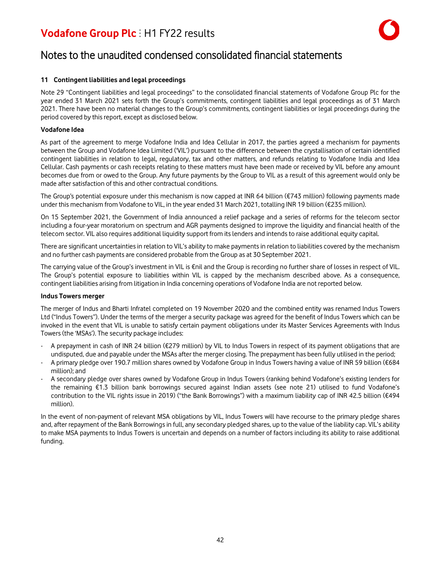

### Notes to the unaudited condensed consolidated financial statements

#### **11 Contingent liabilities and legal proceedings**

Note 29 "Contingent liabilities and legal proceedings" to the consolidated financial statements of Vodafone Group Plc for the year ended 31 March 2021 sets forth the Group's commitments, contingent liabilities and legal proceedings as of 31 March 2021. There have been no material changes to the Group's commitments, contingent liabilities or legal proceedings during the period covered by this report, except as disclosed below.

#### **Vodafone Idea**

As part of the agreement to merge Vodafone India and Idea Cellular in 2017, the parties agreed a mechanism for payments between the Group and Vodafone Idea Limited ('VIL') pursuant to the difference between the crystallisation of certain identified contingent liabilities in relation to legal, regulatory, tax and other matters, and refunds relating to Vodafone India and Idea Cellular. Cash payments or cash receipts relating to these matters must have been made or received by VIL before any amount becomes due from or owed to the Group. Any future payments by the Group to VIL as a result of this agreement would only be made after satisfaction of this and other contractual conditions.

The Group's potential exposure under this mechanism is now capped at INR 64 billion (€743 million) following payments made under this mechanism from Vodafone to VIL, in the year ended 31 March 2021, totalling INR 19 billion (€235 million).

On 15 September 2021, the Government of India announced a relief package and a series of reforms for the telecom sector including a four-year moratorium on spectrum and AGR payments designed to improve the liquidity and financial health of the telecom sector. VIL also requires additional liquidity support from itslenders and intendsto raise additional equity capital.

There are significant uncertaintiesin relation to VIL's ability to make paymentsin relation to liabilities covered by the mechanism and no further cash payments are considered probable from the Group as at 30 September 2021.

The carrying value of the Group's investment in VIL is €nil and the Group is recording no further share of losses in respect of VIL. The Group's potential exposure to liabilities within VIL is capped by the mechanism described above. As a consequence, contingent liabilities arising from litigation in India concerning operations of Vodafone India are not reported below.

#### **Indus Towers merger**

The merger of Indus and Bharti Infratel completed on 19 November 2020 and the combined entity was renamed Indus Towers Ltd ("Indus Towers"). Under the terms of the merger a security package was agreed for the benefit of Indus Towers which can be invoked in the event that VIL is unable to satisfy certain payment obligations under its Master Services Agreements with Indus Towers(the 'MSAs'). The security package includes:

- A prepayment in cash of INR 24 billion (€279 million) by VIL to Indus Towers in respect of its payment obligations that are undisputed, due and payable under the MSAs after the merger closing. The prepayment has been fully utilised in the period;
- A primary pledge over 190.7 million shares owned by Vodafone Group in Indus Towers having a value of INR 59 billion (€684 million); and
- A secondary pledge over shares owned by Vodafone Group in Indus Towers (ranking behind Vodafone's existing lenders for the remaining €1.3 billion bank borrowings secured against Indian assets (see note 21) utilised to fund Vodafone's contribution to the VIL rights issue in 2019) ("the Bank Borrowings") with a maximum liability cap of INR 42.5 billion (€494 million).

In the event of non-payment of relevant MSA obligations by VIL, Indus Towers will have recourse to the primary pledge shares and, after repayment of the Bank Borrowingsin full, any secondary pledged shares, up to the value of the liability cap. VIL's ability to make MSA payments to Indus Towers is uncertain and depends on a number of factors including its ability to raise additional funding.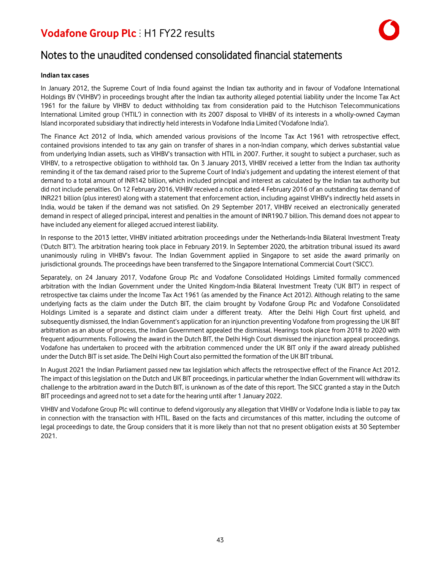

### Notes to the unaudited condensed consolidated financial statements

#### **Indian tax cases**

In January 2012, the Supreme Court of India found against the Indian tax authority and in favour of Vodafone International Holdings BV ('VIHBV') in proceedings brought after the Indian tax authority alleged potential liability under the Income Tax Act 1961 for the failure by VIHBV to deduct withholding tax from consideration paid to the Hutchison Telecommunications International Limited group ('HTIL') in connection with its 2007 disposal to VIHBV of its interests in a wholly-owned Cayman Island incorporated subsidiary that indirectly held interestsin Vodafone India Limited ('Vodafone India').

The Finance Act 2012 of India, which amended various provisions of the Income Tax Act 1961 with retrospective effect, contained provisions intended to tax any gain on transfer of shares in a non-Indian company, which derives substantial value from underlying Indian assets, such as VIHBV's transaction with HTIL in 2007. Further, it sought to subject a purchaser, such as VIHBV, to a retrospective obligation to withhold tax. On 3 January 2013, VIHBV received a letter from the Indian tax authority reminding it of the tax demand raised prior to the Supreme Court of India's judgement and updating the interest element of that demand to a total amount of INR142 billion, which included principal and interest as calculated by the Indian tax authority but did not include penalties. On 12 February 2016, VIHBV received a notice dated 4 February 2016 of an outstanding tax demand of INR221 billion (plus interest) along with a statement that enforcement action, including against VIHBV's indirectly held assets in India, would be taken if the demand was not satisfied. On 29 September 2017, VIHBV received an electronically generated demand in respect of alleged principal, interest and penalties in the amount of INR190.7 billion. This demand does not appear to have included any element for alleged accrued interest liability.

In response to the 2013 letter, VIHBV initiated arbitration proceedings under the Netherlands-India Bilateral Investment Treaty ('Dutch BIT'). The arbitration hearing took place in February 2019. In September 2020, the arbitration tribunal issued its award unanimously ruling in VIHBV's favour. The Indian Government applied in Singapore to set aside the award primarily on jurisdictional grounds. The proceedings have been transferred to the Singapore International Commercial Court ('SICC').

Separately, on 24 January 2017, Vodafone Group Plc and Vodafone Consolidated Holdings Limited formally commenced arbitration with the Indian Government under the United Kingdom-India Bilateral Investment Treaty ('UK BIT') in respect of retrospective tax claims under the Income Tax Act 1961 (as amended by the Finance Act 2012). Although relating to the same underlying facts as the claim under the Dutch BIT, the claim brought by Vodafone Group Plc and Vodafone Consolidated Holdings Limited is a separate and distinct claim under a different treaty. After the Delhi High Court first upheld, and subsequently dismissed, the Indian Government's application for an injunction preventing Vodafone from progressing the UK BIT arbitration as an abuse of process, the Indian Government appealed the dismissal. Hearings took place from 2018 to 2020 with frequent adjournments. Following the award in the Dutch BIT, the Delhi High Court dismissed the injunction appeal proceedings. Vodafone has undertaken to proceed with the arbitration commenced under the UK BIT only if the award already published under the Dutch BIT isset aside. The Delhi High Court also permitted the formation of the UK BIT tribunal.

In August 2021 the Indian Parliament passed new tax legislation which affects the retrospective effect of the Finance Act 2012. The impact of thislegislation on the Dutch and UK BIT proceedings, in particular whether the Indian Government will withdraw its challenge to the arbitration award in the Dutch BIT, is unknown as of the date of this report. The SICC granted a stay in the Dutch BIT proceedings and agreed not to set a date for the hearing until after 1 January 2022.

VIHBV and Vodafone Group Plc will continue to defend vigorously any allegation that VIHBV or Vodafone India is liable to pay tax in connection with the transaction with HTIL. Based on the facts and circumstances of this matter, including the outcome of legal proceedings to date, the Group considers that it is more likely than not that no present obligation exists at 30 September 2021.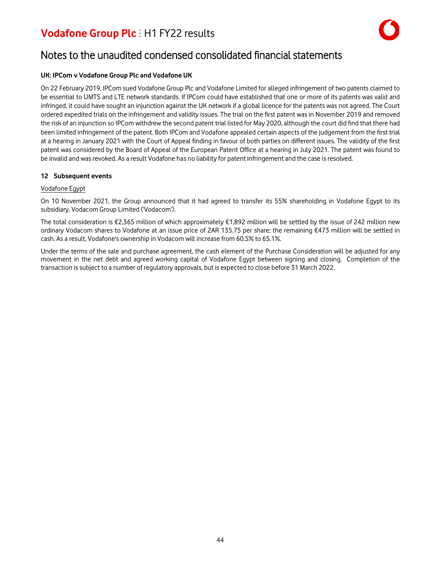

### Notes to the unaudited condensed consolidated financial statements

#### **UK: IPCom v Vodafone Group Plc and Vodafone UK**

On 22 February 2019, IPCom sued Vodafone Group Plc and Vodafone Limited for alleged infringement of two patents claimed to be essential to UMTS and LTE network standards. If IPCom could have established that one or more of its patents was valid and infringed, it could have sought an injunction against the UK network if a global licence for the patents was not agreed. The Court ordered expedited trials on the infringement and validity issues. The trial on the first patent was in November 2019 and removed the risk of an injunction so IPCom withdrew the second patent trial listed for May 2020, although the court did find that there had been limited infringement of the patent. Both IPCom and Vodafone appealed certain aspects of the judgement from the first trial at a hearing in January 2021 with the Court of Appeal finding in favour of both parties on different issues. The validity of the first patent was considered by the Board of Appeal of the European Patent Office at a hearing in July 2021. The patent was found to be invalid and was revoked. As a result Vodafone has no liability for patent infringement and the case is resolved.

#### **12 Subsequent events**

#### Vodafone Egypt

On 10 November 2021, the Group announced that it had agreed to transfer its 55% shareholding in Vodafone Egypt to its subsidiary, Vodacom Group Limited ('Vodacom').

The total consideration is €2,365 million of which approximately €1,892 million will be settled by the issue of 242 million new ordinary Vodacom shares to Vodafone at an issue price of ZAR 135.75 per share; the remaining €473 million will be settled in cash. As a result, Vodafone's ownership in Vodacom will increase from 60.5% to 65.1%.

Under the terms of the sale and purchase agreement, the cash element of the Purchase Consideration will be adjusted for any movement in the net debt and agreed working capital of Vodafone Egypt between signing and closing. Completion of the transaction issubject to a number of regulatory approvals, but is expected to close before 31 March 2022.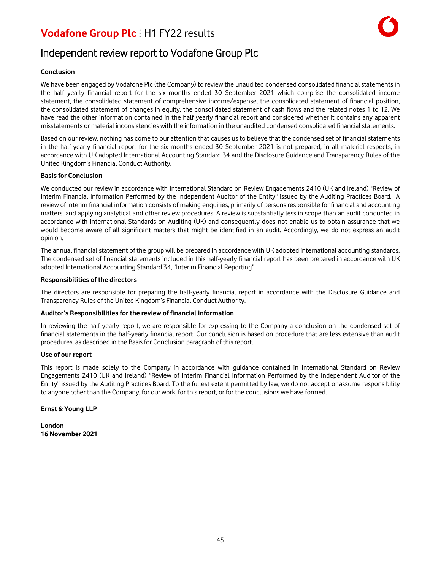### Independent review report to Vodafone Group Plc

#### **Conclusion**

We have been engaged by Vodafone Plc (the Company) to review the unaudited condensed consolidated financial statements in the half yearly financial report for the six months ended 30 September 2021 which comprise the consolidated income statement, the consolidated statement of comprehensive income/expense, the consolidated statement of financial position, the consolidated statement of changes in equity, the consolidated statement of cash flows and the related notes 1 to 12. We have read the other information contained in the half yearly financial report and considered whether it contains any apparent misstatements or material inconsistencies with the information in the unaudited condensed consolidated financial statements.

Based on our review, nothing has come to our attention that causes us to believe that the condensed set of financial statements in the half-yearly financial report for the six months ended 30 September 2021 is not prepared, in all material respects, in accordance with UK adopted International Accounting Standard 34 and the Disclosure Guidance and Transparency Rules of the United Kingdom's Financial Conduct Authority.

#### **Basis for Conclusion**

We conducted our review in accordance with International Standard on Review Engagements 2410 (UK and Ireland) "Review of Interim Financial Information Performed by the Independent Auditor of the Entity" issued by the Auditing Practices Board. A review of interim financial information consists of making enquiries, primarily of persons responsible for financial and accounting matters, and applying analytical and other review procedures. A review is substantially less in scope than an audit conducted in accordance with International Standards on Auditing (UK) and consequently does not enable us to obtain assurance that we would become aware of all significant matters that might be identified in an audit. Accordingly, we do not express an audit opinion.

The annual financial statement of the group will be prepared in accordance with UK adopted international accounting standards. The condensed set of financial statements included in this half-yearly financial report has been prepared in accordance with UK adopted International Accounting Standard 34, "Interim Financial Reporting".

#### **Responsibilities of the directors**

The directors are responsible for preparing the half-yearly financial report in accordance with the Disclosure Guidance and Transparency Rules of the United Kingdom's Financial Conduct Authority.

#### **Auditor's Responsibilities for the review of financial information**

In reviewing the half-yearly report, we are responsible for expressing to the Company a conclusion on the condensed set of financial statements in the half-yearly financial report. Our conclusion is based on procedure that are less extensive than audit procedures, as described in the Basis for Conclusion paragraph of this report.

#### **Use of our report**

This report is made solely to the Company in accordance with guidance contained in International Standard on Review Engagements 2410 (UK and Ireland) "Review of Interim Financial Information Performed by the Independent Auditor of the Entity" issued by the Auditing Practices Board. To the fullest extent permitted by law, we do not accept or assume responsibility to anyone other than the Company, for our work, for this report, or for the conclusions we have formed.

#### **Ernst & Young LLP**

**London 16 November 2021**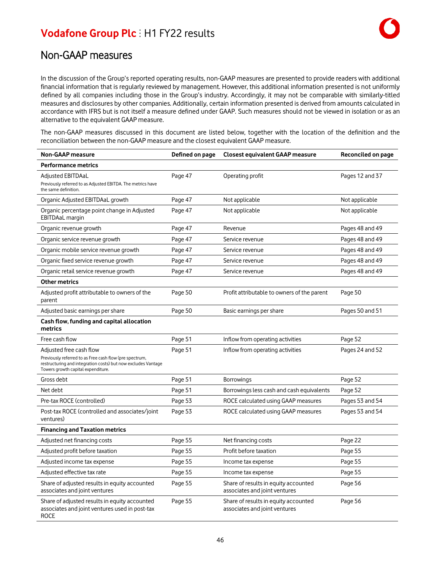In the discussion of the Group's reported operating results, non-GAAP measures are presented to provide readers with additional financial information that is regularly reviewed by management. However, this additional information presented is not uniformly defined by all companies including those in the Group's industry. Accordingly, it may not be comparable with similarly-titled measures and disclosures by other companies. Additionally, certain information presented is derived from amounts calculated in accordance with IFRS but is not itself a measure defined under GAAP. Such measures should not be viewed in isolation or as an alternative to the equivalent GAAP measure.

The non-GAAP measures discussed in this document are listed below, together with the location of the definition and the reconciliation between the non-GAAP measure and the closest equivalent GAAP measure.

| <b>Non-GAAP measure</b>                                                                                                                                        | Defined on page | Closest equivalent GAAP measure                                       | Reconciled on page |
|----------------------------------------------------------------------------------------------------------------------------------------------------------------|-----------------|-----------------------------------------------------------------------|--------------------|
| <b>Performance metrics</b>                                                                                                                                     |                 |                                                                       |                    |
| Adjusted EBITDAaL<br>Previously referred to as Adjusted EBITDA. The metrics have<br>the same definition.                                                       | Page 47         | Operating profit                                                      | Pages 12 and 37    |
| Organic Adjusted EBITDAaL growth                                                                                                                               | Page 47         | Not applicable                                                        | Not applicable     |
| Organic percentage point change in Adjusted<br>EBITDAaL margin                                                                                                 | Page 47         | Not applicable                                                        | Not applicable     |
| Organic revenue growth                                                                                                                                         | Page 47         | Revenue                                                               | Pages 48 and 49    |
| Organic service revenue growth                                                                                                                                 | Page 47         | Service revenue                                                       | Pages 48 and 49    |
| Organic mobile service revenue growth                                                                                                                          | Page 47         | Service revenue                                                       | Pages 48 and 49    |
| Organic fixed service revenue growth                                                                                                                           | Page 47         | Service revenue                                                       | Pages 48 and 49    |
| Organic retail service revenue growth                                                                                                                          | Page 47         | Service revenue                                                       | Pages 48 and 49    |
| <b>Other metrics</b>                                                                                                                                           |                 |                                                                       |                    |
| Adjusted profit attributable to owners of the<br>parent                                                                                                        | Page 50         | Profit attributable to owners of the parent                           | Page 50            |
| Adjusted basic earnings per share                                                                                                                              | Page 50         | Basic earnings per share                                              | Pages 50 and 51    |
| Cash flow, funding and capital allocation<br>metrics                                                                                                           |                 |                                                                       |                    |
| Free cash flow                                                                                                                                                 | Page 51         | Inflow from operating activities                                      | Page 52            |
| Adjusted free cash flow                                                                                                                                        | Page 51         | Inflow from operating activities                                      | Pages 24 and 52    |
| Previously referred to as Free cash flow (pre spectrum,<br>restructuring and integration costs) but now excludes Vantage<br>Towers growth capital expenditure. |                 |                                                                       |                    |
| Gross debt                                                                                                                                                     | Page 51         | <b>Borrowings</b>                                                     | Page 52            |
| Net debt                                                                                                                                                       | Page 51         | Borrowings less cash and cash equivalents                             | Page 52            |
| Pre-tax ROCE (controlled)                                                                                                                                      | Page 53         | ROCE calculated using GAAP measures                                   | Pages 53 and 54    |
| Post-tax ROCE (controlled and associates/joint<br>ventures)                                                                                                    | Page 53         | ROCE calculated using GAAP measures                                   | Pages 53 and 54    |
| <b>Financing and Taxation metrics</b>                                                                                                                          |                 |                                                                       |                    |
| Adjusted net financing costs                                                                                                                                   | Page 55         | Net financing costs                                                   | Page 22            |
| Adjusted profit before taxation                                                                                                                                | Page 55         | Profit before taxation                                                | Page 55            |
| Adjusted income tax expense                                                                                                                                    | Page 55         | Income tax expense                                                    | Page 55            |
| Adjusted effective tax rate                                                                                                                                    | Page 55         | Income tax expense                                                    | Page 55            |
| Share of adjusted results in equity accounted<br>associates and joint ventures                                                                                 | Page 55         | Share of results in equity accounted<br>associates and joint ventures | Page 56            |
| Share of adjusted results in equity accounted<br>associates and joint ventures used in post-tax<br><b>ROCE</b>                                                 | Page 55         | Share of results in equity accounted<br>associates and joint ventures | Page 56            |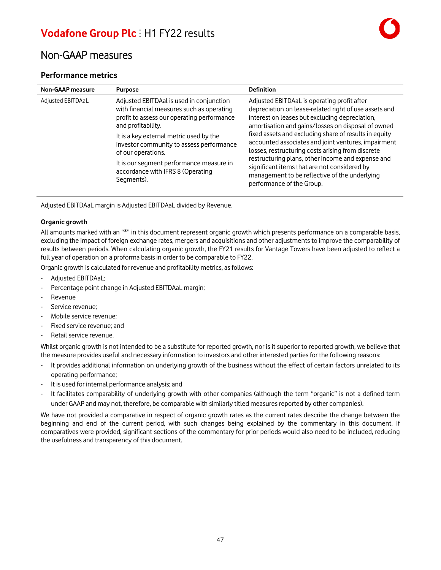### Non-GAAP measures

### **Performance metrics**

| <b>Non-GAAP</b> measure | <b>Purpose</b>                                                                                                                                                                                                                                                                                                                                                        | <b>Definition</b>                                                                                                                                                                                                                                                                                                                                                                                                                                                                                                                                                    |
|-------------------------|-----------------------------------------------------------------------------------------------------------------------------------------------------------------------------------------------------------------------------------------------------------------------------------------------------------------------------------------------------------------------|----------------------------------------------------------------------------------------------------------------------------------------------------------------------------------------------------------------------------------------------------------------------------------------------------------------------------------------------------------------------------------------------------------------------------------------------------------------------------------------------------------------------------------------------------------------------|
| Adjusted EBITDAaL       | Adjusted EBITDAal is used in conjunction<br>with financial measures such as operating<br>profit to assess our operating performance<br>and profitability.<br>It is a key external metric used by the<br>investor community to assess performance<br>of our operations.<br>It is our segment performance measure in<br>accordance with IFRS 8 (Operating<br>Segments). | Adjusted EBITDAaL is operating profit after<br>depreciation on lease-related right of use assets and<br>interest on leases but excluding depreciation,<br>amortisation and gains/losses on disposal of owned<br>fixed assets and excluding share of results in equity<br>accounted associates and joint ventures, impairment<br>losses, restructuring costs arising from discrete<br>restructuring plans, other income and expense and<br>significant items that are not considered by<br>management to be reflective of the underlying<br>performance of the Group. |
|                         |                                                                                                                                                                                                                                                                                                                                                                       |                                                                                                                                                                                                                                                                                                                                                                                                                                                                                                                                                                      |

Adjusted EBITDAaL margin is Adjusted EBITDAaL divided by Revenue.

#### **Organic growth**

All amounts marked with an "\*" in this document represent organic growth which presents performance on a comparable basis, excluding the impact of foreign exchange rates, mergers and acquisitions and other adjustments to improve the comparability of results between periods. When calculating organic growth, the FY21 results for Vantage Towers have been adjusted to reflect a full year of operation on a proforma basis in order to be comparable to FY22.

Organic growth is calculated for revenue and profitability metrics, as follows:

- Adjusted EBITDAaL;
- Percentage point change in Adjusted EBITDAaL margin;
- **Revenue**
- Service revenue;
- Mobile service revenue:
- Fixed service revenue; and
- Retail service revenue.

Whilst organic growth is not intended to be a substitute for reported growth, nor is it superior to reported growth, we believe that the measure provides useful and necessary information to investors and other interested parties for the following reasons:

- It provides additional information on underlying growth of the business without the effect of certain factors unrelated to its operating performance;
- It is used for internal performance analysis; and
- It facilitates comparability of underlying growth with other companies (although the term "organic" is not a defined term under GAAP and may not, therefore, be comparable with similarly titled measuresreported by other companies).

We have not provided a comparative in respect of organic growth rates as the current rates describe the change between the beginning and end of the current period, with such changes being explained by the commentary in this document. If comparatives were provided, significant sections of the commentary for prior periods would also need to be included, reducing the usefulness and transparency of this document.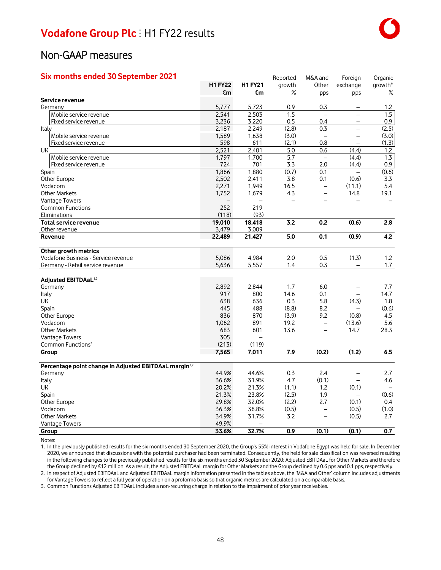### Non-GAAP measures

| Six months ended 30 September 2021                                |                |                          | Reported         | M&A and                  | Foreign                  | Organic                  |
|-------------------------------------------------------------------|----------------|--------------------------|------------------|--------------------------|--------------------------|--------------------------|
|                                                                   | <b>H1 FY22</b> | <b>H1 FY21</b>           | growth           | Other                    | exchange                 | growth*                  |
|                                                                   | €m             | €m                       | %                | pps                      | pps                      | ℅                        |
| Service revenue                                                   |                |                          |                  |                          |                          |                          |
| Germany                                                           | 5,777          | 5,723                    | 0.9              | 0.3                      |                          | 1.2                      |
| Mobile service revenue                                            | 2,541          | 2,503                    | $\overline{1.5}$ | $\equiv$                 | $\overline{a}$           | 1.5                      |
| Fixed service revenue                                             | 3,236          | 3,220                    | 0.5              | 0.4                      | -                        | 0.9                      |
| Italy                                                             | 2,187          | 2,249                    | (2.8)            | 0.3                      | $\overline{a}$           | (2.5)                    |
| Mobile service revenue                                            | 1,589          | 1,638                    | (3.0)            | $\overline{\phantom{0}}$ | -                        | (3.0)                    |
| Fixed service revenue                                             | 598            | 611                      | (2.1)            | 0.8                      | $\overline{\phantom{0}}$ | (1.3)                    |
| UK                                                                | 2,521          | 2,401                    | 5.0              | 0.6                      | (4.4)                    | $1.2$                    |
| Mobile service revenue                                            | 1,797          | 1,700                    | 5.7              | $\equiv$                 | (4.4)                    | 1.3                      |
| Fixed service revenue                                             | 724            | 701                      | 3.3              | 2.0                      | (4.4)                    | 0.9                      |
| Spain                                                             | 1,866          | 1,880                    | (0.7)            | 0.1                      | $\overline{\phantom{0}}$ | (0.6)                    |
| Other Europe                                                      | 2,502          | 2,411                    | 3.8              | 0.1                      | (0.6)                    | 3.3                      |
| Vodacom                                                           | 2,271          | 1,949                    | 16.5             | $\qquad \qquad -$        | (11.1)                   | 5.4                      |
| <b>Other Markets</b>                                              | 1,752          | 1,679                    | 4.3              | $\overline{\phantom{0}}$ | 14.8                     | 19.1                     |
| Vantage Towers                                                    |                |                          |                  |                          |                          |                          |
| <b>Common Functions</b>                                           | 252            | 219                      |                  |                          |                          |                          |
| Eliminations                                                      | (118)          | (93)                     |                  |                          |                          |                          |
| <b>Total service revenue</b>                                      | 19,010         | 18,418                   | 3.2              | 0.2                      | (0.6)                    | 2.8                      |
| Other revenue                                                     | 3,479          | 3,009                    |                  |                          |                          |                          |
| Revenue                                                           | 22,489         | 21,427                   | 5.0              | 0.1                      | (0.9)                    | 4.2                      |
|                                                                   |                |                          |                  |                          |                          |                          |
| Other growth metrics                                              |                |                          |                  |                          |                          |                          |
| Vodafone Business - Service revenue                               | 5,086          | 4,984                    | 2.0              | 0.5                      | (1.3)                    | 1.2                      |
| Germany - Retail service revenue                                  | 5,636          | 5,557                    | 1.4              | 0.3                      |                          | 1.7                      |
|                                                                   |                |                          |                  |                          |                          |                          |
| Adjusted EBITDAaL <sup>1,2</sup>                                  |                |                          | 1.7              | 6.0                      |                          |                          |
| Germany                                                           | 2,892<br>917   | 2,844<br>800             | 14.6             | 0.1                      | -<br>$\overline{a}$      | 7.7<br>14.7              |
| Italy                                                             |                | 636                      | 0.3              | 5.8                      | (4.3)                    |                          |
| UK                                                                | 638            |                          |                  |                          | $\overline{a}$           | 1.8                      |
| Spain                                                             | 445            | 488                      | (8.8)            | 8.2                      |                          | (0.6)                    |
| Other Europe                                                      | 836            | 870                      | (3.9)            | 9.2                      | (0.8)                    | 4.5                      |
| Vodacom                                                           | 1,062          | 891                      | 19.2             | $\overline{\phantom{0}}$ | (13.6)                   | 5.6                      |
| <b>Other Markets</b>                                              | 683            | 601                      | 13.6             |                          | 14.7                     | 28.3                     |
| <b>Vantage Towers</b>                                             | 305<br>(213)   |                          |                  |                          |                          |                          |
| Common Functions <sup>3</sup>                                     |                | (119)                    |                  |                          |                          |                          |
| Group                                                             | 7,565          | 7,011                    | 7.9              | (0.2)                    | (1.2)                    | 6.5                      |
| Percentage point change in Adjusted EBITDAaL margin <sup>12</sup> |                |                          |                  |                          |                          |                          |
| Germany                                                           | 44.9%          | 44.6%                    | 0.3              | 2.4                      | —                        | 2.7                      |
| Italy                                                             | 36.6%          | 31.9%                    | 4.7              | (0.1)                    | $\overline{\phantom{a}}$ | 4.6                      |
| UK                                                                | 20.2%          | 21.3%                    | (1.1)            | 1.2                      | (0.1)                    | $\overline{\phantom{m}}$ |
| Spain                                                             | 21.3%          | 23.8%                    | (2.5)            | 1.9                      | $\overline{\phantom{0}}$ | (0.6)                    |
| Other Europe                                                      | 29.8%          | 32.0%                    | (2.2)            | 2.7                      | (0.1)                    | 0.4                      |
| Vodacom                                                           | 36.3%          | 36.8%                    | (0.5)            | $\overline{\phantom{0}}$ | (0.5)                    | (1.0)                    |
| <b>Other Markets</b>                                              | 34.9%          | 31.7%                    | 3.2              | $\equiv$                 | (0.5)                    | 2.7                      |
|                                                                   | 49.9%          | $\overline{\phantom{0}}$ |                  |                          |                          |                          |
| Vantage Towers                                                    |                |                          |                  |                          |                          |                          |
| Group                                                             | 33.6%          | 32.7%                    | 0.9              | (0.1)                    | (0.1)                    | 0.7                      |

Notes:

1. In the previously published results for the six months ended 30 September 2020, the Group's 55% interest in Vodafone Egypt was held for sale. In December 2020, we announced that discussions with the potential purchaser had been terminated. Consequently, the held for sale classification was reversed resulting in the following changes to the previously published results for the six months ended 30 September 2020: Adjusted EBITDAaL for Other Markets and therefore the Group declined by €12 million. As a result, the Adjusted EBITDAaL margin for Other Markets and the Group declined by 0.6 pps and 0.1 pps, respectively.

2. In respect of Adjusted EBITDAaL and Adjusted EBITDAaL margin information presented in the tables above, the 'M&A and Other' column includes adjustments for Vantage Towersto reflect a full year of operation on a proforma basisso that organic metrics are calculated on a comparable basis.

3. Common Functions Adjusted EBITDAaL includes a non-recurring charge in relation to the impairment of prior year receivables.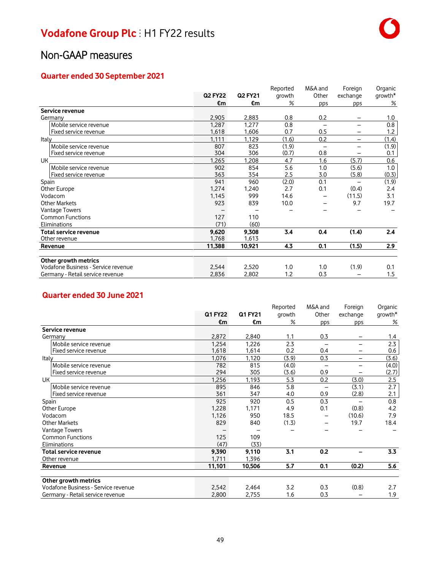### **Quarter ended 30 September 2021**

|                                     |                |                | Reported | M&A and | Foreign                  | Organic |
|-------------------------------------|----------------|----------------|----------|---------|--------------------------|---------|
|                                     | <b>Q2 FY22</b> | <b>Q2 FY21</b> | growth   | Other   | exchange                 | growth* |
|                                     | €m             | €m             | $\%$     | pps     | pps                      | %       |
| Service revenue                     |                |                |          |         |                          |         |
| Germany                             | 2,905          | 2,883          | 0.8      | 0.2     |                          | 1.0     |
| Mobile service revenue              | 1,287          | 1,277          | 0.8      |         | $\overline{\phantom{0}}$ | 0.8     |
| Fixed service revenue               | 1,618          | 1,606          | 0.7      | 0.5     |                          | 1.2     |
| Italy                               | 1.111          | 1,129          | (1.6)    | 0.2     | -                        | (1.4)   |
| Mobile service revenue              | 807            | 823            | (1.9)    |         |                          | (1.9)   |
| Fixed service revenue               | 304            | 306            | (0.7)    | 0.8     |                          | 0.1     |
| <b>UK</b>                           | 1,265          | 1,208          | 4.7      | 1.6     | (5.7)                    | 0.6     |
| Mobile service revenue              | 902            | 854            | 5.6      | 1.0     | (5.6)                    | 1.0     |
| Fixed service revenue               | 363            | 354            | 2.5      | 3.0     | (5.8)                    | (0.3)   |
| Spain                               | 941            | 960            | (2.0)    | 0.1     | $\overline{\phantom{0}}$ | (1.9)   |
| Other Europe                        | 1,274          | 1,240          | 2.7      | 0.1     | (0.4)                    | 2.4     |
| Vodacom                             | 1,145          | 999            | 14.6     |         | (11.5)                   | 3.1     |
| <b>Other Markets</b>                | 923            | 839            | 10.0     |         | 9.7                      | 19.7    |
| <b>Vantage Towers</b>               |                |                |          |         |                          |         |
| <b>Common Functions</b>             | 127            | 110            |          |         |                          |         |
| Eliminations                        | (71)           | (60)           |          |         |                          |         |
| Total service revenue               | 9,620          | 9,308          | 3.4      | 0.4     | (1.4)                    | 2.4     |
| Other revenue                       | 1,768          | 1,613          |          |         |                          |         |
| <u>Revenue</u>                      | 11,388         | 10,921         | 4.3      | 0.1     | (1.5)                    | 2.9     |
|                                     |                |                |          |         |                          |         |
| Other growth metrics                |                |                |          |         |                          |         |
| Vodafone Business - Service revenue | 2,544          | 2,520          | 1.0      | 1.0     | (1.9)                    | 0.1     |
| Germany - Retail service revenue    | 2,836          | 2,802          | 1.2      | 0.3     |                          | 1.5     |

### **Quarter ended 30 June 2021**

|                                     |                |         | Reported | M&A and | Foreign  | Organic   |
|-------------------------------------|----------------|---------|----------|---------|----------|-----------|
|                                     | <b>Q1 FY22</b> | Q1 FY21 | growth   | Other   | exchange | $qrowth*$ |
|                                     | €m             | €m      | %        | pps     | pps      | %         |
| Service revenue                     |                |         |          |         |          |           |
| Germany                             | 2,872          | 2,840   | 1.1      | 0.3     |          | 1.4       |
| Mobile service revenue              | 1,254          | 1,226   | 2.3      |         |          | 2.3       |
| Fixed service revenue               | 1,618          | 1,614   | 0.2      | 0.4     |          | 0.6       |
| Italy                               | 1,076          | 1,120   | (3.9)    | 0.3     | -        | (3.6)     |
| Mobile service revenue              | 782            | 815     | (4.0)    |         |          | (4.0)     |
| Fixed service revenue               | 294            | 305     | (3.6)    | 0.9     |          | (2.7)     |
| UК                                  | 1,256          | 1,193   | 5.3      | 0.2     | (3.0)    | 2.5       |
| Mobile service revenue              | 895            | 846     | 5.8      |         | (3.1)    | 2.7       |
| Fixed service revenue               | 361            | 347     | 4.0      | 0.9     | (2.8)    | 2.1       |
| Spain                               | 925            | 920     | 0.5      | 0.3     |          | 0.8       |
| Other Europe                        | 1,228          | 1,171   | 4.9      | 0.1     | (0.8)    | 4.2       |
| Vodacom                             | 1,126          | 950     | 18.5     |         | (10.6)   | 7.9       |
| <b>Other Markets</b>                | 829            | 840     | (1.3)    |         | 19.7     | 18.4      |
| Vantage Towers                      |                |         |          |         |          |           |
| <b>Common Functions</b>             | 125            | 109     |          |         |          |           |
| Eliminations                        | (47)           | (33)    |          |         |          |           |
| Total service revenue               | 9,390          | 9,110   | 3.1      | 0.2     |          | 3.3       |
| Other revenue                       | 1,711          | 1,396   |          |         |          |           |
| Revenue                             | 11,101         | 10,506  | 5.7      | 0.1     | (0.2)    | 5.6       |
| Other growth metrics                |                |         |          |         |          |           |
| Vodafone Business - Service revenue | 2,542          | 2,464   | 3.2      | 0.3     | (0.8)    | 2.7       |
| Germany - Retail service revenue    | 2,800          | 2,755   | 1.6      | 0.3     |          | 1.9       |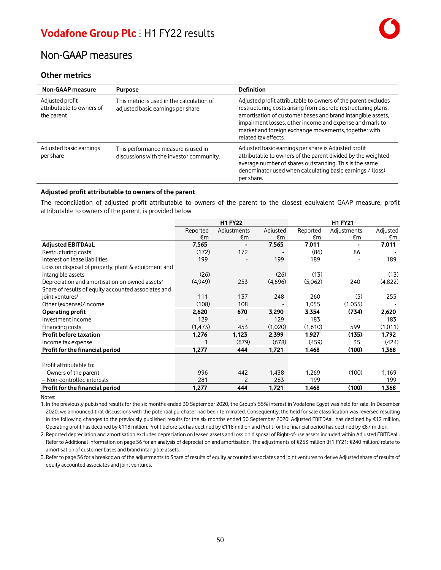### **Other metrics**

| <b>Non-GAAP</b> measure                                    | <b>Purpose</b>                                                                  | <b>Definition</b>                                                                                                                                                                                                                                                                                                                          |
|------------------------------------------------------------|---------------------------------------------------------------------------------|--------------------------------------------------------------------------------------------------------------------------------------------------------------------------------------------------------------------------------------------------------------------------------------------------------------------------------------------|
| Adjusted profit<br>attributable to owners of<br>the parent | This metric is used in the calculation of<br>adjusted basic earnings per share. | Adjusted profit attributable to owners of the parent excludes<br>restructuring costs arising from discrete restructuring plans,<br>amortisation of customer bases and brand intangible assets,<br>impairment losses, other income and expense and mark-to-<br>market and foreign exchange movements, together with<br>related tax effects. |
| Adjusted basic earnings<br>per share                       | This performance measure is used in<br>discussions with the investor community. | Adjusted basic earnings per share is Adjusted profit<br>attributable to owners of the parent divided by the weighted<br>average number of shares outstanding. This is the same<br>denominator used when calculating basic earnings / (loss)<br>per share.                                                                                  |

#### **Adjusted profit attributable to owners of the parent**

The reconciliation of adjusted profit attributable to owners of the parent to the closest equivalent GAAP measure, profit attributable to owners of the parent, is provided below.

|                                                            |          | <b>H1 FY22</b> |          |          | H1 FY21 <sup>1</sup> |          |  |
|------------------------------------------------------------|----------|----------------|----------|----------|----------------------|----------|--|
|                                                            | Reported | Adjustments    | Adjusted | Reported | Adjustments          | Adjusted |  |
|                                                            | €m       | €m             | €m       | €m       | €m                   | €m       |  |
| <b>Adjusted EBITDAaL</b>                                   | 7,565    |                | 7,565    | 7,011    |                      | 7,011    |  |
| Restructuring costs                                        | (172)    | 172            |          | (86)     | 86                   |          |  |
| Interest on lease liabilities                              | 199      |                | 199      | 189      |                      | 189      |  |
| Loss on disposal of property, plant & equipment and        |          |                |          |          |                      |          |  |
| intangible assets                                          | (26)     |                | (26)     | (13)     |                      | (13)     |  |
| Depreciation and amortisation on owned assets <sup>2</sup> | (4,949)  | 253            | (4,696)  | (5,062)  | 240                  | (4,822)  |  |
| Share of results of equity accounted associates and        |          |                |          |          |                      |          |  |
| joint ventures <sup>3</sup>                                | 111      | 137            | 248      | 260      | (5)                  | 255      |  |
| Other (expense)/income                                     | (108)    | 108            |          | 1,055    | (1,055)              |          |  |
| Operating profit                                           | 2,620    | 670            | 3,290    | 3,354    | (734)                | 2,620    |  |
| Investment income                                          | 129      |                | 129      | 183      |                      | 183      |  |
| Financing costs                                            | (1, 473) | 453            | (1,020)  | (1,610)  | 599                  | (1,011)  |  |
| Profit before taxation                                     | 1,276    | 1,123          | 2,399    | 1,927    | (135)                | 1.792    |  |
| Income tax expense                                         |          | (679)          | (678)    | (459)    | 35                   | (424)    |  |
| Profit for the financial period                            | 1,277    | 444            | 1,721    | 1,468    | (100)                | 1,368    |  |
|                                                            |          |                |          |          |                      |          |  |
| Profit attributable to:                                    |          |                |          |          |                      |          |  |
| - Owners of the parent                                     | 996      | 442            | 1,438    | 1,269    | (100)                | 1,169    |  |
| - Non-controlled interests                                 | 281      | 2              | 283      | 199      |                      | 199      |  |
| Profit for the financial period                            | 1,277    | 444            | 1,721    | 1,468    | (100)                | 1,368    |  |

Notes:

1. In the previously published results for the six months ended 30 September 2020, the Group's 55% interest in Vodafone Egypt was held for sale. In December 2020, we announced that discussions with the potential purchaser had been terminated. Consequently, the held for sale classification was reversed resulting in the following changes to the previously published results for the six months ended 30 September 2020: Adjusted EBITDAaL has declined by €12 million, Operating profit has declined by €118 million, Profit before tax has declined by €118 million and Profit for the financial period has declined by €87 million.

2. Reported depreciation and amortisation excludes depreciation on leased assets and loss on disposal of Right-of-use assets included within Adjusted EBITDAaL. Refer to Additional Information on page 56 for an analysis of depreciation and amortisation. The adjustments of €253 million (H1 FY21: €240 million) relate to amortisation of customer bases and brand intangible assets.

3. Refer to page 56 for a breakdown of the adjustments to Share of results of equity accounted associates and joint venturesto derive Adjusted share of results of equity accounted associates and joint ventures.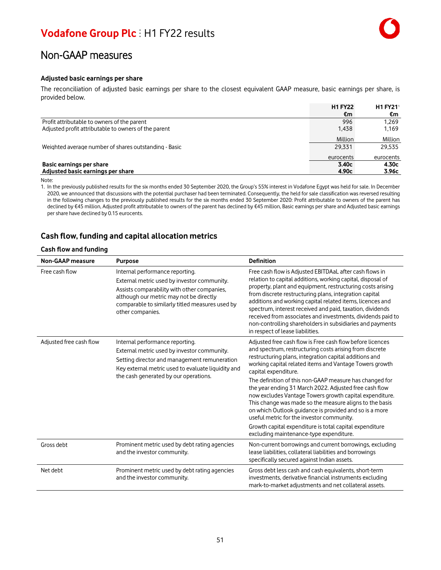#### **Adjusted basic earnings per share**

The reconciliation of adjusted basic earnings per share to the closest equivalent GAAP measure, basic earnings per share, is provided below.

|                                                               | <b>H1 FY22</b> | <b>H1 FY21</b> |
|---------------------------------------------------------------|----------------|----------------|
|                                                               | €m             | €m             |
| Profit attributable to owners of the parent                   | 996            | 1.269          |
| Adjusted profit attributable to owners of the parent          | 1.438          | 1,169          |
|                                                               | Million        | Million        |
| Weighted average number of shares outstanding - Basic         | 29.331         | 29.535         |
|                                                               | eurocents      | eurocents      |
| Basic earnings per share<br>Adjusted basic earnings per share | 3.40c<br>4.90c | 4.30c<br>3.96с |

#### Note:

1. In the previously published results for the six months ended 30 September 2020, the Group's 55% interest in Vodafone Egypt was held for sale. In December 2020, we announced that discussions with the potential purchaser had been terminated. Consequently, the held for sale classification was reversed resulting in the following changes to the previously published results for the six months ended 30 September 2020: Profit attributable to owners of the parent has declined by €45 million, Adjusted profit attributable to owners of the parent has declined by €45 million, Basic earnings per share and Adjusted basic earnings per share have declined by 0.15 eurocents.

### **Cash flow, funding and capital allocation metrics**

#### **Cash flow and funding**

| <b>Non-GAAP measure</b> | <b>Purpose</b>                                                                                                                                                                                                                                  | <b>Definition</b>                                                                                                                                                                                                                                                                                                                                                                                                                                                                                                                                                                                                                                                                                                         |
|-------------------------|-------------------------------------------------------------------------------------------------------------------------------------------------------------------------------------------------------------------------------------------------|---------------------------------------------------------------------------------------------------------------------------------------------------------------------------------------------------------------------------------------------------------------------------------------------------------------------------------------------------------------------------------------------------------------------------------------------------------------------------------------------------------------------------------------------------------------------------------------------------------------------------------------------------------------------------------------------------------------------------|
| Free cash flow          | Internal performance reporting.<br>External metric used by investor community.<br>Assists comparability with other companies,<br>although our metric may not be directly<br>comparable to similarly titled measures used by<br>other companies. | Free cash flow is Adjusted EBITDAaL after cash flows in<br>relation to capital additions, working capital, disposal of<br>property, plant and equipment, restructuring costs arising<br>from discrete restructuring plans, integration capital<br>additions and working capital related items, licences and<br>spectrum, interest received and paid, taxation, dividends<br>received from associates and investments, dividends paid to<br>non-controlling shareholders in subsidiaries and payments<br>in respect of lease liabilities.                                                                                                                                                                                  |
| Adjusted free cash flow | Internal performance reporting.<br>External metric used by investor community.<br>Setting director and management remuneration<br>Key external metric used to evaluate liquidity and<br>the cash generated by our operations.                   | Adjusted free cash flow is Free cash flow before licences<br>and spectrum, restructuring costs arising from discrete<br>restructuring plans, integration capital additions and<br>working capital related items and Vantage Towers growth<br>capital expenditure.<br>The definition of this non-GAAP measure has changed for<br>the year ending 31 March 2022. Adjusted free cash flow<br>now excludes Vantage Towers growth capital expenditure.<br>This change was made so the measure aligns to the basis<br>on which Outlook guidance is provided and so is a more<br>useful metric for the investor community.<br>Growth capital expenditure is total capital expenditure<br>excluding maintenance-type expenditure. |
| Gross debt              | Prominent metric used by debt rating agencies<br>and the investor community.                                                                                                                                                                    | Non-current borrowings and current borrowings, excluding<br>lease liabilities, collateral liabilities and borrowings<br>specifically secured against Indian assets.                                                                                                                                                                                                                                                                                                                                                                                                                                                                                                                                                       |
| Net debt                | Prominent metric used by debt rating agencies<br>and the investor community.                                                                                                                                                                    | Gross debt less cash and cash equivalents, short-term<br>investments, derivative financial instruments excluding<br>mark-to-market adjustments and net collateral assets.                                                                                                                                                                                                                                                                                                                                                                                                                                                                                                                                                 |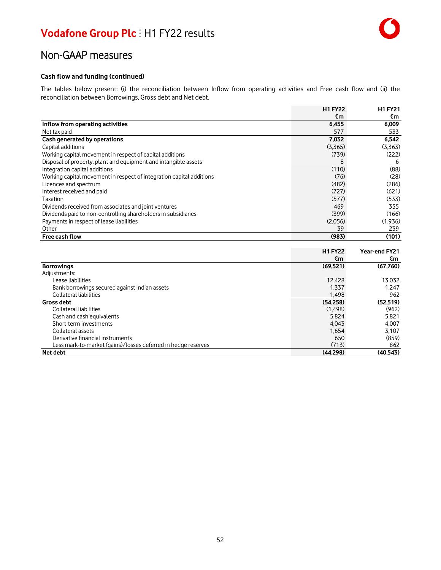### Non-GAAP measures

#### **Cash flow and funding (continued)**

The tables below present: (i) the reconciliation between Inflow from operating activities and Free cash flow and (ii) the reconciliation between Borrowings, Gross debt and Net debt.

|                                                                      | <b>H1 FY22</b> | <b>H1FY21</b> |
|----------------------------------------------------------------------|----------------|---------------|
|                                                                      | €m             | €m            |
| Inflow from operating activities                                     | 6,455          | 6,009         |
| Net tax paid                                                         | 577            | 533           |
| Cash generated by operations                                         | 7,032          | 6,542         |
| Capital additions                                                    | (3,365)        | (3,363)       |
| Working capital movement in respect of capital additions             | (739)          | (222)         |
| Disposal of property, plant and equipment and intangible assets      | 8              | 6             |
| Integration capital additions                                        | (110)          | (88)          |
| Working capital movement in respect of integration capital additions | (76)           | (28)          |
| Licences and spectrum                                                | (482)          | (286)         |
| Interest received and paid                                           | (727)          | (621)         |
| Taxation                                                             | (577)          | (533)         |
| Dividends received from associates and joint ventures                | 469            | 355           |
| Dividends paid to non-controlling shareholders in subsidiaries       | (399)          | (166)         |
| Payments in respect of lease liabilities                             | (2,056)        | (1,936)       |
| Other                                                                | 39             | 239           |
| <b>Free cash flow</b>                                                | (983)          | (101)         |

|                                                               | <b>H1 FY22</b> | Year-end FY21 |
|---------------------------------------------------------------|----------------|---------------|
|                                                               | €m             | €m            |
| <b>Borrowings</b>                                             | (69, 521)      | (67,760)      |
| Adjustments:                                                  |                |               |
| Lease liabilities                                             | 12.428         | 13.032        |
| Bank borrowings secured against Indian assets                 | 1,337          | 1.247         |
| Collateral liabilities                                        | 1.498          | 962           |
| <b>Gross debt</b>                                             | (54.258)       | (52.519)      |
| Collateral liabilities                                        | (1, 498)       | (962)         |
| Cash and cash equivalents                                     | 5,824          | 5,821         |
| Short-term investments                                        | 4.043          | 4.007         |
| Collateral assets                                             | 1,654          | 3,107         |
| Derivative financial instruments                              | 650            | (859)         |
| Less mark-to-market (gains)/losses deferred in hedge reserves | (713)          | 862           |
| Net debt                                                      | (44.298)       | (40.543)      |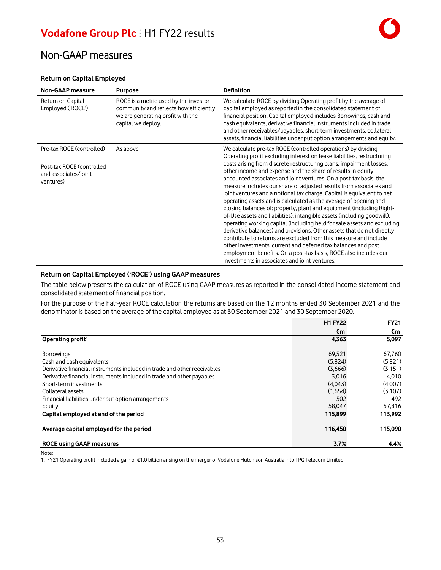### Non-GAAP measures

#### **Return on Capital Employed**

| <b>Non-GAAP measure</b>                                        | <b>Purpose</b>                                                                                                                             | <b>Definition</b>                                                                                                                                                                                                                                                                                                                                                                                                                                                                                                                                                                                                                                                                                                                                                                                                                                                                                                                                                                             |
|----------------------------------------------------------------|--------------------------------------------------------------------------------------------------------------------------------------------|-----------------------------------------------------------------------------------------------------------------------------------------------------------------------------------------------------------------------------------------------------------------------------------------------------------------------------------------------------------------------------------------------------------------------------------------------------------------------------------------------------------------------------------------------------------------------------------------------------------------------------------------------------------------------------------------------------------------------------------------------------------------------------------------------------------------------------------------------------------------------------------------------------------------------------------------------------------------------------------------------|
| Return on Capital<br>Employed ('ROCE')                         | ROCE is a metric used by the investor<br>community and reflects how efficiently<br>we are generating profit with the<br>capital we deploy. | We calculate ROCE by dividing Operating profit by the average of<br>capital employed as reported in the consolidated statement of<br>financial position. Capital employed includes Borrowings, cash and<br>cash equivalents, derivative financial instruments included in trade<br>and other receivables/payables, short-term investments, collateral<br>assets, financial liabilities under put option arrangements and equity.                                                                                                                                                                                                                                                                                                                                                                                                                                                                                                                                                              |
| Pre-tax ROCE (controlled)                                      | As above                                                                                                                                   | We calculate pre-tax ROCE (controlled operations) by dividing<br>Operating profit excluding interest on lease liabilities, restructuring                                                                                                                                                                                                                                                                                                                                                                                                                                                                                                                                                                                                                                                                                                                                                                                                                                                      |
| Post-tax ROCE (controlled<br>and associates/joint<br>ventures) |                                                                                                                                            | costs arising from discrete restructuring plans, impairment losses,<br>other income and expense and the share of results in equity<br>accounted associates and joint ventures. On a post-tax basis, the<br>measure includes our share of adjusted results from associates and<br>joint ventures and a notional tax charge. Capital is equivalent to net<br>operating assets and is calculated as the average of opening and<br>closing balances of: property, plant and equipment (including Right-<br>of-Use assets and liabilities), intangible assets (including goodwill),<br>operating working capital (including held for sale assets and excluding<br>derivative balances) and provisions. Other assets that do not directly<br>contribute to returns are excluded from this measure and include<br>other investments, current and deferred tax balances and post<br>employment benefits. On a post-tax basis, ROCE also includes our<br>investments in associates and joint ventures. |

#### **Return on Capital Employed ('ROCE') using GAAP measures**

The table below presents the calculation of ROCE using GAAP measures as reported in the consolidated income statement and consolidated statement of financial position.

For the purpose of the half-year ROCE calculation the returns are based on the 12 months ended 30 September 2021 and the denominator is based on the average of the capital employed as at 30 September 2021 and 30 September 2020.

|                                                                          | <b>H1 FY22</b> | <b>FY21</b> |
|--------------------------------------------------------------------------|----------------|-------------|
|                                                                          | €m             | €m          |
| Operating profit <sup>1</sup>                                            | 4,363          | 5,097       |
|                                                                          |                |             |
| <b>Borrowings</b>                                                        | 69.521         | 67,760      |
| Cash and cash equivalents                                                | (5,824)        | (5,821)     |
| Derivative financial instruments included in trade and other receivables | (3.666)        | (3.151)     |
| Derivative financial instruments included in trade and other payables    | 3,016          | 4.010       |
| Short-term investments                                                   | (4,043)        | (4,007)     |
| Collateral assets                                                        | (1,654)        | (3,107)     |
| Financial liabilities under put option arrangements                      | 502            | 492         |
| Equity                                                                   | 58.047         | 57,816      |
| Capital employed at end of the period                                    | 115,899        | 113.992     |
| Average capital employed for the period                                  | 116,450        | 115,090     |
| <b>ROCE using GAAP measures</b>                                          | 3.7%           | 4.4%        |

Note:

1. FY21 Operating profit included a gain of €1.0 billion arising on the merger of Vodafone Hutchison Australia into TPG Telecom Limited.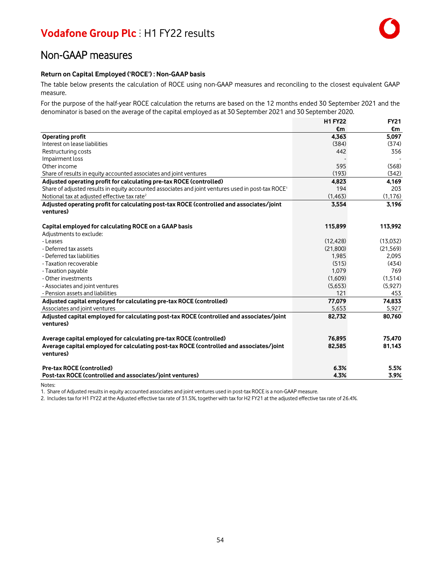### Non-GAAP measures

#### **Return on Capital Employed ('ROCE') : Non-GAAP basis**

The table below presents the calculation of ROCE using non-GAAP measures and reconciling to the closest equivalent GAAP measure.

For the purpose of the half-year ROCE calculation the returns are based on the 12 months ended 30 September 2021 and the denominator is based on the average of the capital employed as at 30 September 2021 and 30 September 2020.

|                                                                                                                | <b>H1 FY22</b> | <b>FY21</b> |
|----------------------------------------------------------------------------------------------------------------|----------------|-------------|
|                                                                                                                | €m             | €m          |
| <b>Operating profit</b>                                                                                        | 4,363          | 5,097       |
| Interest on lease liabilities                                                                                  | (384)          | (374)       |
| Restructuring costs                                                                                            | 442            | 356         |
| Impairment loss                                                                                                |                |             |
| Other income                                                                                                   | 595            | (568)       |
| Share of results in equity accounted associates and joint ventures                                             | (193)          | (342)       |
| Adjusted operating profit for calculating pre-tax ROCE (controlled)                                            | 4,823          | 4,169       |
| Share of adjusted results in equity accounted associates and joint ventures used in post-tax ROCE <sup>1</sup> | 194            | 203         |
| Notional tax at adjusted effective tax rate <sup>2</sup>                                                       | (1, 463)       | (1, 176)    |
| Adjusted operating profit for calculating post-tax ROCE (controlled and associates/joint                       | 3,554          | 3,196       |
| ventures)                                                                                                      |                |             |
| Capital employed for calculating ROCE on a GAAP basis                                                          | 115,899        | 113,992     |
| Adjustments to exclude:                                                                                        |                |             |
| - Leases                                                                                                       | (12, 428)      | (13,032)    |
| - Deferred tax assets                                                                                          | (21.800)       | (21, 569)   |
| - Deferred tax liabilities                                                                                     | 1,985          | 2,095       |
| - Taxation recoverable                                                                                         | (515)          | (434)       |
| - Taxation payable                                                                                             | 1,079          | 769         |
| - Other investments                                                                                            | (1,609)        | (1,514)     |
| - Associates and joint ventures                                                                                | (5,653)        | (5,927)     |
| - Pension assets and liabilities                                                                               | 121            | 453         |
| Adjusted capital employed for calculating pre-tax ROCE (controlled)                                            | 77,079         | 74.833      |
| Associates and joint ventures                                                                                  | 5,653          | 5,927       |
| Adjusted capital employed for calculating post-tax ROCE (controlled and associates/joint                       | 82,732         | 80.760      |
| ventures)                                                                                                      |                |             |
| Average capital employed for calculating pre-tax ROCE (controlled)                                             | 76,895         | 75,470      |
| Average capital employed for calculating post-tax ROCE (controlled and associates/joint                        | 82,585         | 81,143      |
| ventures)                                                                                                      |                |             |
| Pre-tax ROCE (controlled)                                                                                      | 6.3%           | 5.5%        |
| Post-tax ROCE (controlled and associates/joint ventures)                                                       | 4.3%           | 3.9%        |

Notes:

1. Share of Adjusted resultsin equity accounted associates and joint ventures used in post-tax ROCE is a non-GAAP measure.

2. Includestax for H1 FY22 at the Adjusted effective taxrate of 31.5%, together with tax for H2 FY21 at the adjusted effective taxrate of 26.4%.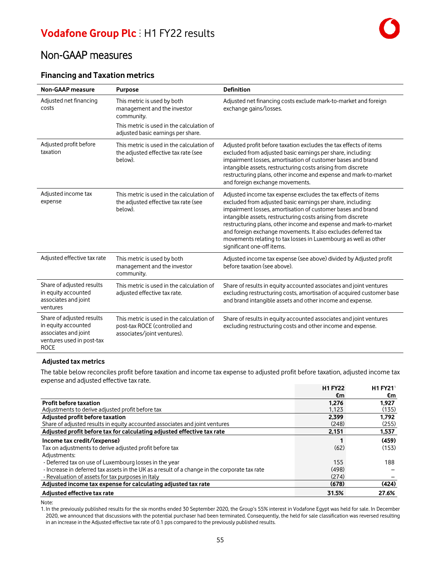### **Financing and Taxation metrics**

| <b>Non-GAAP measure</b>                                                                                              | <b>Purpose</b>                                                                                            | <b>Definition</b>                                                                                                                                                                                                                                                                                                                                                                                                                                                                                 |
|----------------------------------------------------------------------------------------------------------------------|-----------------------------------------------------------------------------------------------------------|---------------------------------------------------------------------------------------------------------------------------------------------------------------------------------------------------------------------------------------------------------------------------------------------------------------------------------------------------------------------------------------------------------------------------------------------------------------------------------------------------|
| Adjusted net financing<br>costs                                                                                      | This metric is used by both<br>management and the investor<br>community.                                  | Adjusted net financing costs exclude mark-to-market and foreign<br>exchange gains/losses.                                                                                                                                                                                                                                                                                                                                                                                                         |
|                                                                                                                      | This metric is used in the calculation of<br>adjusted basic earnings per share.                           |                                                                                                                                                                                                                                                                                                                                                                                                                                                                                                   |
| Adjusted profit before<br>taxation                                                                                   | This metric is used in the calculation of<br>the adjusted effective tax rate (see<br>below).              | Adjusted profit before taxation excludes the tax effects of items<br>excluded from adjusted basic earnings per share, including:<br>impairment losses, amortisation of customer bases and brand<br>intangible assets, restructuring costs arising from discrete<br>restructuring plans, other income and expense and mark-to-market<br>and foreign exchange movements.                                                                                                                            |
| Adjusted income tax<br>expense                                                                                       | This metric is used in the calculation of<br>the adjusted effective tax rate (see<br>below).              | Adjusted income tax expense excludes the tax effects of items<br>excluded from adjusted basic earnings per share, including:<br>impairment losses, amortisation of customer bases and brand<br>intangible assets, restructuring costs arising from discrete<br>restructuring plans, other income and expense and mark-to-market<br>and foreign exchange movements. It also excludes deferred tax<br>movements relating to tax losses in Luxembourg as well as other<br>significant one-off items. |
| Adjusted effective tax rate                                                                                          | This metric is used by both<br>management and the investor<br>community.                                  | Adjusted income tax expense (see above) divided by Adjusted profit<br>before taxation (see above).                                                                                                                                                                                                                                                                                                                                                                                                |
| Share of adjusted results<br>in equity accounted<br>associates and joint<br>ventures                                 | This metric is used in the calculation of<br>adjusted effective tax rate.                                 | Share of results in equity accounted associates and joint ventures<br>excluding restructuring costs, amortisation of acquired customer base<br>and brand intangible assets and other income and expense.                                                                                                                                                                                                                                                                                          |
| Share of adjusted results<br>in equity accounted<br>associates and joint<br>ventures used in post-tax<br><b>ROCE</b> | This metric is used in the calculation of<br>post-tax ROCE (controlled and<br>associates/joint ventures). | Share of results in equity accounted associates and joint ventures<br>excluding restructuring costs and other income and expense.                                                                                                                                                                                                                                                                                                                                                                 |

#### **Adjusted tax metrics**

The table below reconciles profit before taxation and income tax expense to adjusted profit before taxation, adjusted income tax expense and adjusted effective tax rate.

|                                                                                               | <b>H1 FY22</b> | <b>H1 FY21</b> |
|-----------------------------------------------------------------------------------------------|----------------|----------------|
|                                                                                               | €m             | €m             |
| <b>Profit before taxation</b>                                                                 | 1.276          | 1,927          |
| Adjustments to derive adjusted profit before tax                                              | 1.123          | (135)          |
| Adjusted profit before taxation                                                               | 2.399          | 1.792          |
| Share of adjusted results in equity accounted associates and joint ventures                   | (248)          | (255)          |
| Adjusted profit before tax for calculating adjusted effective tax rate                        | 2,151          | 1,537          |
| Income tax credit/(expense)                                                                   |                | (459)          |
| Tax on adjustments to derive adjusted profit before tax                                       | (62)           | (153)          |
| Adjustments:                                                                                  |                |                |
| - Deferred tax on use of Luxembourg losses in the year                                        | 155            | 188            |
| - Increase in deferred tax assets in the UK as a result of a change in the corporate tax rate | (498)          |                |
| - Revaluation of assets for tax purposes in Italy                                             | (274)          |                |
| Adjusted income tax expense for calculating adjusted tax rate                                 | (678)          | (424)          |
| Adjusted effective tax rate                                                                   | 31.5%          | 27.6%          |

Note:

1. In the previously published results for the six months ended 30 September 2020, the Group's 55% interest in Vodafone Egypt was held for sale. In December 2020, we announced that discussions with the potential purchaser had been terminated. Consequently, the held for sale classification was reversed resulting in an increase in the Adjusted effective taxrate of 0.1 pps compared to the previously published results.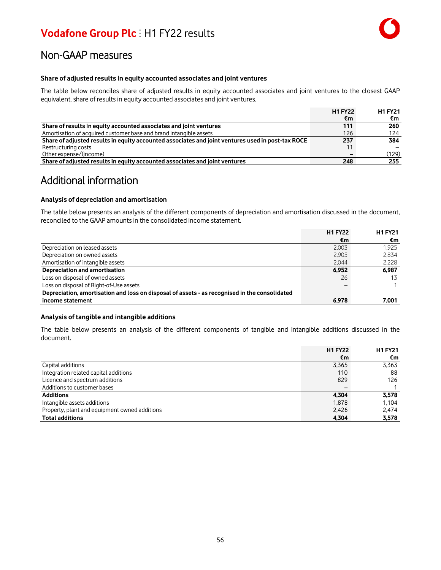#### **Share of adjusted results in equity accounted associates and joint ventures**

The table below reconciles share of adjusted results in equity accounted associates and joint ventures to the closest GAAP equivalent, share of results in equity accounted associates and joint ventures.

|                                                                                                   | <b>H1 FY22</b> | <b>H1FY21</b> |
|---------------------------------------------------------------------------------------------------|----------------|---------------|
|                                                                                                   | €m             | €m            |
| Share of results in equity accounted associates and joint ventures                                | 111            | 260           |
| Amortisation of acquired customer base and brand intangible assets                                | 126            | 124           |
| Share of adjusted results in equity accounted associates and joint ventures used in post-tax ROCE | 237            | 384           |
| Restructuring costs                                                                               | 11             |               |
| Other expense/(income)                                                                            |                | (129)         |
| Share of adjusted results in equity accounted associates and joint ventures                       | 248            | 255           |

### Additional information

#### **Analysis of depreciation and amortisation**

The table below presents an analysis of the different components of depreciation and amortisation discussed in the document, reconciled to the GAAP amounts in the consolidated income statement.

|                                                                                               | <b>H1 FY22</b> | <b>H1 FY21</b> |
|-----------------------------------------------------------------------------------------------|----------------|----------------|
|                                                                                               | €m             | €m             |
| Depreciation on leased assets                                                                 | 2.003          | 1.925          |
| Depreciation on owned assets                                                                  | 2.905          | 2.834          |
| Amortisation of intangible assets                                                             | 2.044          | 2,228          |
| Depreciation and amortisation                                                                 | 6.952          | 6.987          |
| Loss on disposal of owned assets                                                              | 26             | 13             |
| Loss on disposal of Right-of-Use assets                                                       |                |                |
| Depreciation, amortisation and loss on disposal of assets - as recognised in the consolidated |                |                |
| income statement                                                                              | 6.978          | 7.001          |

#### **Analysis of tangible and intangible additions**

The table below presents an analysis of the different components of tangible and intangible additions discussed in the document.

|                                               | <b>H1 FY22</b> | <b>H1 FY21</b> |
|-----------------------------------------------|----------------|----------------|
|                                               | €m             | €m             |
| Capital additions                             | 3.365          | 3.363          |
| Integration related capital additions         | 110            | 88             |
| Licence and spectrum additions                | 829            | 126            |
| Additions to customer bases                   |                |                |
| <b>Additions</b>                              | 4.304          | 3.578          |
| Intangible assets additions                   | 1.878          | 1.104          |
| Property, plant and equipment owned additions | 2,426          | 2,474          |
| <b>Total additions</b>                        | 4.304          | 3,578          |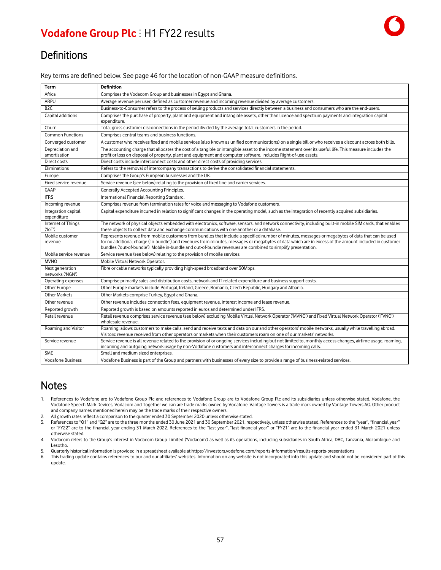### **Definitions**

Key terms are defined below. See page 46 for the location of non-GAAP measure definitions.

| Term                                | <b>Definition</b>                                                                                                                                                                                                                                                                                                                                                                                                           |
|-------------------------------------|-----------------------------------------------------------------------------------------------------------------------------------------------------------------------------------------------------------------------------------------------------------------------------------------------------------------------------------------------------------------------------------------------------------------------------|
| Africa                              | Comprises the Vodacom Group and businesses in Egypt and Ghana.                                                                                                                                                                                                                                                                                                                                                              |
| <b>ARPU</b>                         | Average revenue per user, defined as customer revenue and incoming revenue divided by average customers.                                                                                                                                                                                                                                                                                                                    |
| B <sub>2C</sub>                     | Business-to-Consumer refers to the process of selling products and services directly between a business and consumers who are the end-users.                                                                                                                                                                                                                                                                                |
| Capital additions                   | Comprises the purchase of property, plant and equipment and intangible assets, other than licence and spectrum payments and integration capital<br>expenditure.                                                                                                                                                                                                                                                             |
| Churn                               | Total gross customer disconnections in the period divided by the average total customers in the period.                                                                                                                                                                                                                                                                                                                     |
| <b>Common Functions</b>             | Comprises central teams and business functions.                                                                                                                                                                                                                                                                                                                                                                             |
| Converged customer                  | A customer who receives fixed and mobile services (also known as unified communications) on a single bill or who receives a discount across both bills.                                                                                                                                                                                                                                                                     |
| Depreciation and<br>amortisation    | The accounting charge that allocates the cost of a tangible or intangible asset to the income statement over its useful life. This measure includes the<br>profit or loss on disposal of property, plant and equipment and computer software. Includes Right-of-use assets.                                                                                                                                                 |
| Direct costs                        | Direct costs include interconnect costs and other direct costs of providing services.                                                                                                                                                                                                                                                                                                                                       |
| Eliminations                        | Refers to the removal of intercompany transactions to derive the consolidated financial statements.                                                                                                                                                                                                                                                                                                                         |
| Europe                              | Comprises the Group's European businesses and the UK.                                                                                                                                                                                                                                                                                                                                                                       |
| Fixed service revenue               | Service revenue (see below) relating to the provision of fixed line and carrier services.                                                                                                                                                                                                                                                                                                                                   |
| <b>GAAP</b>                         | Generally Accepted Accounting Principles.                                                                                                                                                                                                                                                                                                                                                                                   |
| <b>IFRS</b>                         | International Financial Reporting Standard.                                                                                                                                                                                                                                                                                                                                                                                 |
| Incoming revenue                    | Comprises revenue from termination rates for voice and messaging to Vodafone customers.                                                                                                                                                                                                                                                                                                                                     |
| Integration capital<br>expenditure  | Capital expenditure incurred in relation to significant changes in the operating model, such as the integration of recently acquired subsidiaries.                                                                                                                                                                                                                                                                          |
| Internet of Things<br>('IOT')       | The network of physical objects embedded with electronics, software, sensors, and network connectivity, including built-in mobile SIM cards, that enables<br>these objects to collect data and exchange communications with one another or a database.                                                                                                                                                                      |
| Mobile customer<br>revenue          | Represents revenue from mobile customers from bundles that include a specified number of minutes, messages or megabytes of data that can be used<br>for no additional charge ('in-bundle') and revenues from minutes, messages or megabytes of data which are in excess of the amount included in customer<br>bundles ('out-of-bundle'). Mobile in-bundle and out-of-bundle revenues are combined to simplify presentation. |
| Mobile service revenue              | Service revenue (see below) relating to the provision of mobile services.                                                                                                                                                                                                                                                                                                                                                   |
| <b>MVNO</b>                         | Mobile Virtual Network Operator.                                                                                                                                                                                                                                                                                                                                                                                            |
| Next generation<br>networks ('NGN') | Fibre or cable networks typically providing high-speed broadband over 30Mbps.                                                                                                                                                                                                                                                                                                                                               |
| Operating expenses                  | Comprise primarily sales and distribution costs, network and IT related expenditure and business support costs.                                                                                                                                                                                                                                                                                                             |
| Other Europe                        | Other Europe markets include Portugal, Ireland, Greece, Romania, Czech Republic, Hungary and Albania.                                                                                                                                                                                                                                                                                                                       |
| <b>Other Markets</b>                | Other Markets comprise Turkey, Egypt and Ghana.                                                                                                                                                                                                                                                                                                                                                                             |
| Other revenue                       | Other revenue includes connection fees, equipment revenue, interest income and lease revenue.                                                                                                                                                                                                                                                                                                                               |
| Reported growth                     | Reported growth is based on amounts reported in euros and determined under IFRS.                                                                                                                                                                                                                                                                                                                                            |
| Retail revenue                      | Retail revenue comprises service revenue (see below) excluding Mobile Virtual Network Operator ('MVNO') and Fixed Virtual Network Operator ('FVNO')<br>wholesale revenue.                                                                                                                                                                                                                                                   |
| Roaming and Visitor                 | Roaming: allows customers to make calls, send and receive texts and data on our and other operators' mobile networks, usually while travelling abroad.<br>Visitors: revenue received from other operators or markets when their customers roam on one of our markets' networks.                                                                                                                                             |
| Service revenue                     | Service revenue is all revenue related to the provision of or ongoing services including but not limited to, monthly access changes, airtime usage, roaming,<br>incoming and outgoing network usage by non-Vodafone customers and interconnect charges for incoming calls.                                                                                                                                                  |
| <b>SME</b>                          | Small and medium sized enterprises.                                                                                                                                                                                                                                                                                                                                                                                         |
| <b>Vodafone Business</b>            | Vodafone Business is part of the Group and partners with businesses of every size to provide a range of business-related services.                                                                                                                                                                                                                                                                                          |

### **Notes**

- 1. References to Vodafone are to Vodafone Group Plc and references to Vodafone Group are to Vodafone Group Plc and its subsidiaries unless otherwise stated. Vodafone, the Vodafone Speech Mark Devices, Vodacom and Together we can are trade marks owned by Vodafone. Vantage Towers is a trade mark owned by Vantage Towers AG. Other product and company names mentioned herein may be the trade marks of their respective owners.
- 2. All growth rates reflect a comparison to the quarter ended 30 September 2020 unless otherwise stated.<br>3. References to "Q1" and "Q2" are to the three months ended 30 June 2021 and 30 September 2021, resp
- References to "Q1" and "Q2" are to the three months ended 30 June 2021 and 30 September 2021, respectively, unless otherwise stated. References to the "year", "financial year" or "FY22" are to the financial year ending 31 March 2022. References to the "last year", "last financial year" or "FY21" are to the financial year ended 31 March 2021 unless otherwise stated.
- 4. Vodacom refers to the Group's interest in Vodacom Group Limited ('Vodacom') as well as its operations, including subsidiaries in South Africa, DRC, Tanzania, Mozambique and Lesotho.
- 5. Quarterly historical information is provided in a spreadsheet available at https://investors.vodafone.com/reports-information/results-reports-presentations
- 6. This trading update contains references to our and our affiliates' websites. Information on any website is not incorporated into this update and should not be considered part of this update.